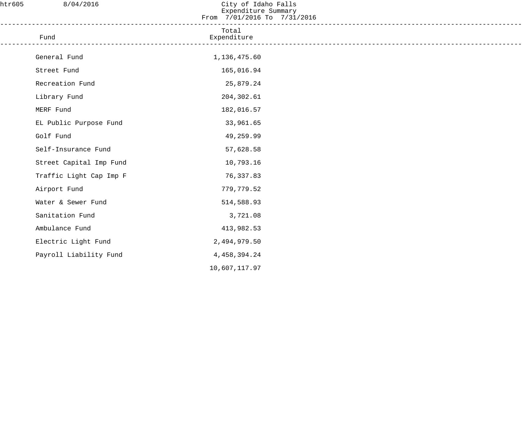| htr605 | 8/04/2016               | City of Idaho Falls<br>Expenditure Summary<br>From 7/01/2016 To 7/31/2016 |  |
|--------|-------------------------|---------------------------------------------------------------------------|--|
|        | Fund                    | -----------------<br>Total<br>Expenditure                                 |  |
|        | General Fund            | 1,136,475.60                                                              |  |
|        | Street Fund             | 165,016.94                                                                |  |
|        | Recreation Fund         | 25,879.24                                                                 |  |
|        | Library Fund            | 204,302.61                                                                |  |
|        | MERF Fund               | 182,016.57                                                                |  |
|        | EL Public Purpose Fund  | 33,961.65                                                                 |  |
|        | Golf Fund               | 49,259.99                                                                 |  |
|        | Self-Insurance Fund     | 57,628.58                                                                 |  |
|        | Street Capital Imp Fund | 10,793.16                                                                 |  |
|        | Traffic Light Cap Imp F | 76,337.83                                                                 |  |
|        | Airport Fund            | 779,779.52                                                                |  |
|        | Water & Sewer Fund      | 514,588.93                                                                |  |
|        | Sanitation Fund         | 3,721.08                                                                  |  |
|        | Ambulance Fund          | 413,982.53                                                                |  |
|        | Electric Light Fund     | 2,494,979.50                                                              |  |
|        | Payroll Liability Fund  | 4, 458, 394. 24                                                           |  |
|        |                         | 10,607,117.97                                                             |  |
|        |                         |                                                                           |  |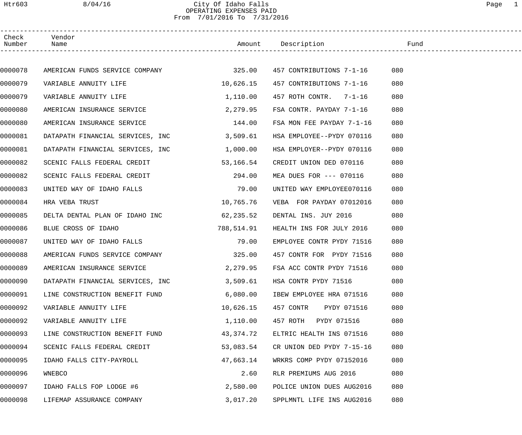## Htr603 8/04/16 City Of Idaho Falls Page 1 OPERATING EXPENSES PAID From 7/01/2016 To 7/31/2016

| Check<br>Number | Vendor<br>Name                        |            | Amount Description        | Fund |  |
|-----------------|---------------------------------------|------------|---------------------------|------|--|
|                 |                                       |            |                           |      |  |
| 0000078         | AMERICAN FUNDS SERVICE COMPANY 325.00 |            | 457 CONTRIBUTIONS 7-1-16  | 080  |  |
| 0000079         | VARIABLE ANNUITY LIFE                 | 10,626.15  | 457 CONTRIBUTIONS 7-1-16  | 080  |  |
| 0000079         | VARIABLE ANNUITY LIFE                 | 1,110.00   | 457 ROTH CONTR. 7-1-16    | 080  |  |
| 0000080         | AMERICAN INSURANCE SERVICE            | 2,279.95   | FSA CONTR. PAYDAY 7-1-16  | 080  |  |
| 0000080         | AMERICAN INSURANCE SERVICE            | 144.00     | FSA MON FEE PAYDAY 7-1-16 | 080  |  |
| 0000081         | DATAPATH FINANCIAL SERVICES, INC      | 3,509.61   | HSA EMPLOYEE--PYDY 070116 | 080  |  |
| 0000081         | DATAPATH FINANCIAL SERVICES, INC      | 1,000.00   | HSA EMPLOYER--PYDY 070116 | 080  |  |
| 0000082         | SCENIC FALLS FEDERAL CREDIT           | 53,166.54  | CREDIT UNION DED 070116   | 080  |  |
| 0000082         | SCENIC FALLS FEDERAL CREDIT           | 294.00     | MEA DUES FOR --- 070116   | 080  |  |
| 0000083         | UNITED WAY OF IDAHO FALLS             | 79.00      | UNITED WAY EMPLOYEE070116 | 080  |  |
| 0000084         | HRA VEBA TRUST                        | 10,765.76  | VEBA FOR PAYDAY 07012016  | 080  |  |
| 0000085         | DELTA DENTAL PLAN OF IDAHO INC        | 62, 235.52 | DENTAL INS. JUY 2016      | 080  |  |
| 0000086         | BLUE CROSS OF IDAHO                   | 788,514.91 | HEALTH INS FOR JULY 2016  | 080  |  |
| 0000087         | UNITED WAY OF IDAHO FALLS             | 79.00      | EMPLOYEE CONTR PYDY 71516 | 080  |  |
| 0000088         | AMERICAN FUNDS SERVICE COMPANY        | 325.00     | 457 CONTR FOR PYDY 71516  | 080  |  |
| 0000089         | AMERICAN INSURANCE SERVICE            | 2,279.95   | FSA ACC CONTR PYDY 71516  | 080  |  |
| 0000090         | DATAPATH FINANCIAL SERVICES, INC      | 3,509.61   | HSA CONTR PYDY 71516      | 080  |  |
| 0000091         | LINE CONSTRUCTION BENEFIT FUND        | 6,080.00   | IBEW EMPLOYEE HRA 071516  | 080  |  |
| 0000092         | VARIABLE ANNUITY LIFE                 | 10,626.15  | 457 CONTR<br>PYDY 071516  | 080  |  |
| 0000092         | VARIABLE ANNUITY LIFE                 | 1,110.00   | 457 ROTH PYDY 071516      | 080  |  |
| 0000093         | LINE CONSTRUCTION BENEFIT FUND        | 43,374.72  | ELTRIC HEALTH INS 071516  | 080  |  |
| 0000094         | SCENIC FALLS FEDERAL CREDIT           | 53,083.54  | CR UNION DED PYDY 7-15-16 | 080  |  |
| 0000095         | IDAHO FALLS CITY-PAYROLL              | 47,663.14  | WRKRS COMP PYDY 07152016  | 080  |  |
| 0000096         | WNEBCO                                | 2.60       | RLR PREMIUMS AUG 2016     | 080  |  |
| 0000097         | IDAHO FALLS FOP LODGE #6              | 2,580.00   | POLICE UNION DUES AUG2016 | 080  |  |
| 0000098         | LIFEMAP ASSURANCE COMPANY             | 3,017.20   | SPPLMNTL LIFE INS AUG2016 | 080  |  |
|                 |                                       |            |                           |      |  |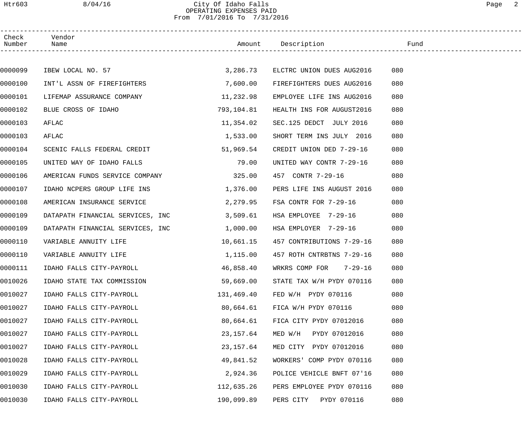### Htr603 8/04/16 City Of Idaho Falls Page 2 OPERATING EXPENSES PAID From 7/01/2016 To 7/31/2016

| Check<br>Number | Vendor<br>Name                        |            |                           |     |
|-----------------|---------------------------------------|------------|---------------------------|-----|
|                 |                                       |            |                           |     |
| 0000099         | IBEW LOCAL NO. 57                     | 3,286.73   | ELCTRC UNION DUES AUG2016 | 080 |
| 0000100         | INT'L ASSN OF FIREFIGHTERS            | 7,600.00   | FIREFIGHTERS DUES AUG2016 | 080 |
| 0000101         | LIFEMAP ASSURANCE COMPANY             | 11, 232.98 | EMPLOYEE LIFE INS AUG2016 | 080 |
| 0000102         | BLUE CROSS OF IDAHO                   | 793,104.81 | HEALTH INS FOR AUGUST2016 | 080 |
| 0000103         | AFLAC                                 | 11,354.02  | SEC.125 DEDCT JULY 2016   | 080 |
| 0000103         | AFLAC                                 | 1,533.00   | SHORT TERM INS JULY 2016  | 080 |
| 0000104         | SCENIC FALLS FEDERAL CREDIT 51,969.54 |            | CREDIT UNION DED 7-29-16  | 080 |
| 0000105         | UNITED WAY OF IDAHO FALLS             | 79.00      | UNITED WAY CONTR 7-29-16  | 080 |
| 0000106         | AMERICAN FUNDS SERVICE COMPANY        | 325.00     | 457 CONTR 7-29-16         | 080 |
| 0000107         | IDAHO NCPERS GROUP LIFE INS           | 1,376.00   | PERS LIFE INS AUGUST 2016 | 080 |
| 0000108         | AMERICAN INSURANCE SERVICE            | 2,279.95   | FSA CONTR FOR 7-29-16     | 080 |
| 0000109         | DATAPATH FINANCIAL SERVICES, INC      | 3,509.61   | HSA EMPLOYEE 7-29-16      | 080 |
| 0000109         | DATAPATH FINANCIAL SERVICES, INC      | 1,000.00   | HSA EMPLOYER 7-29-16      | 080 |
| 0000110         | VARIABLE ANNUITY LIFE                 | 10,661.15  | 457 CONTRIBUTIONS 7-29-16 | 080 |
| 0000110         | VARIABLE ANNUITY LIFE                 | 1,115.00   | 457 ROTH CNTRBTNS 7-29-16 | 080 |
| 0000111         | IDAHO FALLS CITY-PAYROLL              | 46,858.40  | WRKRS COMP FOR 7-29-16    | 080 |
| 0010026         | IDAHO STATE TAX COMMISSION            | 59,669.00  | STATE TAX W/H PYDY 070116 | 080 |
| 0010027         | IDAHO FALLS CITY-PAYROLL              | 131,469.40 | FED W/H PYDY 070116       | 080 |
| 0010027         | IDAHO FALLS CITY-PAYROLL              | 80,664.61  | FICA W/H PYDY 070116      | 080 |
| 0010027         | IDAHO FALLS CITY-PAYROLL              | 80,664.61  | FICA CITY PYDY 07012016   | 080 |
| 0010027         | IDAHO FALLS CITY-PAYROLL              | 23, 157.64 | MED W/H PYDY 07012016     | 080 |
| 0010027         | IDAHO FALLS CITY-PAYROLL              | 23,157.64  | MED CITY PYDY 07012016    | 080 |
| 0010028         | IDAHO FALLS CITY-PAYROLL              | 49,841.52  | WORKERS' COMP PYDY 070116 | 080 |
| 0010029         | IDAHO FALLS CITY-PAYROLL              | 2,924.36   | POLICE VEHICLE BNFT 07'16 | 080 |
| 0010030         | IDAHO FALLS CITY-PAYROLL              | 112,635.26 | PERS EMPLOYEE PYDY 070116 | 080 |
| 0010030         | IDAHO FALLS CITY-PAYROLL              | 190,099.89 | PERS CITY<br>PYDY 070116  | 080 |
|                 |                                       |            |                           |     |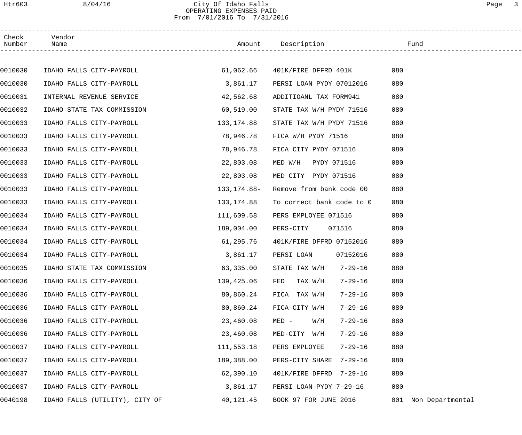## Htr603 8/04/16 City Of Idaho Falls Page 3 OPERATING EXPENSES PAID From 7/01/2016 To 7/31/2016

| Check<br>Number | Vendor<br>Name                 |             | Amount Description                       | Fund                    |
|-----------------|--------------------------------|-------------|------------------------------------------|-------------------------|
|                 |                                |             |                                          |                         |
| 0010030         | IDAHO FALLS CITY-PAYROLL       |             | 61,062.66    401K/FIRE DFFRD    401K     | 080                     |
| 0010030         | IDAHO FALLS CITY-PAYROLL       | 3,861.17    | PERSI LOAN PYDY 07012016                 | 080                     |
| 0010031         | INTERNAL REVENUE SERVICE       | 42,562.68   | ADDITIOANL TAX FORM941                   | 080                     |
| 0010032         | IDAHO STATE TAX COMMISSION     | 60,519.00   | STATE TAX W/H PYDY 71516                 | 080                     |
| 0010033         | IDAHO FALLS CITY-PAYROLL       | 133,174.88  | STATE TAX W/H PYDY 71516                 | 080                     |
| 0010033         | IDAHO FALLS CITY-PAYROLL       | 78,946.78   | FICA W/H PYDY 71516                      | 080                     |
| 0010033         | IDAHO FALLS CITY-PAYROLL       | 78,946.78   | FICA CITY PYDY 071516                    | 080                     |
| 0010033         | IDAHO FALLS CITY-PAYROLL       | 22,803.08   | MED W/H PYDY 071516                      | 080                     |
| 0010033         | IDAHO FALLS CITY-PAYROLL       | 22,803.08   | MED CITY PYDY 071516                     | 080                     |
| 0010033         | IDAHO FALLS CITY-PAYROLL       | 133,174.88- | Remove from bank code 00                 | 080                     |
| 0010033         | IDAHO FALLS CITY-PAYROLL       | 133,174.88  | To correct bank code to 0                | 080                     |
| 0010034         | IDAHO FALLS CITY-PAYROLL       | 111,609.58  | PERS EMPLOYEE 071516                     | 080                     |
| 0010034         | IDAHO FALLS CITY-PAYROLL       | 189,004.00  | PERS-CITY<br>071516                      | 080                     |
| 0010034         | IDAHO FALLS CITY-PAYROLL       | 61,295.76   | 401K/FIRE DFFRD 07152016                 | 080                     |
| 0010034         | IDAHO FALLS CITY-PAYROLL       | 3,861.17    | PERSI LOAN<br>07152016                   | 080                     |
| 0010035         | IDAHO STATE TAX COMMISSION     | 63,335.00   | STATE TAX $W/H$ 7-29-16                  | 080                     |
| 0010036         | IDAHO FALLS CITY-PAYROLL       | 139,425.06  | 7-29-16<br>FED<br>TAX W/H                | 080                     |
| 0010036         | IDAHO FALLS CITY-PAYROLL       | 80,860.24   | FICA TAX W/H<br>7-29-16                  | 080                     |
| 0010036         | IDAHO FALLS CITY-PAYROLL       | 80,860.24   | FICA-CITY W/H<br>$7 - 29 - 16$           | 080                     |
| 0010036         | IDAHO FALLS CITY-PAYROLL       | 23,460.08   | $7 - 29 - 16$<br>$MED -$<br>$_{\rm H/W}$ | 080                     |
| 0010036         | IDAHO FALLS CITY-PAYROLL       | 23,460.08   | MED-CITY W/H<br>$7 - 29 - 16$            | 080                     |
| 0010037         | IDAHO FALLS CITY-PAYROLL       | 111,553.18  | PERS EMPLOYEE<br>$7 - 29 - 16$           | 080                     |
| 0010037         | IDAHO FALLS CITY-PAYROLL       | 189,388.00  | PERS-CITY SHARE<br>7-29-16               | 080                     |
| 0010037         | IDAHO FALLS CITY-PAYROLL       | 62,390.10   | 401K/FIRE DFFRD 7-29-16                  | 080                     |
| 0010037         | IDAHO FALLS CITY-PAYROLL       | 3,861.17    | PERSI LOAN PYDY 7-29-16                  | 080                     |
| 0040198         | IDAHO FALLS (UTILITY), CITY OF | 40,121.45   | BOOK 97 FOR JUNE 2016                    | Non Departmental<br>001 |
|                 |                                |             |                                          |                         |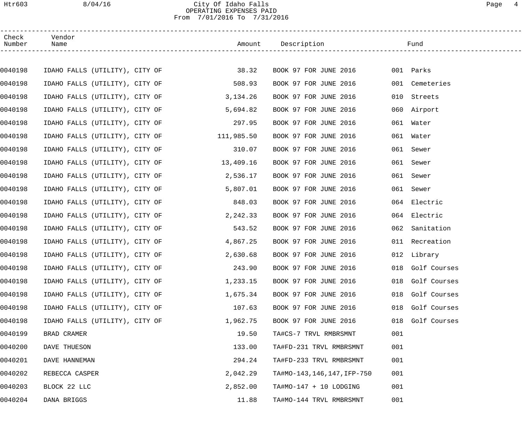## Htr603 8/04/16 City Of Idaho Falls Page 4 OPERATING EXPENSES PAID From 7/01/2016 To 7/31/2016

| Check<br>Number | Vendor<br>Name                       | Amount Description |                           | Fund                |  |
|-----------------|--------------------------------------|--------------------|---------------------------|---------------------|--|
|                 |                                      |                    |                           |                     |  |
| 0040198         | IDAHO FALLS (UTILITY), CITY OF 38.32 |                    | BOOK 97 FOR JUNE 2016     | 001 Parks           |  |
| 0040198         | IDAHO FALLS (UTILITY), CITY OF       | 508.93             | BOOK 97 FOR JUNE 2016     | 001 Cemeteries      |  |
| 0040198         | IDAHO FALLS (UTILITY), CITY OF       | 3,134.26           | BOOK 97 FOR JUNE 2016     | 010<br>Streets      |  |
| 0040198         | IDAHO FALLS (UTILITY), CITY OF       | 5,694.82           | BOOK 97 FOR JUNE 2016     | 060 Airport         |  |
| 0040198         | IDAHO FALLS (UTILITY), CITY OF       | 297.95             | BOOK 97 FOR JUNE 2016     | 061 Water           |  |
| 0040198         | IDAHO FALLS (UTILITY), CITY OF       | 111,985.50         | BOOK 97 FOR JUNE 2016     | 061 Water           |  |
| 0040198         | IDAHO FALLS (UTILITY), CITY OF       | 310.07             | BOOK 97 FOR JUNE 2016     | 061 Sewer           |  |
| 0040198         | IDAHO FALLS (UTILITY), CITY OF       | 13,409.16          | BOOK 97 FOR JUNE 2016     | 061<br>Sewer        |  |
| 0040198         | IDAHO FALLS (UTILITY), CITY OF       | 2,536.17           | BOOK 97 FOR JUNE 2016     | 061<br>Sewer        |  |
| 0040198         | IDAHO FALLS (UTILITY), CITY OF       | 5,807.01           | BOOK 97 FOR JUNE 2016     | 061<br>Sewer        |  |
| 0040198         | IDAHO FALLS (UTILITY), CITY OF       | 848.03             | BOOK 97 FOR JUNE 2016     | 064 Electric        |  |
| 0040198         | IDAHO FALLS (UTILITY), CITY OF       | 2,242.33           | BOOK 97 FOR JUNE 2016     | 064 Electric        |  |
| 0040198         | IDAHO FALLS (UTILITY), CITY OF       | 543.52             | BOOK 97 FOR JUNE 2016     | Sanitation<br>062   |  |
| 0040198         | IDAHO FALLS (UTILITY), CITY OF       | 4,867.25           | BOOK 97 FOR JUNE 2016     | 011 Recreation      |  |
| 0040198         | IDAHO FALLS (UTILITY), CITY OF       | 2,630.68           | BOOK 97 FOR JUNE 2016     | 012 Library         |  |
| 0040198         | IDAHO FALLS (UTILITY), CITY OF       | 243.90             | BOOK 97 FOR JUNE 2016     | 018 Golf Courses    |  |
| 0040198         | IDAHO FALLS (UTILITY), CITY OF       | 1,233.15           | BOOK 97 FOR JUNE 2016     | 018 Golf Courses    |  |
| 0040198         | IDAHO FALLS (UTILITY), CITY OF       | 1,675.34           | BOOK 97 FOR JUNE 2016     | 018<br>Golf Courses |  |
| 0040198         | IDAHO FALLS (UTILITY), CITY OF       | 107.63             | BOOK 97 FOR JUNE 2016     | Golf Courses<br>018 |  |
| 0040198         | IDAHO FALLS (UTILITY), CITY OF       | 1,962.75           | BOOK 97 FOR JUNE 2016     | Golf Courses<br>018 |  |
| 0040199         | BRAD CRAMER                          | 19.50              | TA#CS-7 TRVL RMBRSMNT     | 001                 |  |
| 0040200         | DAVE THUESON                         | 133.00             | TA#FD-231 TRVL RMBRSMNT   | 001                 |  |
| 0040201         | DAVE HANNEMAN                        | 294.24             | TA#FD-233 TRVL RMBRSMNT   | 001                 |  |
| 0040202         | REBECCA CASPER                       | 2,042.29           | TA#MO-143,146,147,IFP-750 | 001                 |  |
| 0040203         | BLOCK 22 LLC                         | 2,852.00           | TA#MO-147 + 10 LODGING    | 001                 |  |
| 0040204         | DANA BRIGGS                          | 11.88              | TA#MO-144 TRVL RMBRSMNT   | 001                 |  |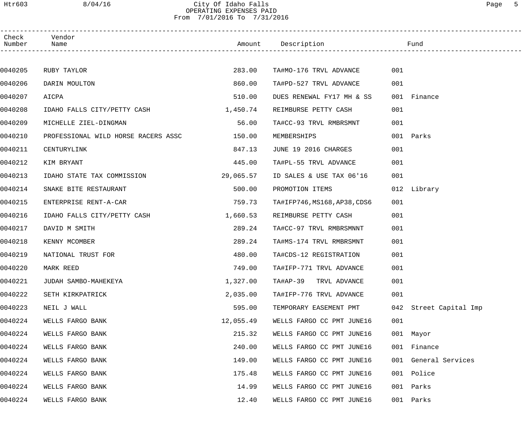#### Htr603 8/04/16 City Of Idaho Falls Page 5 OPERATING EXPENSES PAID From 7/01/2016 To 7/31/2016

| Check<br>Number | Vendor<br>Name                      |           | Amount Description           |     | Fund                   |
|-----------------|-------------------------------------|-----------|------------------------------|-----|------------------------|
|                 |                                     |           |                              |     |                        |
| 0040205         | RUBY TAYLOR                         | 283.00    | TA#MO-176 TRVL ADVANCE       | 001 |                        |
| 0040206         | DARIN MOULTON                       | 860.00    | TA#PD-527 TRVL ADVANCE       | 001 |                        |
| 0040207         | AICPA                               | 510.00    | DUES RENEWAL FY17 MH & SS    |     | 001 Finance            |
| 0040208         | IDAHO FALLS CITY/PETTY CASH         | 1,450.74  | REIMBURSE PETTY CASH         | 001 |                        |
| 0040209         | MICHELLE ZIEL-DINGMAN               | 56.00     | TA#CC-93 TRVL RMBRSMNT       | 001 |                        |
| 0040210         | PROFESSIONAL WILD HORSE RACERS ASSC | 150.00    | MEMBERSHIPS                  |     | 001 Parks              |
| 0040211         | CENTURYLINK                         | 847.13    | JUNE 19 2016 CHARGES         | 001 |                        |
| 0040212         | KIM BRYANT                          | 445.00    | TA#PL-55 TRVL ADVANCE        | 001 |                        |
| 0040213         | IDAHO STATE TAX COMMISSION          | 29,065.57 | ID SALES & USE TAX 06'16     | 001 |                        |
| 0040214         | SNAKE BITE RESTAURANT               | 500.00    | PROMOTION ITEMS              |     | 012 Library            |
| 0040215         | ENTERPRISE RENT-A-CAR               | 759.73    | TA#IFP746, MS168, AP38, CDS6 | 001 |                        |
| 0040216         | IDAHO FALLS CITY/PETTY CASH         | 1,660.53  | REIMBURSE PETTY CASH         | 001 |                        |
| 0040217         | DAVID M SMITH                       | 289.24    | TA#CC-97 TRVL RMBRSMNNT      | 001 |                        |
| 0040218         | KENNY MCOMBER                       | 289.24    | TA#MS-174 TRVL RMBRSMNT      | 001 |                        |
| 0040219         | NATIONAL TRUST FOR                  | 480.00    | TA#CDS-12 REGISTRATION       | 001 |                        |
| 0040220         | MARK REED                           | 749.00    | TA#IFP-771 TRVL ADVANCE      | 001 |                        |
| 0040221         | JUDAH SAMBO-MAHEKEYA                | 1,327.00  | TA#AP-39 TRVL ADVANCE        | 001 |                        |
| 0040222         | SETH KIRKPATRICK                    | 2,035.00  | TA#IFP-776 TRVL ADVANCE      | 001 |                        |
| 0040223         | NEIL J WALL                         | 595.00    | TEMPORARY EASEMENT PMT       |     | 042 Street Capital Imp |
| 0040224         | WELLS FARGO BANK                    | 12,055.49 | WELLS FARGO CC PMT JUNE16    | 001 |                        |
| 0040224         | WELLS FARGO BANK                    | 215.32    | WELLS FARGO CC PMT JUNE16    |     | 001 Mayor              |
| 0040224         | WELLS FARGO BANK                    | 240.00    | WELLS FARGO CC PMT JUNE16    |     | 001 Finance            |
| 0040224         | WELLS FARGO BANK                    | 149.00    | WELLS FARGO CC PMT JUNE16    |     | 001 General Services   |
| 0040224         | WELLS FARGO BANK                    | 175.48    | WELLS FARGO CC PMT JUNE16    | 001 | Police                 |
| 0040224         | WELLS FARGO BANK                    | 14.99     | WELLS FARGO CC PMT JUNE16    | 001 | Parks                  |
| 0040224         | WELLS FARGO BANK                    | 12.40     | WELLS FARGO CC PMT JUNE16    | 001 | Parks                  |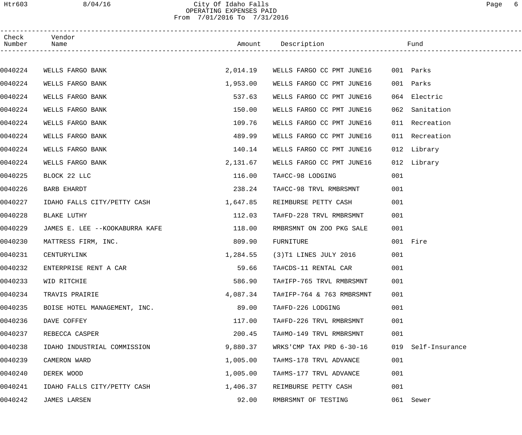#### Htr603 8/04/16 City Of Idaho Falls Page 6 OPERATING EXPENSES PAID From 7/01/2016 To 7/31/2016

| Check<br>Number | Vendor<br>Name                 |          |                           |     |                |
|-----------------|--------------------------------|----------|---------------------------|-----|----------------|
|                 |                                |          |                           |     |                |
| 0040224         | WELLS FARGO BANK               | 2,014.19 | WELLS FARGO CC PMT JUNE16 |     | 001 Parks      |
| 0040224         | WELLS FARGO BANK               | 1,953.00 | WELLS FARGO CC PMT JUNE16 |     | 001 Parks      |
| 0040224         | WELLS FARGO BANK               | 537.63   | WELLS FARGO CC PMT JUNE16 |     | 064 Electric   |
| 0040224         | WELLS FARGO BANK               | 150.00   | WELLS FARGO CC PMT JUNE16 |     | 062 Sanitation |
| 0040224         | WELLS FARGO BANK               | 109.76   | WELLS FARGO CC PMT JUNE16 |     | 011 Recreation |
| 0040224         | WELLS FARGO BANK               | 489.99   | WELLS FARGO CC PMT JUNE16 |     | 011 Recreation |
| 0040224         | WELLS FARGO BANK               | 140.14   | WELLS FARGO CC PMT JUNE16 |     | 012 Library    |
| 0040224         | WELLS FARGO BANK               | 2,131.67 | WELLS FARGO CC PMT JUNE16 |     | 012 Library    |
| 0040225         | BLOCK 22 LLC                   | 116.00   | TA#CC-98 LODGING          | 001 |                |
| 0040226         | <b>BARB EHARDT</b>             | 238.24   | TA#CC-98 TRVL RMBRSMNT    | 001 |                |
| 0040227         | IDAHO FALLS CITY/PETTY CASH    | 1,647.85 | REIMBURSE PETTY CASH      | 001 |                |
| 0040228         | BLAKE LUTHY                    | 112.03   | TA#FD-228 TRVL RMBRSMNT   | 001 |                |
| 0040229         | JAMES E. LEE --KOOKABURRA KAFE | 118.00   | RMBRSMNT ON ZOO PKG SALE  | 001 |                |
| 0040230         | MATTRESS FIRM, INC.            | 809.90   | FURNITURE                 |     | 001 Fire       |
| 0040231         | CENTURYLINK                    | 1,284.55 | (3)T1 LINES JULY 2016     | 001 |                |
| 0040232         | ENTERPRISE RENT A CAR          | 59.66    | TA#CDS-11 RENTAL CAR      | 001 |                |
| 0040233         | WID RITCHIE                    | 586.90   | TA#IFP-765 TRVL RMBRSMNT  | 001 |                |
| 0040234         | TRAVIS PRAIRIE                 | 4,087.34 | TA#IFP-764 & 763 RMBRSMNT | 001 |                |
| 0040235         | BOISE HOTEL MANAGEMENT, INC.   | 89.00    | TA#FD-226 LODGING         | 001 |                |
| 0040236         | DAVE COFFEY                    | 117.00   | TA#FD-226 TRVL RMBRSMNT   | 001 |                |
| 0040237         | REBECCA CASPER                 | 200.45   | TA#MO-149 TRVL RMBRSMNT   | 001 |                |
| 0040238         | IDAHO INDUSTRIAL COMMISSION    | 9,880.37 | WRKS'CMP TAX PRD 6-30-16  | 019 | Self-Insurance |
| 0040239         | CAMERON WARD                   | 1,005.00 | TA#MS-178 TRVL ADVANCE    | 001 |                |
| 0040240         | DEREK WOOD                     | 1,005.00 | TA#MS-177 TRVL ADVANCE    | 001 |                |
| 0040241         | IDAHO FALLS CITY/PETTY CASH    | 1,406.37 | REIMBURSE PETTY CASH      | 001 |                |
| 0040242         | <b>JAMES LARSEN</b>            | 92.00    | RMBRSMNT OF TESTING       |     | 061 Sewer      |
|                 |                                |          |                           |     |                |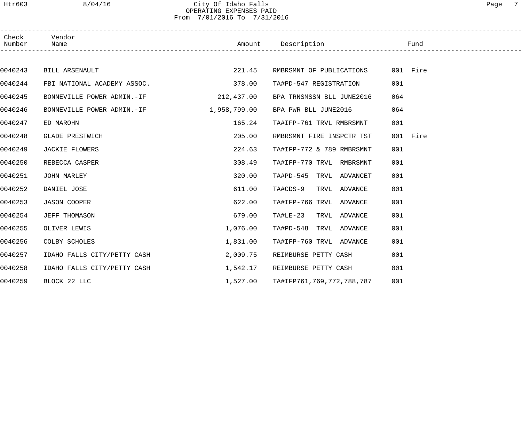## Htr603 8/04/16 City Of Idaho Falls Page 7 OPERATING EXPENSES PAID From 7/01/2016 To 7/31/2016

| Check<br>Number | Vendor<br>Name                          |            | Amount Description                 | Fund     |  |
|-----------------|-----------------------------------------|------------|------------------------------------|----------|--|
|                 |                                         |            |                                    |          |  |
| 0040243         | BILL ARSENAULT                          | 221.45     | RMBRSMNT OF PUBLICATIONS           | 001 Fire |  |
| 0040244         | FBI NATIONAL ACADEMY ASSOC.             | 378.00     | TA#PD-547 REGISTRATION             | 001      |  |
| 0040245         | BONNEVILLE POWER ADMIN.-IF              | 212,437.00 | BPA TRNSMSSN BLL JUNE2016          | 064      |  |
| 0040246         | BONNEVILLE POWER ADMIN.-IF 1,958,799.00 |            | BPA PWR BLL JUNE2016               | 064      |  |
| 0040247         | ED MAROHN                               | 165.24     | TA#IFP-761 TRVL RMBRSMNT           | 001      |  |
| 0040248         | GLADE PRESTWICH                         | 205.00     | RMBRSMNT FIRE INSPCTR TST          | 001 Fire |  |
| 0040249         | JACKIE FLOWERS                          | 224.63     | TA#IFP-772 & 789 RMBRSMNT          | 001      |  |
| 0040250         | REBECCA CASPER                          | 308.49     | TA#IFP-770 TRVL RMBRSMNT           | 001      |  |
| 0040251         | JOHN MARLEY                             | 320.00     | TA#PD-545 TRVL ADVANCET            | 001      |  |
| 0040252         | DANIEL JOSE                             | 611.00     | TA#CDS-9 TRVL ADVANCE              | 001      |  |
| 0040253         | <b>JASON COOPER</b>                     | 622.00     | TA#IFP-766 TRVL ADVANCE            | 001      |  |
| 0040254         | JEFF THOMASON                           | 679.00     | TA#LE-23 TRVL ADVANCE              | 001      |  |
| 0040255         | OLIVER LEWIS                            | 1,076.00   | TA#PD-548 TRVL ADVANCE             | 001      |  |
| 0040256         | COLBY SCHOLES                           | 1,831.00   | TA#IFP-760 TRVL ADVANCE            | 001      |  |
| 0040257         | IDAHO FALLS CITY/PETTY CASH             | 2,009.75   | REIMBURSE PETTY CASH               | 001      |  |
| 0040258         | IDAHO FALLS CITY/PETTY CASH             | 1,542.17   | REIMBURSE PETTY CASH               | 001      |  |
| 0040259         | BLOCK 22 LLC                            |            | 1,527.00 TA#IFP761,769,772,788,787 | 001      |  |
|                 |                                         |            |                                    |          |  |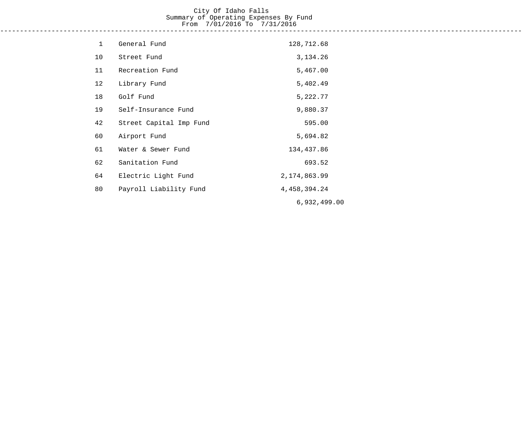## City Of Idaho Falls Summary of Operating Expenses By Fund From 7/01/2016 To 7/31/2016

------------------------------------------------------------------------------------------------------------------------------------

| $\mathbf{1}$ | General Fund            | 128,712.68      |
|--------------|-------------------------|-----------------|
| 10           | Street Fund             | 3, 134. 26      |
| 11           | Recreation Fund         | 5,467.00        |
| 12           | Library Fund            | 5,402.49        |
| 18           | Golf Fund               | 5,222.77        |
| 19           | Self-Insurance Fund     | 9,880.37        |
| 42           | Street Capital Imp Fund | 595.00          |
| 60           | Airport Fund            | 5,694.82        |
| 61           | Water & Sewer Fund      | 134,437.86      |
| 62           | Sanitation Fund         | 693.52          |
| 64           | Electric Light Fund     | 2, 174, 863.99  |
| 80           | Payroll Liability Fund  | 4, 458, 394. 24 |
|              |                         | 6,932,499.00    |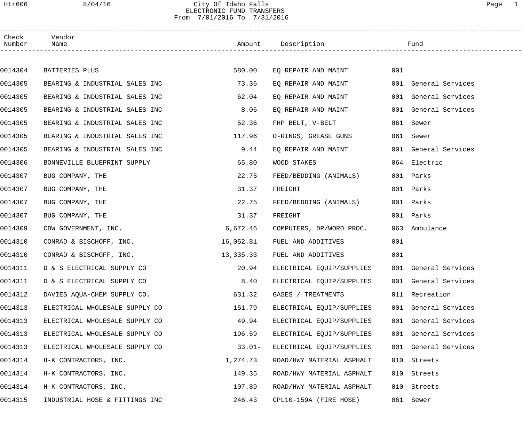### Htr606 8/04/16 City Of Idaho Falls Page 1 ELECTRONIC FUND TRANSFERS From 7/01/2016 To 7/31/2016

| Check<br>Number | Vendor<br>Name                 |           | Amount Description        |     | Fund                 |
|-----------------|--------------------------------|-----------|---------------------------|-----|----------------------|
|                 |                                |           |                           |     |                      |
| 0014304         | BATTERIES PLUS                 | 580.00    | EQ REPAIR AND MAINT       | 001 |                      |
| 0014305         | BEARING & INDUSTRIAL SALES INC | 73.36     | EQ REPAIR AND MAINT       |     | 001 General Services |
| 0014305         | BEARING & INDUSTRIAL SALES INC | 62.04     | EQ REPAIR AND MAINT       |     | 001 General Services |
| 0014305         | BEARING & INDUSTRIAL SALES INC | 8.06      | EQ REPAIR AND MAINT       |     | 001 General Services |
| 0014305         | BEARING & INDUSTRIAL SALES INC | 52.36     | FHP BELT, V-BELT          |     | 061 Sewer            |
| 0014305         | BEARING & INDUSTRIAL SALES INC | 117.96    | O-RINGS, GREASE GUNS      |     | 061 Sewer            |
| 0014305         | BEARING & INDUSTRIAL SALES INC | 9.44      | EQ REPAIR AND MAINT       |     | 001 General Services |
| 0014306         | BONNEVILLE BLUEPRINT SUPPLY    | 65.80     | WOOD STAKES               |     | 064 Electric         |
| 0014307         | BUG COMPANY, THE               | 22.75     | FEED/BEDDING (ANIMALS)    |     | 001 Parks            |
| 0014307         | BUG COMPANY, THE               | 31.37     | FREIGHT                   |     | 001 Parks            |
| 0014307         | BUG COMPANY, THE               | 22.75     | FEED/BEDDING (ANIMALS)    |     | 001 Parks            |
| 0014307         | BUG COMPANY, THE               | 31.37     | FREIGHT                   |     | 001 Parks            |
| 0014309         | CDW GOVERNMENT, INC.           | 6,672.46  | COMPUTERS, DP/WORD PROC.  | 063 | Ambulance            |
| 0014310         | CONRAD & BISCHOFF, INC.        | 16,052.81 | FUEL AND ADDITIVES        | 001 |                      |
| 0014310         | CONRAD & BISCHOFF, INC.        | 13,335.33 | FUEL AND ADDITIVES        | 001 |                      |
| 0014311         | D & S ELECTRICAL SUPPLY CO     | 20.94     | ELECTRICAL EQUIP/SUPPLIES |     | 001 General Services |
| 0014311         | D & S ELECTRICAL SUPPLY CO     | 8.40      | ELECTRICAL EQUIP/SUPPLIES |     | 001 General Services |
| 0014312         | DAVIES AQUA-CHEM SUPPLY CO.    | 631.32    | GASES / TREATMENTS        |     | 011 Recreation       |
| 0014313         | ELECTRICAL WHOLESALE SUPPLY CO | 151.79    | ELECTRICAL EQUIP/SUPPLIES |     | 001 General Services |
| 0014313         | ELECTRICAL WHOLESALE SUPPLY CO | 49.94     | ELECTRICAL EQUIP/SUPPLIES |     | 001 General Services |
| 0014313         | ELECTRICAL WHOLESALE SUPPLY CO | 196.59    | ELECTRICAL EQUIP/SUPPLIES |     | 001 General Services |
| 0014313         | ELECTRICAL WHOLESALE SUPPLY CO | $33.01-$  | ELECTRICAL EQUIP/SUPPLIES |     | 001 General Services |
| 0014314         | H-K CONTRACTORS, INC.          | 1,274.73  | ROAD/HWY MATERIAL ASPHALT |     | 010 Streets          |
| 0014314         | H-K CONTRACTORS, INC.          | 149.35    | ROAD/HWY MATERIAL ASPHALT | 010 | Streets              |
| 0014314         | H-K CONTRACTORS, INC.          | 107.89    | ROAD/HWY MATERIAL ASPHALT |     | 010 Streets          |
| 0014315         | INDUSTRIAL HOSE & FITTINGS INC | 246.43    | CPL10-159A (FIRE HOSE)    |     | 061 Sewer            |
|                 |                                |           |                           |     |                      |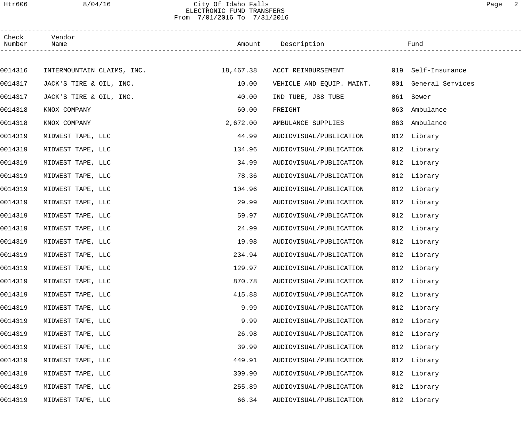#### Htr606 8/04/16 City Of Idaho Falls Page 2 ELECTRONIC FUND TRANSFERS From 7/01/2016 To 7/31/2016

| Check<br>Number | Vendor<br>Name             |           | Amount Description        |     | Fund                 |  |
|-----------------|----------------------------|-----------|---------------------------|-----|----------------------|--|
|                 |                            |           |                           |     |                      |  |
| 0014316         | INTERMOUNTAIN CLAIMS, INC. | 18,467.38 | ACCT REIMBURSEMENT        |     | 019 Self-Insurance   |  |
| 0014317         | JACK'S TIRE & OIL, INC.    | 10.00     | VEHICLE AND EQUIP. MAINT. |     | 001 General Services |  |
| 0014317         | JACK'S TIRE & OIL, INC.    | 40.00     | IND TUBE, JS8 TUBE        | 061 | Sewer                |  |
| 0014318         | KNOX COMPANY               | 60.00     | FREIGHT                   | 063 | Ambulance            |  |
| 0014318         | KNOX COMPANY               | 2,672.00  | AMBULANCE SUPPLIES        | 063 | Ambulance            |  |
| 0014319         | MIDWEST TAPE, LLC          | 44.99     | AUDIOVISUAL/PUBLICATION   |     | 012 Library          |  |
| 0014319         | MIDWEST TAPE, LLC          | 134.96    | AUDIOVISUAL/PUBLICATION   |     | 012 Library          |  |
| 0014319         | MIDWEST TAPE, LLC          | 34.99     | AUDIOVISUAL/PUBLICATION   |     | 012 Library          |  |
| 0014319         | MIDWEST TAPE, LLC          | 78.36     | AUDIOVISUAL/PUBLICATION   |     | 012 Library          |  |
| 0014319         | MIDWEST TAPE, LLC          | 104.96    | AUDIOVISUAL/PUBLICATION   |     | 012 Library          |  |
| 0014319         | MIDWEST TAPE, LLC          | 29.99     | AUDIOVISUAL/PUBLICATION   |     | 012 Library          |  |
| 0014319         | MIDWEST TAPE, LLC          | 59.97     | AUDIOVISUAL/PUBLICATION   |     | 012 Library          |  |
| 0014319         | MIDWEST TAPE, LLC          | 24.99     | AUDIOVISUAL/PUBLICATION   |     | 012 Library          |  |
| 0014319         | MIDWEST TAPE, LLC          | 19.98     | AUDIOVISUAL/PUBLICATION   |     | 012 Library          |  |
| 0014319         | MIDWEST TAPE, LLC          | 234.94    | AUDIOVISUAL/PUBLICATION   |     | 012 Library          |  |
| 0014319         | MIDWEST TAPE, LLC          | 129.97    | AUDIOVISUAL/PUBLICATION   |     | 012 Library          |  |
| 0014319         | MIDWEST TAPE, LLC          | 870.78    | AUDIOVISUAL/PUBLICATION   |     | 012 Library          |  |
| 0014319         | MIDWEST TAPE, LLC          | 415.88    | AUDIOVISUAL/PUBLICATION   |     | 012 Library          |  |
| 0014319         | MIDWEST TAPE, LLC          | 9.99      | AUDIOVISUAL/PUBLICATION   | 012 | Library              |  |
| 0014319         | MIDWEST TAPE, LLC          | 9.99      | AUDIOVISUAL/PUBLICATION   |     | 012 Library          |  |
| 0014319         | MIDWEST TAPE, LLC          | 26.98     | AUDIOVISUAL/PUBLICATION   |     | 012 Library          |  |
| 0014319         | MIDWEST TAPE, LLC          | 39.99     | AUDIOVISUAL/PUBLICATION   | 012 | Library              |  |
| 0014319         | MIDWEST TAPE, LLC          | 449.91    | AUDIOVISUAL/PUBLICATION   | 012 | Library              |  |
| 0014319         | MIDWEST TAPE, LLC          | 309.90    | AUDIOVISUAL/PUBLICATION   |     | 012 Library          |  |
| 0014319         | MIDWEST TAPE, LLC          | 255.89    | AUDIOVISUAL/PUBLICATION   | 012 | Library              |  |
| 0014319         | MIDWEST TAPE, LLC          | 66.34     | AUDIOVISUAL/PUBLICATION   |     | 012 Library          |  |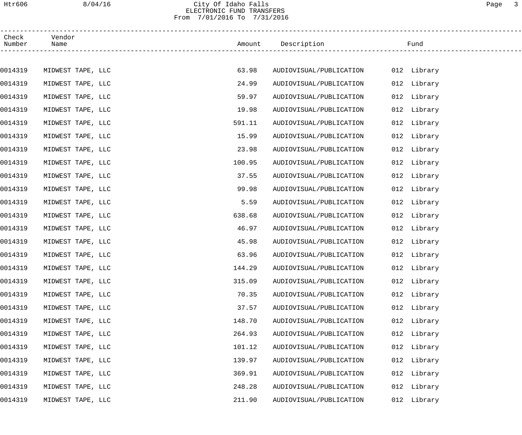#### Htr606 8/04/16 City Of Idaho Falls Page 3 ELECTRONIC FUND TRANSFERS From 7/01/2016 To 7/31/2016

| Check<br>Number | Vendor<br>Name    |        | Amount Description      | Fund           |  |
|-----------------|-------------------|--------|-------------------------|----------------|--|
|                 |                   |        |                         |                |  |
| 0014319         | MIDWEST TAPE, LLC | 63.98  | AUDIOVISUAL/PUBLICATION | 012 Library    |  |
| 0014319         | MIDWEST TAPE, LLC | 24.99  | AUDIOVISUAL/PUBLICATION | 012 Library    |  |
| 0014319         | MIDWEST TAPE, LLC | 59.97  | AUDIOVISUAL/PUBLICATION | 012 Library    |  |
| 0014319         | MIDWEST TAPE, LLC | 19.98  | AUDIOVISUAL/PUBLICATION | 012 Library    |  |
| 0014319         | MIDWEST TAPE, LLC | 591.11 | AUDIOVISUAL/PUBLICATION | 012 Library    |  |
| 0014319         | MIDWEST TAPE, LLC | 15.99  | AUDIOVISUAL/PUBLICATION | 012 Library    |  |
| 0014319         | MIDWEST TAPE, LLC | 23.98  | AUDIOVISUAL/PUBLICATION | 012 Library    |  |
| 0014319         | MIDWEST TAPE, LLC | 100.95 | AUDIOVISUAL/PUBLICATION | 012 Library    |  |
| 0014319         | MIDWEST TAPE, LLC | 37.55  | AUDIOVISUAL/PUBLICATION | 012 Library    |  |
| 0014319         | MIDWEST TAPE, LLC | 99.98  | AUDIOVISUAL/PUBLICATION | 012 Library    |  |
| 0014319         | MIDWEST TAPE, LLC | 5.59   | AUDIOVISUAL/PUBLICATION | 012 Library    |  |
| 0014319         | MIDWEST TAPE, LLC | 638.68 | AUDIOVISUAL/PUBLICATION | 012 Library    |  |
| 0014319         | MIDWEST TAPE, LLC | 46.97  | AUDIOVISUAL/PUBLICATION | 012 Library    |  |
| 0014319         | MIDWEST TAPE, LLC | 45.98  | AUDIOVISUAL/PUBLICATION | 012 Library    |  |
| 0014319         | MIDWEST TAPE, LLC | 63.96  | AUDIOVISUAL/PUBLICATION | 012 Library    |  |
| 0014319         | MIDWEST TAPE, LLC | 144.29 | AUDIOVISUAL/PUBLICATION | 012 Library    |  |
| 0014319         | MIDWEST TAPE, LLC | 315.09 | AUDIOVISUAL/PUBLICATION | 012 Library    |  |
| 0014319         | MIDWEST TAPE, LLC | 70.35  | AUDIOVISUAL/PUBLICATION | 012 Library    |  |
| 0014319         | MIDWEST TAPE, LLC | 37.57  | AUDIOVISUAL/PUBLICATION | Library<br>012 |  |
| 0014319         | MIDWEST TAPE, LLC | 148.70 | AUDIOVISUAL/PUBLICATION | 012 Library    |  |
| 0014319         | MIDWEST TAPE, LLC | 264.93 | AUDIOVISUAL/PUBLICATION | 012 Library    |  |
| 0014319         | MIDWEST TAPE, LLC | 101.12 | AUDIOVISUAL/PUBLICATION | Library<br>012 |  |
| 0014319         | MIDWEST TAPE, LLC | 139.97 | AUDIOVISUAL/PUBLICATION | Library<br>012 |  |
| 0014319         | MIDWEST TAPE, LLC | 369.91 | AUDIOVISUAL/PUBLICATION | 012 Library    |  |
| 0014319         | MIDWEST TAPE, LLC | 248.28 | AUDIOVISUAL/PUBLICATION | Library<br>012 |  |
| 0014319         | MIDWEST TAPE, LLC | 211.90 | AUDIOVISUAL/PUBLICATION | 012<br>Library |  |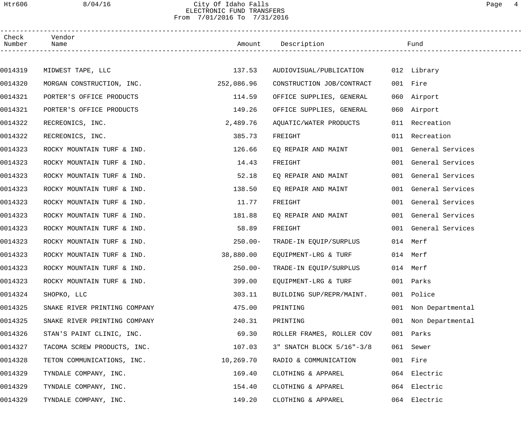### Htr606 8/04/16 City Of Idaho Falls Page 4 ELECTRONIC FUND TRANSFERS From 7/01/2016 To 7/31/2016

| Check<br>Number | Vendor<br>Name               |            | Amount Description        |     | Fund                 |
|-----------------|------------------------------|------------|---------------------------|-----|----------------------|
|                 |                              |            |                           |     |                      |
| 0014319         | MIDWEST TAPE, LLC            | 137.53     | AUDIOVISUAL/PUBLICATION   |     | 012 Library          |
| 0014320         | MORGAN CONSTRUCTION, INC.    | 252,086.96 | CONSTRUCTION JOB/CONTRACT |     | 001 Fire             |
| 0014321         | PORTER'S OFFICE PRODUCTS     | 114.59     | OFFICE SUPPLIES, GENERAL  |     | 060 Airport          |
| 0014321         | PORTER'S OFFICE PRODUCTS     | 149.26     | OFFICE SUPPLIES, GENERAL  |     | 060 Airport          |
| 0014322         | RECREONICS, INC.             | 2,489.76   | AQUATIC/WATER PRODUCTS    |     | 011 Recreation       |
| 0014322         | RECREONICS, INC.             | 385.73     | FREIGHT                   |     | 011 Recreation       |
| 0014323         | ROCKY MOUNTAIN TURF & IND.   | 126.66     | EQ REPAIR AND MAINT       |     | 001 General Services |
| 0014323         | ROCKY MOUNTAIN TURF & IND.   | 14.43      | FREIGHT                   |     | 001 General Services |
| 0014323         | ROCKY MOUNTAIN TURF & IND.   | 52.18      | EQ REPAIR AND MAINT       |     | 001 General Services |
| 0014323         | ROCKY MOUNTAIN TURF & IND.   | 138.50     | EQ REPAIR AND MAINT       |     | 001 General Services |
| 0014323         | ROCKY MOUNTAIN TURF & IND.   | 11.77      | FREIGHT                   |     | 001 General Services |
| 0014323         | ROCKY MOUNTAIN TURF & IND.   | 181.88     | EQ REPAIR AND MAINT       |     | 001 General Services |
| 0014323         | ROCKY MOUNTAIN TURF & IND.   | 58.89      | FREIGHT                   |     | 001 General Services |
| 0014323         | ROCKY MOUNTAIN TURF & IND.   | $250.00 -$ | TRADE-IN EQUIP/SURPLUS    |     | 014 Merf             |
| 0014323         | ROCKY MOUNTAIN TURF & IND.   | 38,880.00  | EQUIPMENT-LRG & TURF      |     | 014 Merf             |
| 0014323         | ROCKY MOUNTAIN TURF & IND.   | $250.00 -$ | TRADE-IN EQUIP/SURPLUS    |     | 014 Merf             |
| 0014323         | ROCKY MOUNTAIN TURF & IND.   | 399.00     | EQUIPMENT-LRG & TURF      |     | 001 Parks            |
| 0014324         | SHOPKO, LLC                  | 303.11     | BUILDING SUP/REPR/MAINT.  | 001 | Police               |
| 0014325         | SNAKE RIVER PRINTING COMPANY | 475.00     | PRINTING                  | 001 | Non Departmental     |
| 0014325         | SNAKE RIVER PRINTING COMPANY | 240.31     | PRINTING                  | 001 | Non Departmental     |
| 0014326         | STAN'S PAINT CLINIC, INC.    | 69.30      | ROLLER FRAMES, ROLLER COV |     | 001 Parks            |
| 0014327         | TACOMA SCREW PRODUCTS, INC.  | 107.03     | 3" SNATCH BLOCK 5/16"-3/8 |     | 061 Sewer            |
| 0014328         | TETON COMMUNICATIONS, INC.   | 10,269.70  | RADIO & COMMUNICATION     |     | 001 Fire             |
| 0014329         | TYNDALE COMPANY, INC.        | 169.40     | CLOTHING & APPAREL        |     | 064 Electric         |
| 0014329         | TYNDALE COMPANY, INC.        | 154.40     | CLOTHING & APPAREL        |     | 064 Electric         |
| 0014329         | TYNDALE COMPANY, INC.        | 149.20     | CLOTHING & APPAREL        |     | 064 Electric         |
|                 |                              |            |                           |     |                      |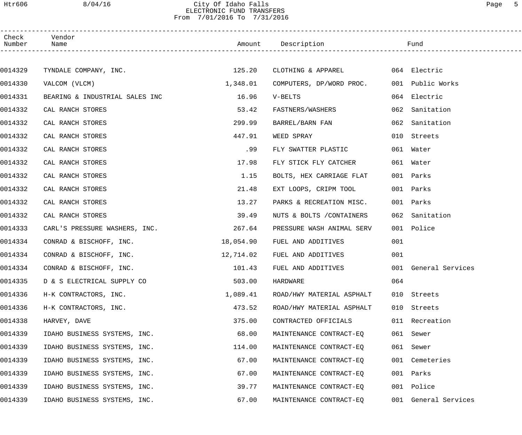## Htr606 8/04/16 City Of Idaho Falls Page 5 ELECTRONIC FUND TRANSFERS From 7/01/2016 To 7/31/2016

| Check<br>Number | Vendor<br>Name                 |           | Amount Description        |     | Fund                 |  |
|-----------------|--------------------------------|-----------|---------------------------|-----|----------------------|--|
|                 |                                |           |                           |     |                      |  |
| 0014329         | TYNDALE COMPANY, INC. 125.20   |           | CLOTHING & APPAREL        |     | 064 Electric         |  |
| 0014330         | VALCOM (VLCM)                  | 1,348.01  | COMPUTERS, DP/WORD PROC.  |     | 001 Public Works     |  |
| 0014331         | BEARING & INDUSTRIAL SALES INC | 16.96     | V-BELTS                   |     | 064 Electric         |  |
| 0014332         | CAL RANCH STORES               | 53.42     | FASTNERS/WASHERS          |     | 062 Sanitation       |  |
| 0014332         | CAL RANCH STORES               | 299.99    | BARREL/BARN FAN           | 062 | Sanitation           |  |
| 0014332         | CAL RANCH STORES               | 447.91    | WEED SPRAY                | 010 | Streets              |  |
| 0014332         | CAL RANCH STORES               | .99       | FLY SWATTER PLASTIC       |     | 061 Water            |  |
| 0014332         | CAL RANCH STORES               | 17.98     | FLY STICK FLY CATCHER     |     | 061 Water            |  |
| 0014332         | CAL RANCH STORES               | 1.15      | BOLTS, HEX CARRIAGE FLAT  |     | 001 Parks            |  |
| 0014332         | CAL RANCH STORES               | 21.48     | EXT LOOPS, CRIPM TOOL     |     | 001 Parks            |  |
| 0014332         | CAL RANCH STORES               | 13.27     | PARKS & RECREATION MISC.  |     | 001 Parks            |  |
| 0014332         | CAL RANCH STORES               | 39.49     | NUTS & BOLTS / CONTAINERS |     | 062 Sanitation       |  |
| 0014333         | CARL'S PRESSURE WASHERS, INC.  | 267.64    | PRESSURE WASH ANIMAL SERV |     | 001 Police           |  |
| 0014334         | CONRAD & BISCHOFF, INC.        | 18,054.90 | FUEL AND ADDITIVES        | 001 |                      |  |
| 0014334         | CONRAD & BISCHOFF, INC.        | 12,714.02 | FUEL AND ADDITIVES        | 001 |                      |  |
| 0014334         | CONRAD & BISCHOFF, INC.        | 101.43    | FUEL AND ADDITIVES        |     | 001 General Services |  |
| 0014335         | D & S ELECTRICAL SUPPLY CO     | 503.00    | HARDWARE                  | 064 |                      |  |
| 0014336         | H-K CONTRACTORS, INC.          | 1,089.41  | ROAD/HWY MATERIAL ASPHALT |     | 010 Streets          |  |
| 0014336         | H-K CONTRACTORS, INC.          | 473.52    | ROAD/HWY MATERIAL ASPHALT |     | 010 Streets          |  |
| 0014338         | HARVEY, DAVE                   | 375.00    | CONTRACTED OFFICIALS      |     | 011 Recreation       |  |
| 0014339         | IDAHO BUSINESS SYSTEMS, INC.   | 68.00     | MAINTENANCE CONTRACT-EQ   |     | 061 Sewer            |  |
| 0014339         | IDAHO BUSINESS SYSTEMS, INC.   | 114.00    | MAINTENANCE CONTRACT-EQ   | 061 | Sewer                |  |
| 0014339         | IDAHO BUSINESS SYSTEMS, INC.   | 67.00     | MAINTENANCE CONTRACT-EQ   |     | 001 Cemeteries       |  |
| 0014339         | IDAHO BUSINESS SYSTEMS, INC.   | 67.00     | MAINTENANCE CONTRACT-EQ   |     | 001 Parks            |  |
| 0014339         | IDAHO BUSINESS SYSTEMS, INC.   | 39.77     | MAINTENANCE CONTRACT-EQ   |     | 001 Police           |  |
| 0014339         | IDAHO BUSINESS SYSTEMS, INC.   | 67.00     | MAINTENANCE CONTRACT-EQ   |     | 001 General Services |  |
|                 |                                |           |                           |     |                      |  |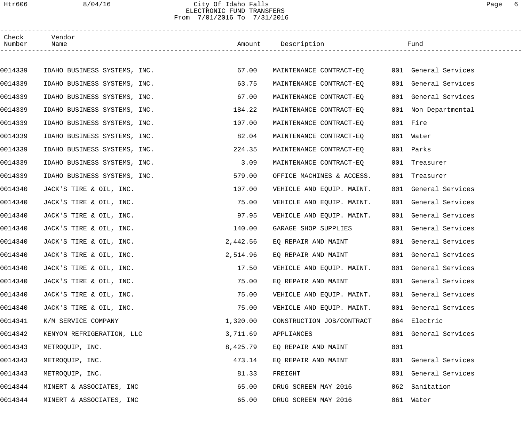## Htr606 8/04/16 City Of Idaho Falls Page 6 ELECTRONIC FUND TRANSFERS From 7/01/2016 To 7/31/2016

| Check<br>Number | Vendor<br>Name               |          | Amount Description        |     | Fund                 |  |
|-----------------|------------------------------|----------|---------------------------|-----|----------------------|--|
|                 |                              |          |                           |     |                      |  |
| 0014339         | IDAHO BUSINESS SYSTEMS, INC. | 67.00    | MAINTENANCE CONTRACT-EQ   |     | 001 General Services |  |
| 0014339         | IDAHO BUSINESS SYSTEMS, INC. | 63.75    | MAINTENANCE CONTRACT-EQ   |     | 001 General Services |  |
| 0014339         | IDAHO BUSINESS SYSTEMS, INC. | 67.00    | MAINTENANCE CONTRACT-EO   |     | 001 General Services |  |
| 0014339         | IDAHO BUSINESS SYSTEMS, INC. | 184.22   | MAINTENANCE CONTRACT-EQ   |     | 001 Non Departmental |  |
| 0014339         | IDAHO BUSINESS SYSTEMS, INC. | 107.00   | MAINTENANCE CONTRACT-EQ   |     | 001 Fire             |  |
| 0014339         | IDAHO BUSINESS SYSTEMS, INC. | 82.04    | MAINTENANCE CONTRACT-EQ   |     | 061 Water            |  |
| 0014339         | IDAHO BUSINESS SYSTEMS, INC. | 224.35   | MAINTENANCE CONTRACT-EQ   |     | 001 Parks            |  |
| 0014339         | IDAHO BUSINESS SYSTEMS, INC. | 3.09     | MAINTENANCE CONTRACT-EQ   |     | 001 Treasurer        |  |
| 0014339         | IDAHO BUSINESS SYSTEMS, INC. | 579.00   | OFFICE MACHINES & ACCESS. |     | 001 Treasurer        |  |
| 0014340         | JACK'S TIRE & OIL, INC.      | 107.00   | VEHICLE AND EQUIP. MAINT. |     | 001 General Services |  |
| 0014340         | JACK'S TIRE & OIL, INC.      | 75.00    | VEHICLE AND EQUIP. MAINT. |     | 001 General Services |  |
| 0014340         | JACK'S TIRE & OIL, INC.      | 97.95    | VEHICLE AND EQUIP. MAINT. |     | 001 General Services |  |
| 0014340         | JACK'S TIRE & OIL, INC.      | 140.00   | GARAGE SHOP SUPPLIES      |     | 001 General Services |  |
| 0014340         | JACK'S TIRE & OIL, INC.      | 2,442.56 | EQ REPAIR AND MAINT       |     | 001 General Services |  |
| 0014340         | JACK'S TIRE & OIL, INC.      | 2,514.96 | EQ REPAIR AND MAINT       |     | 001 General Services |  |
| 0014340         | JACK'S TIRE & OIL, INC.      | 17.50    | VEHICLE AND EQUIP. MAINT. |     | 001 General Services |  |
| 0014340         | JACK'S TIRE & OIL, INC.      | 75.00    | EQ REPAIR AND MAINT       |     | 001 General Services |  |
| 0014340         | JACK'S TIRE & OIL, INC.      | 75.00    | VEHICLE AND EQUIP. MAINT. |     | 001 General Services |  |
| 0014340         | JACK'S TIRE & OIL, INC.      | 75.00    | VEHICLE AND EQUIP. MAINT. |     | 001 General Services |  |
| 0014341         | K/M SERVICE COMPANY          | 1,320.00 | CONSTRUCTION JOB/CONTRACT |     | 064 Electric         |  |
| 0014342         | KENYON REFRIGERATION, LLC    | 3,711.69 | APPLIANCES                |     | 001 General Services |  |
| 0014343         | METROQUIP, INC.              | 8,425.79 | EQ REPAIR AND MAINT       | 001 |                      |  |
| 0014343         | METROQUIP, INC.              | 473.14   | EQ REPAIR AND MAINT       |     | 001 General Services |  |
| 0014343         | METROQUIP, INC.              | 81.33    | FREIGHT                   |     | 001 General Services |  |
| 0014344         | MINERT & ASSOCIATES, INC     | 65.00    | DRUG SCREEN MAY 2016      | 062 | Sanitation           |  |
| 0014344         | MINERT & ASSOCIATES, INC     | 65.00    | DRUG SCREEN MAY 2016      |     | 061 Water            |  |
|                 |                              |          |                           |     |                      |  |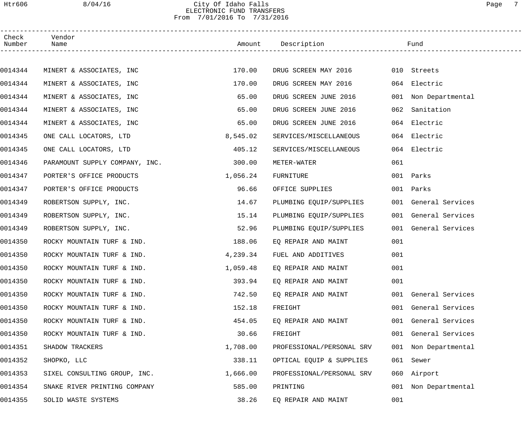### Htr606 8/04/16 City Of Idaho Falls Page 7 ELECTRONIC FUND TRANSFERS From 7/01/2016 To 7/31/2016

| Check<br>Number | Vendor<br>Name                 |          | Amount Description        |     | Fund                 |
|-----------------|--------------------------------|----------|---------------------------|-----|----------------------|
|                 |                                |          |                           |     |                      |
| 0014344         | MINERT & ASSOCIATES, INC       | 170.00   | DRUG SCREEN MAY 2016      |     | 010 Streets          |
| 0014344         | MINERT & ASSOCIATES, INC       | 170.00   | DRUG SCREEN MAY 2016      |     | 064 Electric         |
| 0014344         | MINERT & ASSOCIATES, INC       | 65.00    | DRUG SCREEN JUNE 2016     |     | 001 Non Departmental |
| 0014344         | MINERT & ASSOCIATES, INC       | 65.00    | DRUG SCREEN JUNE 2016     | 062 | Sanitation           |
| 0014344         | MINERT & ASSOCIATES, INC       | 65.00    | DRUG SCREEN JUNE 2016     |     | 064 Electric         |
| 0014345         | ONE CALL LOCATORS, LTD         | 8,545.02 | SERVICES/MISCELLANEOUS    |     | 064 Electric         |
| 0014345         | ONE CALL LOCATORS, LTD         | 405.12   | SERVICES/MISCELLANEOUS    |     | 064 Electric         |
| 0014346         | PARAMOUNT SUPPLY COMPANY, INC. | 300.00   | METER-WATER               | 061 |                      |
| 0014347         | PORTER'S OFFICE PRODUCTS       | 1,056.24 | FURNITURE                 |     | 001 Parks            |
| 0014347         | PORTER'S OFFICE PRODUCTS       | 96.66    | OFFICE SUPPLIES           |     | 001 Parks            |
| 0014349         | ROBERTSON SUPPLY, INC.         | 14.67    | PLUMBING EQUIP/SUPPLIES   |     | 001 General Services |
| 0014349         | ROBERTSON SUPPLY, INC.         | 15.14    | PLUMBING EQUIP/SUPPLIES   |     | 001 General Services |
| 0014349         | ROBERTSON SUPPLY, INC.         | 52.96    | PLUMBING EQUIP/SUPPLIES   |     | 001 General Services |
| 0014350         | ROCKY MOUNTAIN TURF & IND.     | 188.06   | EO REPAIR AND MAINT       | 001 |                      |
| 0014350         | ROCKY MOUNTAIN TURF & IND.     | 4,239.34 | FUEL AND ADDITIVES        | 001 |                      |
| 0014350         | ROCKY MOUNTAIN TURF & IND.     | 1,059.48 | EQ REPAIR AND MAINT       | 001 |                      |
| 0014350         | ROCKY MOUNTAIN TURF & IND.     | 393.94   | EQ REPAIR AND MAINT       | 001 |                      |
| 0014350         | ROCKY MOUNTAIN TURF & IND.     | 742.50   | EQ REPAIR AND MAINT       |     | 001 General Services |
| 0014350         | ROCKY MOUNTAIN TURF & IND.     | 152.18   | FREIGHT                   |     | 001 General Services |
| 0014350         | ROCKY MOUNTAIN TURF & IND.     | 454.05   | EQ REPAIR AND MAINT       |     | 001 General Services |
| 0014350         | ROCKY MOUNTAIN TURF & IND.     | 30.66    | FREIGHT                   |     | 001 General Services |
| 0014351         | SHADOW TRACKERS                | 1,708.00 | PROFESSIONAL/PERSONAL SRV |     | 001 Non Departmental |
| 0014352         | SHOPKO, LLC                    | 338.11   | OPTICAL EQUIP & SUPPLIES  |     | 061 Sewer            |
| 0014353         | SIXEL CONSULTING GROUP, INC.   | 1,666.00 | PROFESSIONAL/PERSONAL SRV | 060 | Airport              |
| 0014354         | SNAKE RIVER PRINTING COMPANY   | 585.00   | PRINTING                  | 001 | Non Departmental     |
| 0014355         | SOLID WASTE SYSTEMS            | 38.26    | EQ REPAIR AND MAINT       | 001 |                      |
|                 |                                |          |                           |     |                      |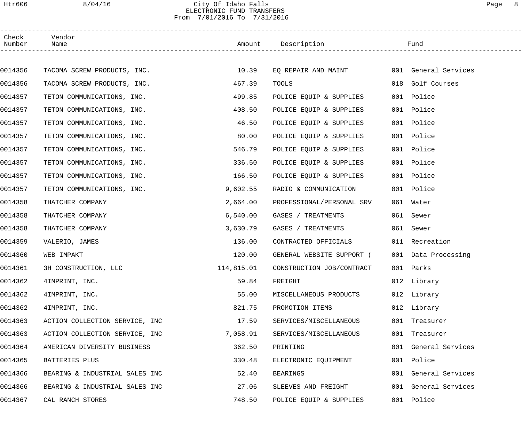## Htr606 8/04/16 City Of Idaho Falls Page 8 ELECTRONIC FUND TRANSFERS From 7/01/2016 To 7/31/2016

| Check<br>Number | Vendor<br>Name                 |          | Amount Description                       | Fund                 |  |
|-----------------|--------------------------------|----------|------------------------------------------|----------------------|--|
|                 |                                |          |                                          |                      |  |
| 0014356         | TACOMA SCREW PRODUCTS, INC.    | 10.39    | EQ REPAIR AND MAINT 001 General Services |                      |  |
| 0014356         | TACOMA SCREW PRODUCTS, INC.    | 467.39   | TOOLS                                    | 018 Golf Courses     |  |
| 0014357         | TETON COMMUNICATIONS, INC.     | 499.85   | POLICE EQUIP & SUPPLIES                  | 001 Police           |  |
| 0014357         | TETON COMMUNICATIONS, INC.     | 408.50   | POLICE EQUIP & SUPPLIES                  | 001 Police           |  |
| 0014357         | TETON COMMUNICATIONS, INC.     | 46.50    | POLICE EQUIP & SUPPLIES                  | 001 Police           |  |
| 0014357         | TETON COMMUNICATIONS, INC.     | 80.00    | POLICE EQUIP & SUPPLIES                  | 001 Police           |  |
| 0014357         | TETON COMMUNICATIONS, INC.     | 546.79   | POLICE EQUIP & SUPPLIES                  | 001 Police           |  |
| 0014357         | TETON COMMUNICATIONS, INC.     | 336.50   | POLICE EQUIP & SUPPLIES                  | 001 Police           |  |
| 0014357         | TETON COMMUNICATIONS, INC.     | 166.50   | POLICE EQUIP & SUPPLIES                  | 001 Police           |  |
| 0014357         | TETON COMMUNICATIONS, INC.     | 9,602.55 | RADIO & COMMUNICATION                    | 001 Police           |  |
| 0014358         | THATCHER COMPANY               | 2,664.00 | PROFESSIONAL/PERSONAL SRV                | 061 Water            |  |
| 0014358         | THATCHER COMPANY               | 6,540.00 | GASES / TREATMENTS                       | 061 Sewer            |  |
| 0014358         | THATCHER COMPANY               | 3,630.79 | GASES / TREATMENTS                       | 061 Sewer            |  |
| 0014359         | VALERIO, JAMES                 | 136.00   | CONTRACTED OFFICIALS                     | 011 Recreation       |  |
| 0014360         | WEB IMPAKT                     | 120.00   | GENERAL WEBSITE SUPPORT (                | 001 Data Processing  |  |
| 0014361         | 3H CONSTRUCTION, LLC           |          | 114,815.01 CONSTRUCTION JOB/CONTRACT     | 001 Parks            |  |
| 0014362         | 4IMPRINT, INC.                 | 59.84    | FREIGHT                                  | 012 Library          |  |
| 0014362         | 4IMPRINT, INC.                 | 55.00    | MISCELLANEOUS PRODUCTS                   | 012 Library          |  |
| 0014362         | 4IMPRINT, INC.                 | 821.75   | PROMOTION ITEMS                          | 012 Library          |  |
| 0014363         | ACTION COLLECTION SERVICE, INC | 17.59    | SERVICES/MISCELLANEOUS                   | 001 Treasurer        |  |
| 0014363         | ACTION COLLECTION SERVICE, INC | 7,058.91 | SERVICES/MISCELLANEOUS                   | 001 Treasurer        |  |
| 0014364         | AMERICAN DIVERSITY BUSINESS    | 362.50   | PRINTING                                 | 001 General Services |  |
| 0014365         | BATTERIES PLUS                 | 330.48   | ELECTRONIC EQUIPMENT                     | 001 Police           |  |
| 0014366         | BEARING & INDUSTRIAL SALES INC | 52.40    | BEARINGS                                 | 001 General Services |  |
| 0014366         | BEARING & INDUSTRIAL SALES INC | 27.06    | SLEEVES AND FREIGHT                      | 001 General Services |  |
| 0014367         | CAL RANCH STORES               | 748.50   | POLICE EQUIP & SUPPLIES                  | 001 Police           |  |
|                 |                                |          |                                          |                      |  |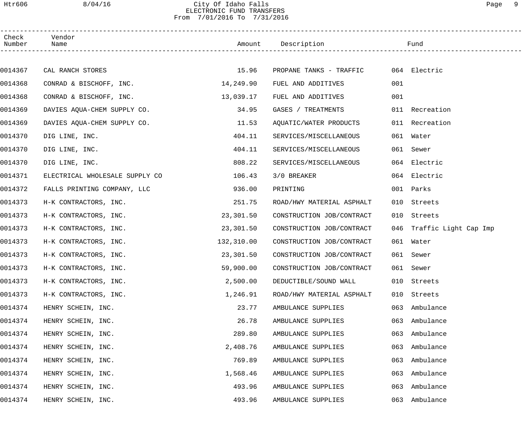## Htr606 8/04/16 City Of Idaho Falls Page 9 ELECTRONIC FUND TRANSFERS From 7/01/2016 To 7/31/2016

| Check<br>Number | Vendor<br>Name                 |            |                                      |     |                           |
|-----------------|--------------------------------|------------|--------------------------------------|-----|---------------------------|
|                 |                                |            |                                      |     |                           |
| 0014367         | CAL RANCH STORES               | 15.96      | PROPANE TANKS - TRAFFIC 064 Electric |     |                           |
| 0014368         | CONRAD & BISCHOFF, INC.        | 14,249.90  | FUEL AND ADDITIVES                   | 001 |                           |
| 0014368         | CONRAD & BISCHOFF, INC.        | 13,039.17  | FUEL AND ADDITIVES                   | 001 |                           |
| 0014369         | DAVIES AQUA-CHEM SUPPLY CO.    | 34.95      | GASES / TREATMENTS                   |     | 011 Recreation            |
| 0014369         | DAVIES AQUA-CHEM SUPPLY CO.    | 11.53      | AQUATIC/WATER PRODUCTS               |     | 011 Recreation            |
| 0014370         | DIG LINE, INC.                 | 404.11     | SERVICES/MISCELLANEOUS               |     | 061 Water                 |
| 0014370         | DIG LINE, INC.                 | 404.11     | SERVICES/MISCELLANEOUS               |     | 061 Sewer                 |
| 0014370         | DIG LINE, INC.                 | 808.22     | SERVICES/MISCELLANEOUS               |     | 064 Electric              |
| 0014371         | ELECTRICAL WHOLESALE SUPPLY CO | 106.43     | 3/0 BREAKER                          |     | 064 Electric              |
| 0014372         | FALLS PRINTING COMPANY, LLC    | 936.00     | PRINTING                             |     | 001 Parks                 |
| 0014373         | H-K CONTRACTORS, INC.          | 251.75     | ROAD/HWY MATERIAL ASPHALT            | 010 | Streets                   |
| 0014373         | H-K CONTRACTORS, INC.          | 23,301.50  | CONSTRUCTION JOB/CONTRACT            | 010 | Streets                   |
| 0014373         | H-K CONTRACTORS, INC.          | 23,301.50  | CONSTRUCTION JOB/CONTRACT            |     | 046 Traffic Light Cap Imp |
| 0014373         | H-K CONTRACTORS, INC.          | 132,310.00 | CONSTRUCTION JOB/CONTRACT            |     | 061 Water                 |
| 0014373         | H-K CONTRACTORS, INC.          | 23,301.50  | CONSTRUCTION JOB/CONTRACT            |     | 061 Sewer                 |
| 0014373         | H-K CONTRACTORS, INC.          | 59,900.00  | CONSTRUCTION JOB/CONTRACT            |     | 061 Sewer                 |
| 0014373         | H-K CONTRACTORS, INC.          | 2,500.00   | DEDUCTIBLE/SOUND WALL                |     | 010 Streets               |
| 0014373         | H-K CONTRACTORS, INC.          | 1,246.91   | ROAD/HWY MATERIAL ASPHALT            | 010 | Streets                   |
| 0014374         | HENRY SCHEIN, INC.             | 23.77      | AMBULANCE SUPPLIES                   | 063 | Ambulance                 |
| 0014374         | HENRY SCHEIN, INC.             | 26.78      | AMBULANCE SUPPLIES                   | 063 | Ambulance                 |
| 0014374         | HENRY SCHEIN, INC.             | 289.80     | AMBULANCE SUPPLIES                   | 063 | Ambulance                 |
| 0014374         | HENRY SCHEIN, INC.             | 2,408.76   | AMBULANCE SUPPLIES                   | 063 | Ambulance                 |
| 0014374         | HENRY SCHEIN, INC.             | 769.89     | AMBULANCE SUPPLIES                   | 063 | Ambulance                 |
| 0014374         | HENRY SCHEIN, INC.             | 1,568.46   | AMBULANCE SUPPLIES                   | 063 | Ambulance                 |
| 0014374         | HENRY SCHEIN, INC.             | 493.96     | AMBULANCE SUPPLIES                   | 063 | Ambulance                 |
| 0014374         | HENRY SCHEIN, INC.             | 493.96     | AMBULANCE SUPPLIES                   | 063 | Ambulance                 |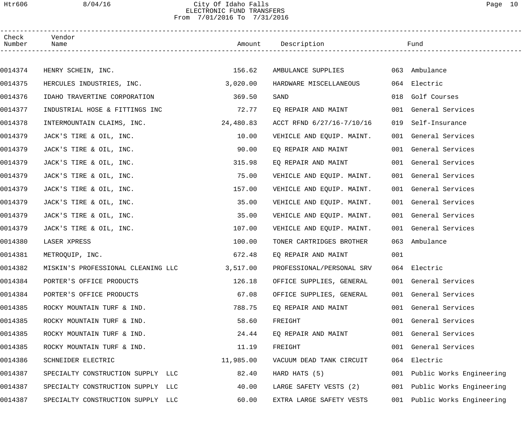#### Htr606 8/04/16 City Of Idaho Falls Page 10 ELECTRONIC FUND TRANSFERS From 7/01/2016 To 7/31/2016

| Check<br>Number | Vendor<br>Name                     |           | Amount Description        |     | Fund                     |
|-----------------|------------------------------------|-----------|---------------------------|-----|--------------------------|
|                 |                                    |           |                           |     |                          |
| 0014374         | HENRY SCHEIN, INC.                 | 156.62    | AMBULANCE SUPPLIES        |     | 063 Ambulance            |
| 0014375         | HERCULES INDUSTRIES, INC.          | 3,020.00  | HARDWARE MISCELLANEOUS    |     | 064 Electric             |
| 0014376         | IDAHO TRAVERTINE CORPORATION       | 369.50    | SAND                      |     | 018 Golf Courses         |
| 0014377         | INDUSTRIAL HOSE & FITTINGS INC     | 72.77     | EQ REPAIR AND MAINT       |     | 001 General Services     |
| 0014378         | INTERMOUNTAIN CLAIMS, INC.         | 24,480.83 | ACCT RFND 6/27/16-7/10/16 | 019 | Self-Insurance           |
| 0014379         | JACK'S TIRE & OIL, INC.            | 10.00     | VEHICLE AND EQUIP. MAINT. |     | 001 General Services     |
| 0014379         | JACK'S TIRE & OIL, INC.            | 90.00     | EQ REPAIR AND MAINT       |     | 001 General Services     |
| 0014379         | JACK'S TIRE & OIL, INC.            | 315.98    | EQ REPAIR AND MAINT       |     | 001 General Services     |
| 0014379         | JACK'S TIRE & OIL, INC.            | 75.00     | VEHICLE AND EQUIP. MAINT. |     | 001 General Services     |
| 0014379         | JACK'S TIRE & OIL, INC.            | 157.00    | VEHICLE AND EQUIP. MAINT. |     | 001 General Services     |
| 0014379         | JACK'S TIRE & OIL, INC.            | 35.00     | VEHICLE AND EQUIP. MAINT. |     | 001 General Services     |
| 0014379         | JACK'S TIRE & OIL, INC.            | 35.00     | VEHICLE AND EQUIP. MAINT. |     | 001 General Services     |
| 0014379         | JACK'S TIRE & OIL, INC.            | 107.00    | VEHICLE AND EQUIP. MAINT. |     | 001 General Services     |
| 0014380         | LASER XPRESS                       | 100.00    | TONER CARTRIDGES BROTHER  |     | 063 Ambulance            |
| 0014381         | METROQUIP, INC.                    | 672.48    | EQ REPAIR AND MAINT       | 001 |                          |
| 0014382         | MISKIN'S PROFESSIONAL CLEANING LLC | 3,517.00  | PROFESSIONAL/PERSONAL SRV |     | 064 Electric             |
| 0014384         | PORTER'S OFFICE PRODUCTS           | 126.18    | OFFICE SUPPLIES, GENERAL  |     | 001 General Services     |
| 0014384         | PORTER'S OFFICE PRODUCTS           | 67.08     | OFFICE SUPPLIES, GENERAL  |     | 001 General Services     |
| 0014385         | ROCKY MOUNTAIN TURF & IND.         | 788.75    | EQ REPAIR AND MAINT       |     | 001 General Services     |
| 0014385         | ROCKY MOUNTAIN TURF & IND.         | 58.60     | FREIGHT                   | 001 | General Services         |
| 0014385         | ROCKY MOUNTAIN TURF & IND.         | 24.44     | EQ REPAIR AND MAINT       |     | 001 General Services     |
| 0014385         | ROCKY MOUNTAIN TURF & IND.         | 11.19     | FREIGHT                   |     | 001 General Services     |
| 0014386         | SCHNEIDER ELECTRIC                 | 11,985.00 | VACUUM DEAD TANK CIRCUIT  | 064 | Electric                 |
| 0014387         | SPECIALTY CONSTRUCTION SUPPLY LLC  | 82.40     | HARD HATS (5)             | 001 | Public Works Engineering |
| 0014387         | SPECIALTY CONSTRUCTION SUPPLY LLC  | 40.00     | LARGE SAFETY VESTS (2)    | 001 | Public Works Engineering |
| 0014387         | SPECIALTY CONSTRUCTION SUPPLY LLC  | 60.00     | EXTRA LARGE SAFETY VESTS  | 001 | Public Works Engineering |
|                 |                                    |           |                           |     |                          |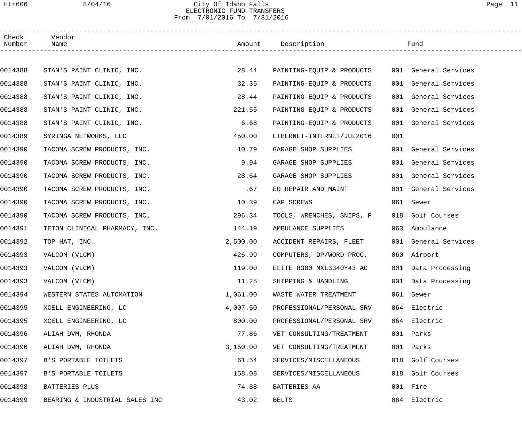## Htr606 8/04/16 City Of Idaho Falls Page 11 ELECTRONIC FUND TRANSFERS From 7/01/2016 To 7/31/2016

| Check<br>Number | Vendor<br>Name                 |          | Amount Description        |     | Fund                 |  |
|-----------------|--------------------------------|----------|---------------------------|-----|----------------------|--|
|                 |                                |          |                           |     |                      |  |
| 0014388         | STAN'S PAINT CLINIC, INC.      | 28.44    | PAINTING-EQUIP & PRODUCTS |     | 001 General Services |  |
| 0014388         | STAN'S PAINT CLINIC, INC.      | 32.35    | PAINTING-EQUIP & PRODUCTS |     | 001 General Services |  |
| 0014388         | STAN'S PAINT CLINIC, INC.      | 28.44    | PAINTING-EQUIP & PRODUCTS |     | 001 General Services |  |
| 0014388         | STAN'S PAINT CLINIC, INC.      | 221.55   | PAINTING-EQUIP & PRODUCTS |     | 001 General Services |  |
| 0014388         | STAN'S PAINT CLINIC, INC.      | 6.68     | PAINTING-EQUIP & PRODUCTS |     | 001 General Services |  |
| 0014389         | SYRINGA NETWORKS, LLC          | 450.00   | ETHERNET-INTERNET/JUL2016 | 001 |                      |  |
| 0014390         | TACOMA SCREW PRODUCTS, INC.    | 10.79    | GARAGE SHOP SUPPLIES      |     | 001 General Services |  |
| 0014390         | TACOMA SCREW PRODUCTS, INC.    | 9.94     | GARAGE SHOP SUPPLIES      |     | 001 General Services |  |
| 0014390         | TACOMA SCREW PRODUCTS, INC.    | 28.64    | GARAGE SHOP SUPPLIES      |     | 001 General Services |  |
| 0014390         | TACOMA SCREW PRODUCTS, INC.    | .67      | EQ REPAIR AND MAINT       |     | 001 General Services |  |
| 0014390         | TACOMA SCREW PRODUCTS, INC.    | 10.39    | CAP SCREWS                |     | 061 Sewer            |  |
| 0014390         | TACOMA SCREW PRODUCTS, INC.    | 296.34   | TOOLS, WRENCHES, SNIPS, P | 018 | Golf Courses         |  |
| 0014391         | TETON CLINICAL PHARMACY, INC.  | 144.19   | AMBULANCE SUPPLIES        | 063 | Ambulance            |  |
| 0014392         | TOP HAT, INC.                  | 2,500.00 | ACCIDENT REPAIRS, FLEET   |     | 001 General Services |  |
| 0014393         | VALCOM (VLCM)                  | 426.99   | COMPUTERS, DP/WORD PROC.  |     | 060 Airport          |  |
| 0014393         | VALCOM (VLCM)                  | 119.00   | ELITE 8300 MXL3340Y43 AC  |     | 001 Data Processing  |  |
| 0014393         | VALCOM (VLCM)                  | 11.25    | SHIPPING & HANDLING       |     | 001 Data Processing  |  |
| 0014394         | WESTERN STATES AUTOMATION      | 1,061.00 | WASTE WATER TREATMENT     |     | 061 Sewer            |  |
| 0014395         | XCELL ENGINEERING, LC          | 4,007.50 | PROFESSIONAL/PERSONAL SRV |     | 064 Electric         |  |
| 0014395         | XCELL ENGINEERING, LC          | 800.00   | PROFESSIONAL/PERSONAL SRV |     | 064 Electric         |  |
| 0014396         | ALIAH DVM, RHONDA              | 77.86    | VET CONSULTING/TREATMENT  |     | 001 Parks            |  |
| 0014396         | ALIAH DVM, RHONDA              | 3,150.00 | VET CONSULTING/TREATMENT  | 001 | Parks                |  |
| 0014397         | B'S PORTABLE TOILETS           | 61.54    | SERVICES/MISCELLANEOUS    | 018 | Golf Courses         |  |
| 0014397         | B'S PORTABLE TOILETS           | 158.08   | SERVICES/MISCELLANEOUS    | 018 | Golf Courses         |  |
| 0014398         | BATTERIES PLUS                 | 74.88    | BATTERIES AA              |     | 001 Fire             |  |
| 0014399         | BEARING & INDUSTRIAL SALES INC | 43.02    | <b>BELTS</b>              |     | 064 Electric         |  |
|                 |                                |          |                           |     |                      |  |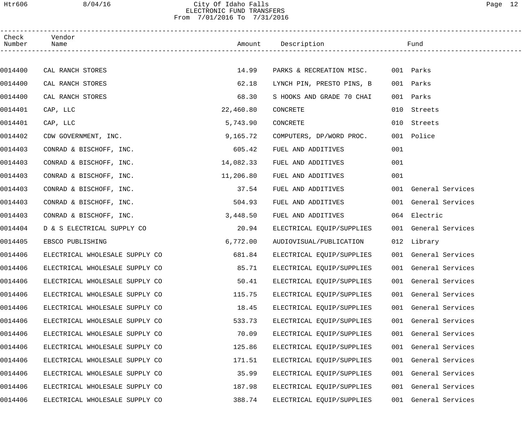## Htr606 8/04/16 City Of Idaho Falls Page 12 ELECTRONIC FUND TRANSFERS From 7/01/2016 To 7/31/2016

| Check<br>Number | Vendor<br>Name                 |           | Amount Description                 |     | Fund                 |  |
|-----------------|--------------------------------|-----------|------------------------------------|-----|----------------------|--|
|                 |                                |           |                                    |     |                      |  |
| 0014400         | CAL RANCH STORES               | 14.99     | PARKS & RECREATION MISC. 001 Parks |     |                      |  |
| 0014400         | CAL RANCH STORES               | 62.18     | LYNCH PIN, PRESTO PINS, B          |     | 001 Parks            |  |
| 0014400         | CAL RANCH STORES               | 68.30     | S HOOKS AND GRADE 70 CHAI          |     | 001 Parks            |  |
| 0014401         | CAP, LLC                       | 22,460.80 | CONCRETE                           |     | 010 Streets          |  |
| 0014401         | CAP, LLC                       | 5,743.90  | CONCRETE                           |     | 010 Streets          |  |
| 0014402         | CDW GOVERNMENT, INC.           | 9,165.72  | COMPUTERS, DP/WORD PROC.           |     | 001 Police           |  |
| 0014403         | CONRAD & BISCHOFF, INC.        | 605.42    | FUEL AND ADDITIVES                 | 001 |                      |  |
| 0014403         | CONRAD & BISCHOFF, INC.        | 14,082.33 | FUEL AND ADDITIVES                 | 001 |                      |  |
| 0014403         | CONRAD & BISCHOFF, INC.        | 11,206.80 | FUEL AND ADDITIVES                 | 001 |                      |  |
| 0014403         | CONRAD & BISCHOFF, INC.        | 37.54     | FUEL AND ADDITIVES                 |     | 001 General Services |  |
| 0014403         | CONRAD & BISCHOFF, INC.        | 504.93    | FUEL AND ADDITIVES                 |     | 001 General Services |  |
| 0014403         | CONRAD & BISCHOFF, INC.        | 3,448.50  | FUEL AND ADDITIVES                 |     | 064 Electric         |  |
| 0014404         | D & S ELECTRICAL SUPPLY CO     | 20.94     | ELECTRICAL EQUIP/SUPPLIES          |     | 001 General Services |  |
| 0014405         | EBSCO PUBLISHING               | 6,772.00  | AUDIOVISUAL/PUBLICATION            |     | 012 Library          |  |
| 0014406         | ELECTRICAL WHOLESALE SUPPLY CO | 681.84    | ELECTRICAL EQUIP/SUPPLIES          |     | 001 General Services |  |
| 0014406         | ELECTRICAL WHOLESALE SUPPLY CO | 85.71     | ELECTRICAL EQUIP/SUPPLIES          |     | 001 General Services |  |
| 0014406         | ELECTRICAL WHOLESALE SUPPLY CO | 50.41     | ELECTRICAL EQUIP/SUPPLIES          |     | 001 General Services |  |
| 0014406         | ELECTRICAL WHOLESALE SUPPLY CO | 115.75    | ELECTRICAL EQUIP/SUPPLIES          | 001 | General Services     |  |
| 0014406         | ELECTRICAL WHOLESALE SUPPLY CO | 18.45     | ELECTRICAL EQUIP/SUPPLIES          | 001 | General Services     |  |
| 0014406         | ELECTRICAL WHOLESALE SUPPLY CO | 533.73    | ELECTRICAL EQUIP/SUPPLIES          | 001 | General Services     |  |
| 0014406         | ELECTRICAL WHOLESALE SUPPLY CO | 70.09     | ELECTRICAL EQUIP/SUPPLIES          | 001 | General Services     |  |
| 0014406         | ELECTRICAL WHOLESALE SUPPLY CO | 125.86    | ELECTRICAL EQUIP/SUPPLIES          | 001 | General Services     |  |
| 0014406         | ELECTRICAL WHOLESALE SUPPLY CO | 171.51    | ELECTRICAL EQUIP/SUPPLIES          | 001 | General Services     |  |
| 0014406         | ELECTRICAL WHOLESALE SUPPLY CO | 35.99     | ELECTRICAL EQUIP/SUPPLIES          | 001 | General Services     |  |
| 0014406         | ELECTRICAL WHOLESALE SUPPLY CO | 187.98    | ELECTRICAL EQUIP/SUPPLIES          | 001 | General Services     |  |
| 0014406         | ELECTRICAL WHOLESALE SUPPLY CO | 388.74    | ELECTRICAL EQUIP/SUPPLIES          | 001 | General Services     |  |
|                 |                                |           |                                    |     |                      |  |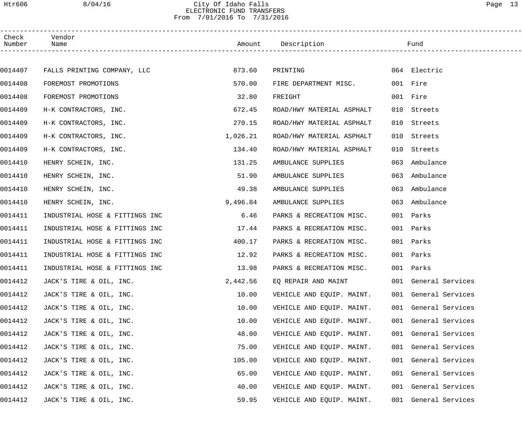### Htr606 8/04/16 City Of Idaho Falls Page 13 ELECTRONIC FUND TRANSFERS From 7/01/2016 To 7/31/2016

| Check<br>Number | Vendor<br>Name                 |          | Amount Description        |     | Fund                 |  |
|-----------------|--------------------------------|----------|---------------------------|-----|----------------------|--|
|                 |                                |          |                           |     |                      |  |
| 0014407         | FALLS PRINTING COMPANY, LLC    | 873.60   | PRINTING                  |     | 064 Electric         |  |
| 0014408         | FOREMOST PROMOTIONS            | 570.00   | FIRE DEPARTMENT MISC.     |     | 001 Fire             |  |
| 0014408         | FOREMOST PROMOTIONS            | 32.80    | FREIGHT                   |     | 001 Fire             |  |
| 0014409         | H-K CONTRACTORS, INC.          | 672.45   | ROAD/HWY MATERIAL ASPHALT |     | 010 Streets          |  |
| 0014409         | H-K CONTRACTORS, INC.          | 270.15   | ROAD/HWY MATERIAL ASPHALT | 010 | Streets              |  |
| 0014409         | H-K CONTRACTORS, INC.          | 1,026.21 | ROAD/HWY MATERIAL ASPHALT | 010 | Streets              |  |
| 0014409         | H-K CONTRACTORS, INC.          | 134.40   | ROAD/HWY MATERIAL ASPHALT | 010 | Streets              |  |
| 0014410         | HENRY SCHEIN, INC.             | 131.25   | AMBULANCE SUPPLIES        | 063 | Ambulance            |  |
| 0014410         | HENRY SCHEIN, INC.             | 51.90    | AMBULANCE SUPPLIES        | 063 | Ambulance            |  |
| 0014410         | HENRY SCHEIN, INC.             | 49.38    | AMBULANCE SUPPLIES        | 063 | Ambulance            |  |
| 0014410         | HENRY SCHEIN, INC.             | 9,496.84 | AMBULANCE SUPPLIES        | 063 | Ambulance            |  |
| 0014411         | INDUSTRIAL HOSE & FITTINGS INC | 6.46     | PARKS & RECREATION MISC.  |     | 001 Parks            |  |
| 0014411         | INDUSTRIAL HOSE & FITTINGS INC | 17.44    | PARKS & RECREATION MISC.  |     | 001 Parks            |  |
| 0014411         | INDUSTRIAL HOSE & FITTINGS INC | 400.17   | PARKS & RECREATION MISC.  |     | 001 Parks            |  |
| 0014411         | INDUSTRIAL HOSE & FITTINGS INC | 12.92    | PARKS & RECREATION MISC.  |     | 001 Parks            |  |
| 0014411         | INDUSTRIAL HOSE & FITTINGS INC | 13.98    | PARKS & RECREATION MISC.  |     | 001 Parks            |  |
| 0014412         | JACK'S TIRE & OIL, INC.        | 2,442.56 | EQ REPAIR AND MAINT       |     | 001 General Services |  |
| 0014412         | JACK'S TIRE & OIL, INC.        | 10.00    | VEHICLE AND EQUIP. MAINT. |     | 001 General Services |  |
| 0014412         | JACK'S TIRE & OIL, INC.        | 10.00    | VEHICLE AND EQUIP. MAINT. |     | 001 General Services |  |
| 0014412         | JACK'S TIRE & OIL, INC.        | 10.00    | VEHICLE AND EQUIP. MAINT. |     | 001 General Services |  |
| 0014412         | JACK'S TIRE & OIL, INC.        | 48.00    | VEHICLE AND EQUIP. MAINT. |     | 001 General Services |  |
| 0014412         | JACK'S TIRE & OIL, INC.        | 75.00    | VEHICLE AND EQUIP. MAINT. |     | 001 General Services |  |
| 0014412         | JACK'S TIRE & OIL, INC.        | 105.00   | VEHICLE AND EQUIP. MAINT. |     | 001 General Services |  |
| 0014412         | JACK'S TIRE & OIL, INC.        | 65.00    | VEHICLE AND EQUIP. MAINT. |     | 001 General Services |  |
| 0014412         | JACK'S TIRE & OIL, INC.        | 40.00    | VEHICLE AND EQUIP. MAINT. |     | 001 General Services |  |
| 0014412         | JACK'S TIRE & OIL, INC.        | 59.95    | VEHICLE AND EQUIP. MAINT. |     | 001 General Services |  |
|                 |                                |          |                           |     |                      |  |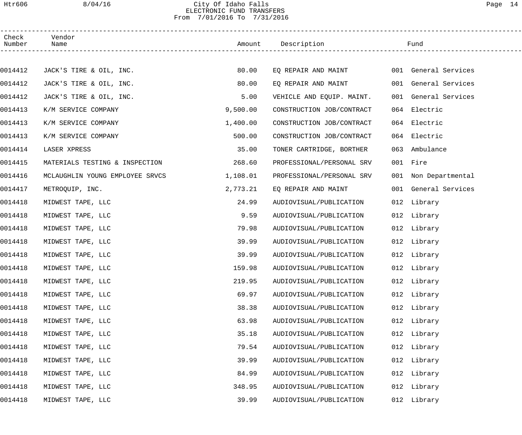#### Htr606 8/04/16 City Of Idaho Falls Page 14 ELECTRONIC FUND TRANSFERS From 7/01/2016 To 7/31/2016

| Check<br>Number | Vendor<br>Name                  |          | Amount Description        |     | Fund                 |  |
|-----------------|---------------------------------|----------|---------------------------|-----|----------------------|--|
|                 |                                 |          |                           |     |                      |  |
| 0014412         | JACK'S TIRE & OIL, INC.         | 80.00    | EQ REPAIR AND MAINT       |     | 001 General Services |  |
| 0014412         | JACK'S TIRE & OIL, INC.         | 80.00    | EQ REPAIR AND MAINT       |     | 001 General Services |  |
| 0014412         | JACK'S TIRE & OIL, INC.         | 5.00     | VEHICLE AND EQUIP. MAINT. |     | 001 General Services |  |
| 0014413         | K/M SERVICE COMPANY             | 9,500.00 | CONSTRUCTION JOB/CONTRACT |     | 064 Electric         |  |
| 0014413         | K/M SERVICE COMPANY             | 1,400.00 | CONSTRUCTION JOB/CONTRACT |     | 064 Electric         |  |
| 0014413         | K/M SERVICE COMPANY             | 500.00   | CONSTRUCTION JOB/CONTRACT |     | 064 Electric         |  |
| 0014414         | LASER XPRESS                    | 35.00    | TONER CARTRIDGE, BORTHER  | 063 | Ambulance            |  |
| 0014415         | MATERIALS TESTING & INSPECTION  | 268.60   | PROFESSIONAL/PERSONAL SRV |     | 001 Fire             |  |
| 0014416         | MCLAUGHLIN YOUNG EMPLOYEE SRVCS | 1,108.01 | PROFESSIONAL/PERSONAL SRV |     | 001 Non Departmental |  |
| 0014417         | METROQUIP, INC.                 | 2,773.21 | EQ REPAIR AND MAINT       |     | 001 General Services |  |
| 0014418         | MIDWEST TAPE, LLC               | 24.99    | AUDIOVISUAL/PUBLICATION   |     | 012 Library          |  |
| 0014418         | MIDWEST TAPE, LLC               | 9.59     | AUDIOVISUAL/PUBLICATION   |     | 012 Library          |  |
| 0014418         | MIDWEST TAPE, LLC               | 79.98    | AUDIOVISUAL/PUBLICATION   |     | 012 Library          |  |
| 0014418         | MIDWEST TAPE, LLC               | 39.99    | AUDIOVISUAL/PUBLICATION   |     | 012 Library          |  |
| 0014418         | MIDWEST TAPE, LLC               | 39.99    | AUDIOVISUAL/PUBLICATION   |     | 012 Library          |  |
| 0014418         | MIDWEST TAPE, LLC               | 159.98   | AUDIOVISUAL/PUBLICATION   |     | 012 Library          |  |
| 0014418         | MIDWEST TAPE, LLC               | 219.95   | AUDIOVISUAL/PUBLICATION   |     | 012 Library          |  |
| 0014418         | MIDWEST TAPE, LLC               | 69.97    | AUDIOVISUAL/PUBLICATION   |     | 012 Library          |  |
| 0014418         | MIDWEST TAPE, LLC               | 38.38    | AUDIOVISUAL/PUBLICATION   |     | 012 Library          |  |
| 0014418         | MIDWEST TAPE, LLC               | 63.98    | AUDIOVISUAL/PUBLICATION   |     | 012 Library          |  |
| 0014418         | MIDWEST TAPE, LLC               | 35.18    | AUDIOVISUAL/PUBLICATION   |     | 012 Library          |  |
| 0014418         | MIDWEST TAPE, LLC               | 79.54    | AUDIOVISUAL/PUBLICATION   |     | 012 Library          |  |
| 0014418         | MIDWEST TAPE, LLC               | 39.99    | AUDIOVISUAL/PUBLICATION   |     | 012 Library          |  |
| 0014418         | MIDWEST TAPE, LLC               | 84.99    | AUDIOVISUAL/PUBLICATION   |     | 012 Library          |  |
| 0014418         | MIDWEST TAPE, LLC               | 348.95   | AUDIOVISUAL/PUBLICATION   |     | 012 Library          |  |
| 0014418         | MIDWEST TAPE, LLC               | 39.99    | AUDIOVISUAL/PUBLICATION   |     | 012 Library          |  |
|                 |                                 |          |                           |     |                      |  |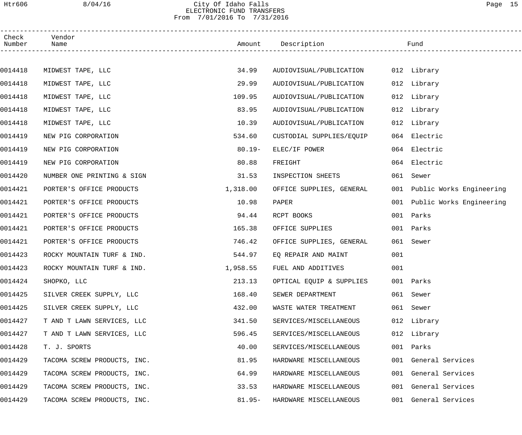## Htr606 8/04/16 City Of Idaho Falls Page 15 ELECTRONIC FUND TRANSFERS From 7/01/2016 To 7/31/2016

| Check<br>Number | Vendor<br>Name              |           | Amount Description       |     | Fund                         |
|-----------------|-----------------------------|-----------|--------------------------|-----|------------------------------|
|                 |                             |           |                          |     |                              |
| 0014418         | MIDWEST TAPE, LLC           | 34.99     | AUDIOVISUAL/PUBLICATION  |     | 012 Library                  |
| 0014418         | MIDWEST TAPE, LLC           | 29.99     | AUDIOVISUAL/PUBLICATION  |     | 012 Library                  |
| 0014418         | MIDWEST TAPE, LLC           | 109.95    | AUDIOVISUAL/PUBLICATION  |     | 012 Library                  |
| 0014418         | MIDWEST TAPE, LLC           | 83.95     | AUDIOVISUAL/PUBLICATION  |     | 012 Library                  |
| 0014418         | MIDWEST TAPE, LLC           | 10.39     | AUDIOVISUAL/PUBLICATION  |     | 012 Library                  |
| 0014419         | NEW PIG CORPORATION         | 534.60    | CUSTODIAL SUPPLIES/EQUIP | 064 | Electric                     |
| 0014419         | NEW PIG CORPORATION         | $80.19 -$ | ELEC/IF POWER            |     | 064 Electric                 |
| 0014419         | NEW PIG CORPORATION         | 80.88     | FREIGHT                  |     | 064 Electric                 |
| 0014420         | NUMBER ONE PRINTING & SIGN  | 31.53     | INSPECTION SHEETS        |     | 061 Sewer                    |
| 0014421         | PORTER'S OFFICE PRODUCTS    | 1,318.00  | OFFICE SUPPLIES, GENERAL |     | 001 Public Works Engineering |
| 0014421         | PORTER'S OFFICE PRODUCTS    | 10.98     | PAPER                    | 001 | Public Works Engineering     |
| 0014421         | PORTER'S OFFICE PRODUCTS    | 94.44     | RCPT BOOKS               |     | 001 Parks                    |
| 0014421         | PORTER'S OFFICE PRODUCTS    | 165.38    | OFFICE SUPPLIES          |     | 001 Parks                    |
| 0014421         | PORTER'S OFFICE PRODUCTS    | 746.42    | OFFICE SUPPLIES, GENERAL |     | 061 Sewer                    |
| 0014423         | ROCKY MOUNTAIN TURF & IND.  | 544.97    | EQ REPAIR AND MAINT      | 001 |                              |
| 0014423         | ROCKY MOUNTAIN TURF & IND.  | 1,958.55  | FUEL AND ADDITIVES       | 001 |                              |
| 0014424         | SHOPKO, LLC                 | 213.13    | OPTICAL EQUIP & SUPPLIES |     | 001 Parks                    |
| 0014425         | SILVER CREEK SUPPLY, LLC    | 168.40    | SEWER DEPARTMENT         |     | 061 Sewer                    |
| 0014425         | SILVER CREEK SUPPLY, LLC    | 432.00    | WASTE WATER TREATMENT    |     | 061 Sewer                    |
| 0014427         | T AND T LAWN SERVICES, LLC  | 341.50    | SERVICES/MISCELLANEOUS   |     | 012 Library                  |
| 0014427         | T AND T LAWN SERVICES, LLC  | 596.45    | SERVICES/MISCELLANEOUS   |     | 012 Library                  |
| 0014428         | T. J. SPORTS                | 40.00     | SERVICES/MISCELLANEOUS   | 001 | Parks                        |
| 0014429         | TACOMA SCREW PRODUCTS, INC. | 81.95     | HARDWARE MISCELLANEOUS   | 001 | General Services             |
| 0014429         | TACOMA SCREW PRODUCTS, INC. | 64.99     | HARDWARE MISCELLANEOUS   | 001 | General Services             |
| 0014429         | TACOMA SCREW PRODUCTS, INC. | 33.53     | HARDWARE MISCELLANEOUS   |     | 001 General Services         |
| 0014429         | TACOMA SCREW PRODUCTS, INC. | $81.95 -$ | HARDWARE MISCELLANEOUS   | 001 | General Services             |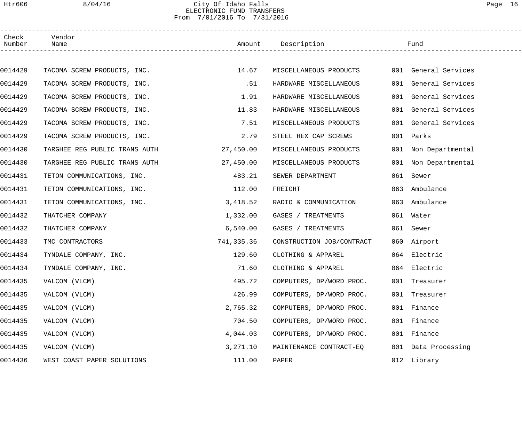## Htr606 8/04/16 City Of Idaho Falls Page 16 ELECTRONIC FUND TRANSFERS From 7/01/2016 To 7/31/2016

| Check<br>Number | Vendor<br>Name                |            | Amount Description        |     | Fund                 |
|-----------------|-------------------------------|------------|---------------------------|-----|----------------------|
|                 |                               |            |                           |     |                      |
| 0014429         | TACOMA SCREW PRODUCTS, INC.   | 14.67      | MISCELLANEOUS PRODUCTS    |     | 001 General Services |
| 0014429         | TACOMA SCREW PRODUCTS, INC.   | .51        | HARDWARE MISCELLANEOUS    |     | 001 General Services |
| 0014429         | TACOMA SCREW PRODUCTS, INC.   | 1.91       | HARDWARE MISCELLANEOUS    |     | 001 General Services |
| 0014429         | TACOMA SCREW PRODUCTS, INC.   | 11.83      | HARDWARE MISCELLANEOUS    |     | 001 General Services |
| 0014429         | TACOMA SCREW PRODUCTS, INC.   | 7.51       | MISCELLANEOUS PRODUCTS    |     | 001 General Services |
| 0014429         | TACOMA SCREW PRODUCTS, INC.   | 2.79       | STEEL HEX CAP SCREWS      |     | 001 Parks            |
| 0014430         | TARGHEE REG PUBLIC TRANS AUTH | 27,450.00  | MISCELLANEOUS PRODUCTS    |     | 001 Non Departmental |
| 0014430         | TARGHEE REG PUBLIC TRANS AUTH | 27,450.00  | MISCELLANEOUS PRODUCTS    |     | 001 Non Departmental |
| 0014431         | TETON COMMUNICATIONS, INC.    | 483.21     | SEWER DEPARTMENT          | 061 | Sewer                |
| 0014431         | TETON COMMUNICATIONS, INC.    | 112.00     | FREIGHT                   | 063 | Ambulance            |
| 0014431         | TETON COMMUNICATIONS, INC.    | 3,418.52   | RADIO & COMMUNICATION     | 063 | Ambulance            |
| 0014432         | THATCHER COMPANY              | 1,332.00   | GASES / TREATMENTS        |     | 061 Water            |
| 0014432         | THATCHER COMPANY              | 6,540.00   | GASES / TREATMENTS        |     | 061 Sewer            |
| 0014433         | TMC CONTRACTORS               | 741,335.36 | CONSTRUCTION JOB/CONTRACT |     | 060 Airport          |
| 0014434         | TYNDALE COMPANY, INC.         | 129.60     | CLOTHING & APPAREL        |     | 064 Electric         |
| 0014434         | TYNDALE COMPANY, INC.         | 71.60      | CLOTHING & APPAREL        |     | 064 Electric         |
| 0014435         | VALCOM (VLCM)                 | 495.72     | COMPUTERS, DP/WORD PROC.  |     | 001 Treasurer        |
| 0014435         | VALCOM (VLCM)                 | 426.99     | COMPUTERS, DP/WORD PROC.  |     | 001 Treasurer        |
| 0014435         | VALCOM (VLCM)                 | 2,765.32   | COMPUTERS, DP/WORD PROC.  |     | 001 Finance          |
| 0014435         | VALCOM (VLCM)                 | 704.50     | COMPUTERS, DP/WORD PROC.  |     | 001 Finance          |
| 0014435         | VALCOM (VLCM)                 | 4,044.03   | COMPUTERS, DP/WORD PROC.  |     | 001 Finance          |
| 0014435         | VALCOM (VLCM)                 | 3,271.10   | MAINTENANCE CONTRACT-EQ   |     | 001 Data Processing  |
| 0014436         | WEST COAST PAPER SOLUTIONS    | 111.00     | PAPER                     |     | 012 Library          |
|                 |                               |            |                           |     |                      |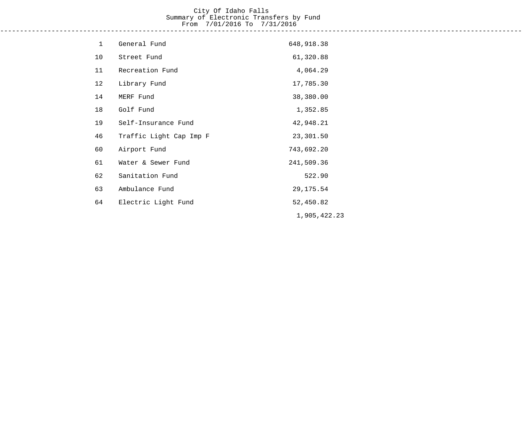## City Of Idaho Falls Summary of Electronic Transfers by Fund From 7/01/2016 To 7/31/2016

------------------------------------------------------------------------------------------------------------------------------------

| $\mathbf{1}$ | General Fund            | 648,918.38   |
|--------------|-------------------------|--------------|
| 10           | Street Fund             | 61,320.88    |
| 11           | Recreation Fund         | 4,064.29     |
| 12           | Library Fund            | 17,785.30    |
| 14           | MERF Fund               | 38,380.00    |
| 18           | Golf Fund               | 1,352.85     |
| 19           | Self-Insurance Fund     | 42,948.21    |
| 46           | Traffic Light Cap Imp F | 23,301.50    |
| 60           | Airport Fund            | 743,692.20   |
| 61           | Water & Sewer Fund      | 241,509.36   |
| 62           | Sanitation Fund         | 522.90       |
| 63           | Ambulance Fund          | 29, 175.54   |
| 64           | Electric Light Fund     | 52,450.82    |
|              |                         | 1,905,422.23 |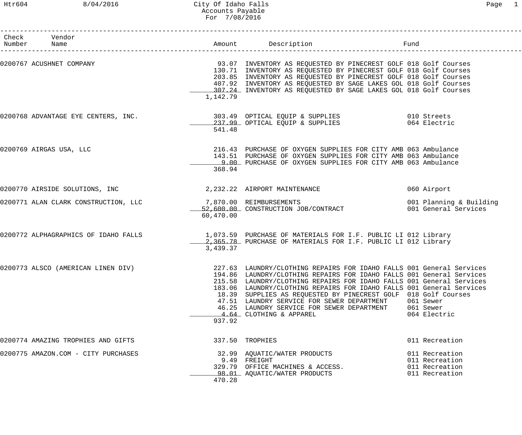## Htr604 8/04/2016 City Of Idaho Falls Page 1 Accounts Payable For 7/08/2016

| Check Vendor<br>Number Name          |           | Amount Description                                                                                                                                                                                                                                                                                                                                                                                                                                                                    | Fund                                                                 |
|--------------------------------------|-----------|---------------------------------------------------------------------------------------------------------------------------------------------------------------------------------------------------------------------------------------------------------------------------------------------------------------------------------------------------------------------------------------------------------------------------------------------------------------------------------------|----------------------------------------------------------------------|
| 0200767 ACUSHNET COMPANY             | 1,142.79  | 93.07 INVENTORY AS REQUESTED BY PINECREST GOLF 018 Golf Courses<br>130.71 INVENTORY AS REQUESTED BY PINECREST GOLF 018 Golf Courses<br>203.85 INVENTORY AS REQUESTED BY PINECREST GOLF 018 Golf Courses<br>407.92 INVENTORY AS REQUESTED BY SAGE LAKES GOL 018 Golf Courses<br>307.24 INVENTORY AS REQUESTED BY SAGE LAKES GOL 018 Golf Courses                                                                                                                                       |                                                                      |
| 0200768 ADVANTAGE EYE CENTERS, INC.  | 541.48    | 303.49 OPTICAL EQUIP & SUPPLIES 6010 Streets<br>237.99 OPTICAL EQUIP & SUPPLIES                                                                                                                                                                                                                                                                                                                                                                                                       | 064 Electric                                                         |
| 0200769 AIRGAS USA, LLC              | 368.94    | 216.43 PURCHASE OF OXYGEN SUPPLIES FOR CITY AMB 063 Ambulance<br>143.51 PURCHASE OF OXYGEN SUPPLIES FOR CITY AMB 063 Ambulance<br>9.00 PURCHASE OF OXYGEN SUPPLIES FOR CITY AMB 063 Ambulance                                                                                                                                                                                                                                                                                         |                                                                      |
| 0200770 AIRSIDE SOLUTIONS, INC       |           | 2, 232.22 AIRPORT MAINTENANCE                                                                                                                                                                                                                                                                                                                                                                                                                                                         | 060 Airport                                                          |
| 0200771 ALAN CLARK CONSTRUCTION, LLC | 60,470.00 | 7,870.00 REIMBURSEMENTS<br>52,600.00 CONSTRUCTION JOB/CONTRACT                                                                                                                                                                                                                                                                                                                                                                                                                        | 001 Planning & Building<br>001 General Services                      |
| 0200772 ALPHAGRAPHICS OF IDAHO FALLS | 3,439.37  | 1,073.59 PURCHASE OF MATERIALS FOR I.F. PUBLIC LI 012 Library<br>2,365.78 PURCHASE OF MATERIALS FOR I.F. PUBLIC LI 012 Library                                                                                                                                                                                                                                                                                                                                                        |                                                                      |
| 0200773 ALSCO (AMERICAN LINEN DIV)   | 937.92    | 227.63 LAUNDRY/CLOTHING REPAIRS FOR IDAHO FALLS 001 General Services<br>194.86 LAUNDRY/CLOTHING REPAIRS FOR IDAHO FALLS 001 General Services<br>215.58 LAUNDRY/CLOTHING REPAIRS FOR IDAHO FALLS 001 General Services<br>183.06 LAUNDRY/CLOTHING REPAIRS FOR IDAHO FALLS 001 General Services<br>18.39 SUPPLIES AS REQUESTED BY PINECREST GOLF 018 Golf Courses<br>47.51 LAUNDRY SERVICE FOR SEWER DEPARTMENT<br>46.25 LAUNDRY SERVICE FOR SEWER DEPARTMENT<br>4.64 CLOTHING & APPAREL | 061 Sewer<br>061 Sewer<br>064 Electric                               |
| 0200774 AMAZING TROPHIES AND GIFTS   |           | 337.50 TROPHIES                                                                                                                                                                                                                                                                                                                                                                                                                                                                       | 011 Recreation                                                       |
| 0200775 AMAZON.COM - CITY PURCHASES  | 470.28    | 32.99 AQUATIC/WATER PRODUCTS<br>9.49 FREIGHT<br>329.79 OFFICE MACHINES & ACCESS.<br>98.01 AQUATIC/WATER PRODUCTS                                                                                                                                                                                                                                                                                                                                                                      | 011 Recreation<br>011 Recreation<br>011 Recreation<br>011 Recreation |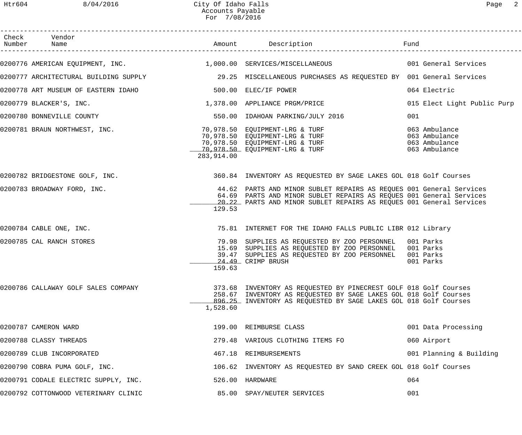| Check Vendor<br>Number Name                                 |            | Amount Description                                                                                                                                                                                                | Fund                        |
|-------------------------------------------------------------|------------|-------------------------------------------------------------------------------------------------------------------------------------------------------------------------------------------------------------------|-----------------------------|
|                                                             |            | 0200776 AMERICAN EQUIPMENT, INC. 1,000.00 SERVICES/MISCELLANEOUS 001 General Services                                                                                                                             |                             |
|                                                             |            | 0200777 ARCHITECTURAL BUILDING SUPPLY 29.25 MISCELLANEOUS PURCHASES AS REQUESTED BY 001 General Services                                                                                                          |                             |
| 0200778 ART MUSEUM OF EASTERN IDAHO<br>500.00 ELEC/IF POWER |            |                                                                                                                                                                                                                   | 064 Electric                |
| 0200779 BLACKER'S, INC.                                     |            | 1,378.00 APPLIANCE PRGM/PRICE                                                                                                                                                                                     | 015 Elect Light Public Purp |
| 0200780 BONNEVILLE COUNTY                                   |            | 550.00 IDAHOAN PARKING/JULY 2016                                                                                                                                                                                  | 001                         |
| 0200781 BRAUN NORTHWEST, INC.                               | 283,914.00 | 70,978.50 EQUIPMENT-LRG & TURF<br>70,978.50 EQUIPMENT-LRG & TURF 063 Ambulance<br>70,978.50 EQUIPMENT-LRG & TURF 063 Ambulance<br>70,978.50 EQUIPMENT-LRG & TURF 063 Ambulance                                    |                             |
| 0200782 BRIDGESTONE GOLF, INC.                              |            | 360.84 INVENTORY AS REQUESTED BY SAGE LAKES GOL 018 Golf Courses                                                                                                                                                  |                             |
| 0200783 BROADWAY FORD, INC.                                 | 129.53     | 44.62 PARTS AND MINOR SUBLET REPAIRS AS REQUES 001 General Services<br>64.69 PARTS AND MINOR SUBLET REPAIRS AS REQUES 001 General Services<br>20.22 PARTS AND MINOR SUBLET REPAIRS AS REQUES 001 General Services |                             |
| 0200784 CABLE ONE, INC.                                     |            | 75.81 INTERNET FOR THE IDAHO FALLS PUBLIC LIBR 012 Library                                                                                                                                                        |                             |
| 0200785 CAL RANCH STORES                                    | 159.63     | 79.98 SUPPLIES AS REQUESTED BY ZOO PERSONNEL 001 Parks<br>15.69 SUPPLIES AS REQUESTED BY ZOO PERSONNEL 001 Parks<br>39.47 SUPPLIES AS REQUESTED BY ZOO PERSONNEL<br>24.49 CRIMP BRUSH                             | 001 Parks<br>001 Parks      |
| 0200786 CALLAWAY GOLF SALES COMPANY                         | 1,528.60   | 373.68 INVENTORY AS REQUESTED BY PINECREST GOLF 018 Golf Courses<br>258.67 INVENTORY AS REQUESTED BY SAGE LAKES GOL 018 Golf Courses<br>896.25 INVENTORY AS REQUESTED BY SAGE LAKES GOL 018 Golf Courses          |                             |
| 0200787 CAMERON WARD                                        |            | 199.00 REIMBURSE CLASS                                                                                                                                                                                            | 001 Data Processing         |
| 0200788 CLASSY THREADS                                      |            | 279.48 VARIOUS CLOTHING ITEMS FO                                                                                                                                                                                  | 060 Airport                 |
| 0200789 CLUB INCORPORATED                                   |            | 467.18 REIMBURSEMENTS                                                                                                                                                                                             | 001 Planning & Building     |
| 0200790 COBRA PUMA GOLF, INC.                               |            | 106.62 INVENTORY AS REQUESTED BY SAND CREEK GOL 018 Golf Courses                                                                                                                                                  |                             |
| 0200791 CODALE ELECTRIC SUPPLY, INC.                        |            | 526.00 HARDWARE                                                                                                                                                                                                   | 064                         |
| 0200792 COTTONWOOD VETERINARY CLINIC                        |            | 85.00 SPAY/NEUTER SERVICES                                                                                                                                                                                        | 001                         |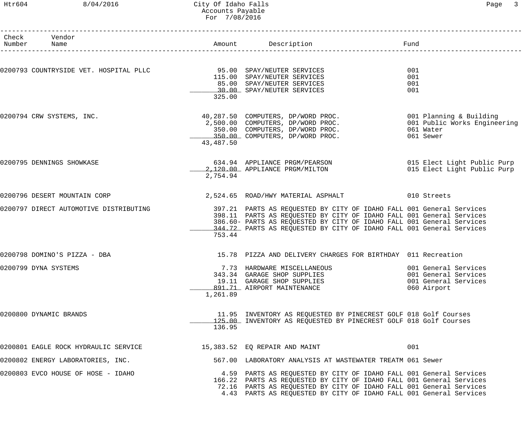#### Htr604 8/04/2016 City Of Idaho Falls Page 3 Accounts Payable For 7/08/2016

| Check Vendor<br>Number Name                                                                   |           | Amount Description                                                                                                                                                                                                                                                                            | Fund                                                                                |
|-----------------------------------------------------------------------------------------------|-----------|-----------------------------------------------------------------------------------------------------------------------------------------------------------------------------------------------------------------------------------------------------------------------------------------------|-------------------------------------------------------------------------------------|
| 0200793 COUNTRYSIDE VET. HOSPITAL PLLC <a>&gt; 95.00<br/> 95.00<br/> SPAY/NEUTER SERVICES</a> | 325.00    | 115.00 SPAY/NEUTER SERVICES<br>85.00 SPAY/NEUTER SERVICES<br>30.00 SPAY/NEUTER SERVICES                                                                                                                                                                                                       | 001<br>001<br>001<br>001                                                            |
| 0200794 CRW SYSTEMS, INC.                                                                     | 43,487.50 | 40,287.50 COMPUTERS, DP/WORD PROC.<br>2,500.00 COMPUTERS, DP/WORD PROC. 001 Public Works Engineering<br>350.00 COMPUTERS, DP/WORD PROC.<br>350.00 COMPUTERS, DP/WORD PROC.                                                                                                                    | 061 Water<br>061 Sewer                                                              |
| 0200795 DENNINGS SHOWKASE                                                                     | 2,754.94  | 634.94 APPLIANCE PRGM/PEARSON 634.94 APPLIANCE PRGM/PEARSON<br>2,120.00 APPLIANCE PRGM/MILTON                                                                                                                                                                                                 | 015 Elect Light Public Purp                                                         |
| 0200796 DESERT MOUNTAIN CORP                                                                  |           | 2,524.65 ROAD/HWY MATERIAL ASPHALT 610 Streets                                                                                                                                                                                                                                                |                                                                                     |
| 0200797 DIRECT AUTOMOTIVE DISTRIBUTING                                                        | 753.44    | 397.21 PARTS AS REQUESTED BY CITY OF IDAHO FALL 001 General Services<br>398.11 PARTS AS REQUESTED BY CITY OF IDAHO FALL 001 General Services<br>386.60- PARTS AS REQUESTED BY CITY OF IDAHO FALL 001 General Services<br>344.72 PARTS AS REQUESTED BY CITY OF IDAHO FALL 001 General Services |                                                                                     |
| 0200798 DOMINO'S PIZZA - DBA                                                                  |           | 15.78 PIZZA AND DELIVERY CHARGES FOR BIRTHDAY 011 Recreation                                                                                                                                                                                                                                  |                                                                                     |
| 0200799 DYNA SYSTEMS                                                                          | 1,261.89  | 7.73 HARDWARE MISCELLANEOUS<br>343.34 GARAGE SHOP SUPPLIES<br>19.11 GARAGE SHOP SUPPLIES<br>891.71 AIRPORT MAINTENANCE                                                                                                                                                                        | 001 General Services<br>001 General Services<br>001 General Services<br>060 Airport |
| 0200800 DYNAMIC BRANDS                                                                        | 136.95    | 11.95 INVENTORY AS REQUESTED BY PINECREST GOLF 018 Golf Courses<br>125.00 INVENTORY AS REQUESTED BY PINECREST GOLF 018 Golf Courses                                                                                                                                                           |                                                                                     |
| 0200801 EAGLE ROCK HYDRAULIC SERVICE                                                          |           | 15,383.52 EQ REPAIR AND MAINT                                                                                                                                                                                                                                                                 | 001                                                                                 |
| 0200802 ENERGY LABORATORIES, INC.                                                             |           | 567.00 LABORATORY ANALYSIS AT WASTEWATER TREATM 061 Sewer                                                                                                                                                                                                                                     |                                                                                     |
| 0200803 EVCO HOUSE OF HOSE - IDAHO                                                            |           | 4.59 PARTS AS REQUESTED BY CITY OF IDAHO FALL 001 General Services<br>166.22 PARTS AS REQUESTED BY CITY OF IDAHO FALL 001 General Services<br>72.16 PARTS AS REQUESTED BY CITY OF IDAHO FALL 001 General Services<br>4.43 PARTS AS REQUESTED BY CITY OF IDAHO FALL 001 General Services       |                                                                                     |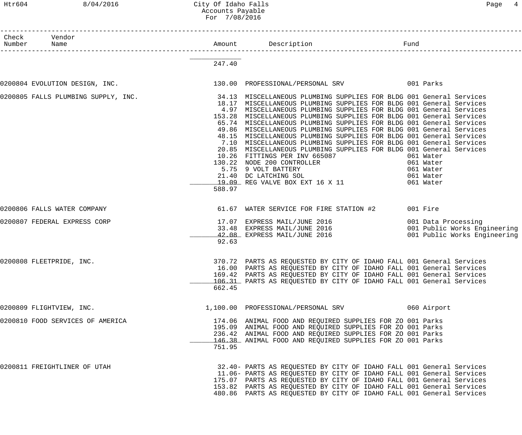## Htr604 8/04/2016 City Of Idaho Falls Page 4 Accounts Payable For 7/08/2016

| Check | Vendor<br>Number Name                                                                                                         |        |                                                                                                                                                                                                                                                                                                                                                                                                                                                                                                                                                                                                                                                                                                                                                                                                                              | Fund     |             |
|-------|-------------------------------------------------------------------------------------------------------------------------------|--------|------------------------------------------------------------------------------------------------------------------------------------------------------------------------------------------------------------------------------------------------------------------------------------------------------------------------------------------------------------------------------------------------------------------------------------------------------------------------------------------------------------------------------------------------------------------------------------------------------------------------------------------------------------------------------------------------------------------------------------------------------------------------------------------------------------------------------|----------|-------------|
|       |                                                                                                                               |        |                                                                                                                                                                                                                                                                                                                                                                                                                                                                                                                                                                                                                                                                                                                                                                                                                              |          |             |
|       |                                                                                                                               | 247.40 |                                                                                                                                                                                                                                                                                                                                                                                                                                                                                                                                                                                                                                                                                                                                                                                                                              |          |             |
|       | 0200804 EVOLUTION DESIGN, INC.                                    130.00 PROFESSIONAL/PERSONAL SRV                  001 Parks |        |                                                                                                                                                                                                                                                                                                                                                                                                                                                                                                                                                                                                                                                                                                                                                                                                                              |          |             |
|       | 0200805 FALLS PLUMBING SUPPLY, INC. 2008 1991.13 MISCELLANEOUS PLUMBING SUPPLIES FOR BLDG 001 General Services                | 588.97 | 18.17 MISCELLANEOUS PLUMBING SUPPLIES FOR BLDG 001 General Services<br>4.97 MISCELLANEOUS PLUMBING SUPPLIES FOR BLDG 001 General Services<br>153.28 MISCELLANEOUS PLUMBING SUPPLIES FOR BLDG 001 General Services<br>65.74 MISCELLANEOUS PLUMBING SUPPLIES FOR BLDG 001 General Services<br>49.86 MISCELLANEOUS PLUMBING SUPPLIES FOR BLDG 001 General Services<br>48.15 MISCELLANEOUS PLUMBING SUPPLIES FOR BLDG 001 General Services<br>7.10 MISCELLANEOUS PLUMBING SUPPLIES FOR BLDG 001 General Services<br>20.85 MISCELLANEOUS PLUMBING SUPPLIES FOR BLDG 001 General Services<br>10.26 FITTINGS PER INV 665087 061 Water<br>130.22 NODE 200 CONTROLLER<br>5.75 9 VOLT BATTERY<br>21.40 DC LATCHING SOL 800 000 000 000 000 000 000 001<br>21.40 DC LATCHING SOL 061 Water<br>19.09 REG VALVE BOX EXT 16 X 11 061 Water |          |             |
|       | 0200806 FALLS WATER COMPANY                                                                                                   |        | 61.67 WATER SERVICE FOR FIRE STATION #2                                                                                                                                                                                                                                                                                                                                                                                                                                                                                                                                                                                                                                                                                                                                                                                      | 001 Fire |             |
|       |                                                                                                                               |        |                                                                                                                                                                                                                                                                                                                                                                                                                                                                                                                                                                                                                                                                                                                                                                                                                              |          |             |
|       | 0200807 FEDERAL EXPRESS CORP                                                                                                  | 92.63  | 17.07 EXPRESS MAIL/JUNE 2016<br>33.48 EXPRESS MAIL/JUNE 2016                                   001 Public Works Engineering<br>42.08 EXPRESS MAIL/JUNE 2016                            001 Public Works Engineering                                                                                                                                                                                                                                                                                                                                                                                                                                                                                                                                                                                                          |          |             |
|       | 0200808 FLEETPRIDE, INC.                                                                                                      | 662.45 | 370.72 PARTS AS REQUESTED BY CITY OF IDAHO FALL 001 General Services<br>16.00 PARTS AS REQUESTED BY CITY OF IDAHO FALL 001 General Services<br>169.42 PARTS AS REQUESTED BY CITY OF IDAHO FALL 001 General Services<br>106.31 PARTS AS REQUESTED BY CITY OF IDAHO FALL 001 General Services                                                                                                                                                                                                                                                                                                                                                                                                                                                                                                                                  |          |             |
|       | 0200809 FLIGHTVIEW, INC.                                                                                                      |        | 1,100.00 PROFESSIONAL/PERSONAL SRV                                                                                                                                                                                                                                                                                                                                                                                                                                                                                                                                                                                                                                                                                                                                                                                           |          | 060 Airport |
|       | 0200810 FOOD SERVICES OF AMERICA                                                                                              | 751.95 | 174.06 ANIMAL FOOD AND REQUIRED SUPPLIES FOR ZO 001 Parks<br>195.09 ANIMAL FOOD AND REQUIRED SUPPLIES FOR ZO 001 Parks<br>236.42 ANIMAL FOOD AND REQUIRED SUPPLIES FOR ZO 001 Parks<br>146.38 ANIMAL FOOD AND REQUIRED SUPPLIES FOR ZO 001 Parks                                                                                                                                                                                                                                                                                                                                                                                                                                                                                                                                                                             |          |             |
|       | 0200811 FREIGHTLINER OF UTAH                                                                                                  |        | 32.40- PARTS AS REQUESTED BY CITY OF IDAHO FALL 001 General Services<br>11.06- PARTS AS REQUESTED BY CITY OF IDAHO FALL 001 General Services<br>175.07 PARTS AS REQUESTED BY CITY OF IDAHO FALL 001 General Services<br>153.82 PARTS AS REQUESTED BY CITY OF IDAHO FALL 001 General Services<br>480.86 PARTS AS REQUESTED BY CITY OF IDAHO FALL 001 General Services                                                                                                                                                                                                                                                                                                                                                                                                                                                         |          |             |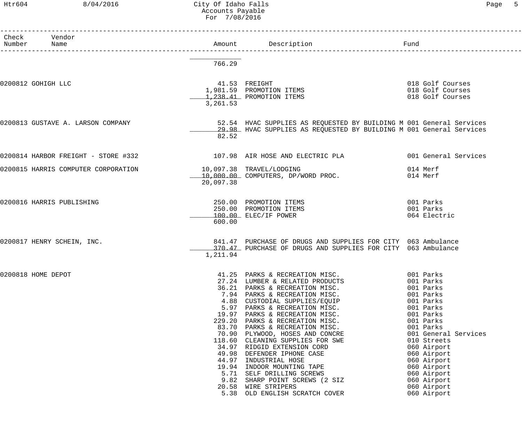# Htr604 8/04/2016 City Of Idaho Falls Communications of Page 5 Accounts Payable For 7/08/2016

|                    |                                     | FOL 7/08/2016                                                                                           |                                                                                                                                                                                                                                                                                                                                                                                                                                                                                                                                                           |                                                                                                                                                                                                                                                                                  |
|--------------------|-------------------------------------|---------------------------------------------------------------------------------------------------------|-----------------------------------------------------------------------------------------------------------------------------------------------------------------------------------------------------------------------------------------------------------------------------------------------------------------------------------------------------------------------------------------------------------------------------------------------------------------------------------------------------------------------------------------------------------|----------------------------------------------------------------------------------------------------------------------------------------------------------------------------------------------------------------------------------------------------------------------------------|
| Check<br>Number    | Vendor<br>Name                      | Amount                                                                                                  | Description                                                                                                                                                                                                                                                                                                                                                                                                                                                                                                                                               | Fund                                                                                                                                                                                                                                                                             |
|                    |                                     | 766.29                                                                                                  |                                                                                                                                                                                                                                                                                                                                                                                                                                                                                                                                                           |                                                                                                                                                                                                                                                                                  |
| 0200812 GOHIGH LLC |                                     | 3,261.53                                                                                                | 41.53 FREIGHT<br>1,981.59 PROMOTION ITEMS<br>1,238.41 PROMOTION ITEMS                                                                                                                                                                                                                                                                                                                                                                                                                                                                                     | 018 Golf Courses<br>018 Golf Courses<br>018 Golf Courses                                                                                                                                                                                                                         |
|                    | 0200813 GUSTAVE A. LARSON COMPANY   | 82.52                                                                                                   | 52.54 HVAC SUPPLIES AS REQUESTED BY BUILDING M 001 General Services<br>29.98 HVAC SUPPLIES AS REQUESTED BY BUILDING M 001 General Services                                                                                                                                                                                                                                                                                                                                                                                                                |                                                                                                                                                                                                                                                                                  |
|                    | 0200814 HARBOR FREIGHT - STORE #332 |                                                                                                         | 107.98 AIR HOSE AND ELECTRIC PLA                                                                                                                                                                                                                                                                                                                                                                                                                                                                                                                          | 001 General Services                                                                                                                                                                                                                                                             |
|                    | 0200815 HARRIS COMPUTER CORPORATION | 20,097.38                                                                                               | 10,097.38 TRAVEL/LODGING<br>10,000.00 COMPUTERS, DP/WORD PROC.                                                                                                                                                                                                                                                                                                                                                                                                                                                                                            | 014 Merf<br>014 Merf                                                                                                                                                                                                                                                             |
|                    | 0200816 HARRIS PUBLISHING           | 600.00                                                                                                  | 250.00 PROMOTION ITEMS<br>250.00 PROMOTION ITEMS<br>100.00 ELEC/IF POWER                                                                                                                                                                                                                                                                                                                                                                                                                                                                                  | 001 Parks<br>001 Parks<br>064 Electric                                                                                                                                                                                                                                           |
|                    | 0200817 HENRY SCHEIN, INC.          | 1,211.94                                                                                                | 841.47 PURCHASE OF DRUGS AND SUPPLIES FOR CITY 063 Ambulance<br>_370.47_ PURCHASE OF DRUGS AND SUPPLIES FOR CITY 063 Ambulance                                                                                                                                                                                                                                                                                                                                                                                                                            |                                                                                                                                                                                                                                                                                  |
| 0200818 HOME DEPOT |                                     | 41.25<br>4.88<br>5.97<br>19.97<br>229.20<br>83.70<br>70.90<br>118.60<br>49.98<br>44.97<br>20.58<br>5.38 | PARKS & RECREATION MISC.<br>27.24 LUMBER & RELATED PRODUCTS<br>36.21 PARKS & RECREATION MISC.<br>7.94 PARKS & RECREATION MISC.<br>CUSTODIAL SUPPLIES/EQUIP<br>PARKS & RECREATION MISC.<br>PARKS & RECREATION MISC.<br>PARKS & RECREATION MISC.<br>PARKS & RECREATION MISC.<br>PLYWOOD, HOSES AND CONCRE<br>CLEANING SUPPLIES FOR SWE<br>34.97 RIDGID EXTENSION CORD<br>DEFENDER IPHONE CASE<br>INDUSTRIAL HOSE<br>19.94 INDOOR MOUNTING TAPE<br>5.71 SELF DRILLING SCREWS<br>9.82 SHARP POINT SCREWS (2 SIZ<br>WIRE STRIPERS<br>OLD ENGLISH SCRATCH COVER | 001 Parks<br>001 Parks<br>001 Parks<br>001 Parks<br>001 Parks<br>001 Parks<br>001 Parks<br>001 Parks<br>001 Parks<br>001 General Services<br>010 Streets<br>060 Airport<br>060 Airport<br>060 Airport<br>060 Airport<br>060 Airport<br>060 Airport<br>060 Airport<br>060 Airport |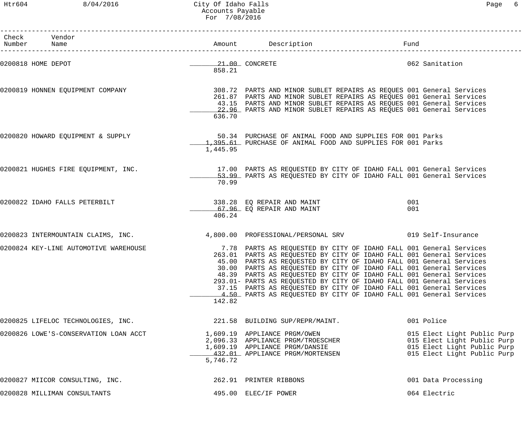Htr604 8/04/2016 City Of Idaho Falls Page 6 Accounts Payable For 7/08/2016

| Check Vendor<br>Number Name           |          | Amount Description                                                                                                                                                                                                                                                                                                                                                                                                                                                                                                                                                                    | Fund       |                                                                                                                          |
|---------------------------------------|----------|---------------------------------------------------------------------------------------------------------------------------------------------------------------------------------------------------------------------------------------------------------------------------------------------------------------------------------------------------------------------------------------------------------------------------------------------------------------------------------------------------------------------------------------------------------------------------------------|------------|--------------------------------------------------------------------------------------------------------------------------|
|                                       |          | ______________________________                                                                                                                                                                                                                                                                                                                                                                                                                                                                                                                                                        |            |                                                                                                                          |
| 0200818 HOME DEPOT                    | 858.21   | 21.00 CONCRETE                                                                                                                                                                                                                                                                                                                                                                                                                                                                                                                                                                        |            | 062 Sanitation                                                                                                           |
| 0200819 HONNEN EQUIPMENT COMPANY      | 636.70   | 308.72 PARTS AND MINOR SUBLET REPAIRS AS REQUES 001 General Services<br>261.87 PARTS AND MINOR SUBLET REPAIRS AS REQUES 001 General Services<br>43.15 PARTS AND MINOR SUBLET REPAIRS AS REQUES 001 General Services<br>22.96 PARTS AND MINOR SUBLET REPAIRS AS REQUES 001 General Services                                                                                                                                                                                                                                                                                            |            |                                                                                                                          |
| 0200820 HOWARD EQUIPMENT & SUPPLY     | 1,445.95 | 50.34 PURCHASE OF ANIMAL FOOD AND SUPPLIES FOR 001 Parks<br>1,395.61 PURCHASE OF ANIMAL FOOD AND SUPPLIES FOR 001 Parks                                                                                                                                                                                                                                                                                                                                                                                                                                                               |            |                                                                                                                          |
| 0200821 HUGHES FIRE EQUIPMENT, INC.   | 70.99    | 17.00 PARTS AS REQUESTED BY CITY OF IDAHO FALL 001 General Services<br>53.99 PARTS AS REOUESTED BY CITY OF IDAHO FALL 001 General Services                                                                                                                                                                                                                                                                                                                                                                                                                                            |            |                                                                                                                          |
| 0200822 IDAHO FALLS PETERBILT         | 406.24   | 338.28 EQ REPAIR AND MAINT<br>67.96 EQ REPAIR AND MAINT                                                                                                                                                                                                                                                                                                                                                                                                                                                                                                                               | 001<br>001 |                                                                                                                          |
| 0200823 INTERMOUNTAIN CLAIMS, INC.    |          | 4,800.00 PROFESSIONAL/PERSONAL SRV 019 Self-Insurance                                                                                                                                                                                                                                                                                                                                                                                                                                                                                                                                 |            |                                                                                                                          |
| 0200824 KEY-LINE AUTOMOTIVE WAREHOUSE | 142.82   | 7.78 PARTS AS REQUESTED BY CITY OF IDAHO FALL 001 General Services<br>263.01 PARTS AS REQUESTED BY CITY OF IDAHO FALL 001 General Services<br>45.00 PARTS AS REQUESTED BY CITY OF IDAHO FALL 001 General Services<br>30.00 PARTS AS REQUESTED BY CITY OF IDAHO FALL 001 General Services<br>48.39 PARTS AS REQUESTED BY CITY OF IDAHO FALL 001 General Services<br>293.01- PARTS AS REQUESTED BY CITY OF IDAHO FALL 001 General Services<br>37.15 PARTS AS REQUESTED BY CITY OF IDAHO FALL 001 General Services<br>4.50 PARTS AS REQUESTED BY CITY OF IDAHO FALL 001 General Services |            |                                                                                                                          |
| 0200825 LIFELOC TECHNOLOGIES, INC.    |          | 221.58 BUILDING SUP/REPR/MAINT.                                                                                                                                                                                                                                                                                                                                                                                                                                                                                                                                                       |            | 001 Police                                                                                                               |
| 0200826 LOWE'S-CONSERVATION LOAN ACCT | 5,746.72 | 1,609.19 APPLIANCE PRGM/OWEN<br>2,096.33 APPLIANCE PRGM/TROESCHER<br>1,609.19 APPLIANCE PRGM/DANSIE<br>432.01 APPLIANCE PRGM/MORTENSEN                                                                                                                                                                                                                                                                                                                                                                                                                                                |            | 015 Elect Light Public Purp<br>015 Elect Light Public Purp<br>015 Elect Light Public Purp<br>015 Elect Light Public Purp |
| 0200827 MIICOR CONSULTING, INC.       |          | 262.91 PRINTER RIBBONS                                                                                                                                                                                                                                                                                                                                                                                                                                                                                                                                                                |            | 001 Data Processing                                                                                                      |
| 0200828 MILLIMAN CONSULTANTS          |          | 495.00 ELEC/IF POWER                                                                                                                                                                                                                                                                                                                                                                                                                                                                                                                                                                  |            | 064 Electric                                                                                                             |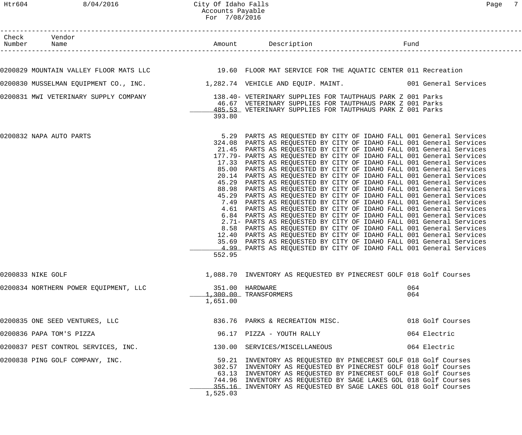## Htr604 8/04/2016 City Of Idaho Falls Page 7 Accounts Payable For 7/08/2016

| Check Vendor                          |          |                                                                                                                                                                                                                                                                                                                                                                                                                                                                                                                                                                                                                                                                                                                                                                                                                                                                                                                                                                                                                                                                                                                                                                                                                                                                                                                         |                  |
|---------------------------------------|----------|-------------------------------------------------------------------------------------------------------------------------------------------------------------------------------------------------------------------------------------------------------------------------------------------------------------------------------------------------------------------------------------------------------------------------------------------------------------------------------------------------------------------------------------------------------------------------------------------------------------------------------------------------------------------------------------------------------------------------------------------------------------------------------------------------------------------------------------------------------------------------------------------------------------------------------------------------------------------------------------------------------------------------------------------------------------------------------------------------------------------------------------------------------------------------------------------------------------------------------------------------------------------------------------------------------------------------|------------------|
|                                       |          |                                                                                                                                                                                                                                                                                                                                                                                                                                                                                                                                                                                                                                                                                                                                                                                                                                                                                                                                                                                                                                                                                                                                                                                                                                                                                                                         |                  |
|                                       |          | 0200829 MOUNTAIN VALLEY FLOOR MATS LLC 19.60 FLOOR MAT SERVICE FOR THE AQUATIC CENTER 011 Recreation                                                                                                                                                                                                                                                                                                                                                                                                                                                                                                                                                                                                                                                                                                                                                                                                                                                                                                                                                                                                                                                                                                                                                                                                                    |                  |
|                                       |          | 0200830 MUSSELMAN EQUIPMENT CO., INC. 1,282.74 VEHICLE AND EQUIP. MAINT. 001 General Services                                                                                                                                                                                                                                                                                                                                                                                                                                                                                                                                                                                                                                                                                                                                                                                                                                                                                                                                                                                                                                                                                                                                                                                                                           |                  |
|                                       | 393.80   | 0200831 MWI VETERINARY SUPPLY COMPANY 138.40- VETERINARY SUPPLIES FOR TAUTPHAUS PARK Z 001 Parks<br>46.67 VETERINARY SUPPLIES FOR TAUTPHAUS PARK Z 001 Parks<br>485.53 VETERINARY SUPPLIES FOR TAUTPHAUS PARK Z 001 Parks                                                                                                                                                                                                                                                                                                                                                                                                                                                                                                                                                                                                                                                                                                                                                                                                                                                                                                                                                                                                                                                                                               |                  |
| 0200832 NAPA AUTO PARTS               | 552.95   | 5.29 PARTS AS REQUESTED BY CITY OF IDAHO FALL 001 General Services<br>324.08 PARTS AS REQUESTED BY CITY OF IDAHO FALL 001 General Services<br>21.45 PARTS AS REQUESTED BY CITY OF IDAHO FALL 001 General Services<br>177.79- PARTS AS REQUESTED BY CITY OF IDAHO FALL 001 General Services<br>17.33 PARTS AS REQUESTED BY CITY OF IDAHO FALL 001 General Services<br>85.00 PARTS AS REQUESTED BY CITY OF IDAHO FALL 001 General Services<br>20.14 PARTS AS REQUESTED BY CITY OF IDAHO FALL 001 General Services<br>45.29 PARTS AS REQUESTED BY CITY OF IDAHO FALL 001 General Services<br>88.98 PARTS AS REQUESTED BY CITY OF IDAHO FALL 001 General Services<br>45.29 PARTS AS REQUESTED BY CITY OF IDAHO FALL 001 General Services<br>7.49 PARTS AS REQUESTED BY CITY OF IDAHO FALL 001 General Services<br>4.61 PARTS AS REQUESTED BY CITY OF IDAHO FALL 001 General Services<br>6.84 PARTS AS REQUESTED BY CITY OF IDAHO FALL 001 General Services<br>2.71- PARTS AS REQUESTED BY CITY OF IDAHO FALL 001 General Services<br>8.58 PARTS AS REQUESTED BY CITY OF IDAHO FALL 001 General Services<br>12.40 PARTS AS REQUESTED BY CITY OF IDAHO FALL 001 General Services<br>35.69 PARTS AS REQUESTED BY CITY OF IDAHO FALL 001 General Services<br>4.99 PARTS AS REQUESTED BY CITY OF IDAHO FALL 001 General Services |                  |
| 0200833 NIKE GOLF                     |          | 1,088.70 INVENTORY AS REQUESTED BY PINECREST GOLF 018 Golf Courses                                                                                                                                                                                                                                                                                                                                                                                                                                                                                                                                                                                                                                                                                                                                                                                                                                                                                                                                                                                                                                                                                                                                                                                                                                                      |                  |
| 0200834 NORTHERN POWER EQUIPMENT, LLC | 1,651.00 | 351.00 HARDWARE<br>1,300.00 TRANSFORMERS                                                                                                                                                                                                                                                                                                                                                                                                                                                                                                                                                                                                                                                                                                                                                                                                                                                                                                                                                                                                                                                                                                                                                                                                                                                                                | 064<br>064       |
| 0200835 ONE SEED VENTURES, LLC        |          | 836.76 PARKS & RECREATION MISC.                                                                                                                                                                                                                                                                                                                                                                                                                                                                                                                                                                                                                                                                                                                                                                                                                                                                                                                                                                                                                                                                                                                                                                                                                                                                                         | 018 Golf Courses |
| 0200836 PAPA TOM'S PIZZA              |          | 96.17 PIZZA - YOUTH RALLY                                                                                                                                                                                                                                                                                                                                                                                                                                                                                                                                                                                                                                                                                                                                                                                                                                                                                                                                                                                                                                                                                                                                                                                                                                                                                               | 064 Electric     |
| 0200837 PEST CONTROL SERVICES, INC.   |          | 130.00 SERVICES/MISCELLANEOUS                                                                                                                                                                                                                                                                                                                                                                                                                                                                                                                                                                                                                                                                                                                                                                                                                                                                                                                                                                                                                                                                                                                                                                                                                                                                                           | 064 Electric     |
| 0200838 PING GOLF COMPANY, INC.       | 1,525.03 | 59.21 INVENTORY AS REQUESTED BY PINECREST GOLF 018 Golf Courses<br>302.57 INVENTORY AS REQUESTED BY PINECREST GOLF 018 Golf Courses<br>63.13 INVENTORY AS REQUESTED BY PINECREST GOLF 018 Golf Courses<br>744.96 INVENTORY AS REQUESTED BY SAGE LAKES GOL 018 Golf Courses<br>355.16 INVENTORY AS REQUESTED BY SAGE LAKES GOL 018 Golf Courses                                                                                                                                                                                                                                                                                                                                                                                                                                                                                                                                                                                                                                                                                                                                                                                                                                                                                                                                                                          |                  |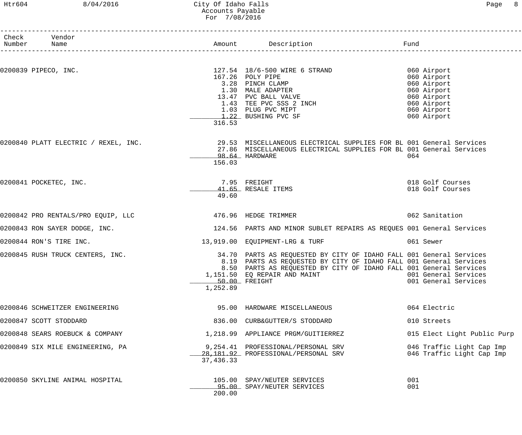| Page |  |
|------|--|
|------|--|

| Check Vendor<br>Number Name        |           |                                                                                                                                                                                                                                                                                        |                                                                                                       |
|------------------------------------|-----------|----------------------------------------------------------------------------------------------------------------------------------------------------------------------------------------------------------------------------------------------------------------------------------------|-------------------------------------------------------------------------------------------------------|
| 0200839 PIPECO, INC.               | 316.53    | 127.54 18/6-500 WIRE 6 STRAND 600 Airport<br>167.26 POLY PIPE<br>3.28 PINCH CLAMP<br>1.30 MALE ADAPTER<br>13.47 PVC BALL VALVE<br>1.43 TEE PVC SSS 2 INCH<br>1.03 PLUG PVC MIPT<br>13.47 PVC BALL VALVE<br>1.03 PLUG PVC MIPT<br>1.22 BUSHING PVC SF                                   | 060 Airport<br>060 Airport<br>060 Airport<br>060 Airport<br>060 Airport<br>060 Airport<br>060 Airport |
|                                    | 156.03    | 0200840 PLATT ELECTRIC / REXEL, INC. 29.53 MISCELLANEOUS ELECTRICAL SUPPLIES FOR BL 001 General Services<br>27.86 MISCELLANEOUS ELECTRICAL SUPPLIES FOR BL 001 General Services<br>98.64 HARDWARE                                                                                      | 064                                                                                                   |
| 0200841 POCKETEC, INC.             | 49.60     | 7.95 FREIGHT<br>41.65 RESALE ITEMS                                                                                                                                                                                                                                                     | 018 Golf Courses<br>018 Golf Courses                                                                  |
| 0200842 PRO RENTALS/PRO EQUIP, LLC |           | 476.96 HEDGE TRIMMER                                                                                                                                                                                                                                                                   | 062 Sanitation                                                                                        |
| 0200843 RON SAYER DODGE, INC.      |           | 124.56 PARTS AND MINOR SUBLET REPAIRS AS REQUES 001 General Services                                                                                                                                                                                                                   |                                                                                                       |
| 0200844 RON'S TIRE INC.            |           | 13,919.00 EQUIPMENT-LRG & TURF                                                                                                                                                                                                                                                         | 061 Sewer                                                                                             |
| 0200845 RUSH TRUCK CENTERS, INC.   | 1,252.89  | 34.70 PARTS AS REQUESTED BY CITY OF IDAHO FALL 001 General Services<br>8.19 PARTS AS REQUESTED BY CITY OF IDAHO FALL 001 General Services<br>8.50 PARTS AS REQUESTED BY CITY OF IDAHO FALL 001 General Services<br>1,151.50 EQ REPAIR AND MAINT 6001 General Services<br>50.00 FREIGHT | 001 General Services                                                                                  |
| 0200846 SCHWEITZER ENGINEERING     |           | 95.00 HARDWARE MISCELLANEOUS                                                                                                                                                                                                                                                           | 064 Electric                                                                                          |
| 0200847 SCOTT STODDARD             |           | 836.00 CURB&GUTTER/S STODDARD                                                                                                                                                                                                                                                          | 010 Streets                                                                                           |
| 0200848 SEARS ROEBUCK & COMPANY    |           | 1,218.99 APPLIANCE PRGM/GUITIERREZ                                                                                                                                                                                                                                                     | 015 Elect Light Public Purp                                                                           |
| 0200849 SIX MILE ENGINEERING, PA   | 37,436.33 | 9,254.41 PROFESSIONAL/PERSONAL SRV<br>28,181.92 PROFESSIONAL/PERSONAL SRV                                                                                                                                                                                                              | 046 Traffic Light Cap Imp<br>046 Traffic Light Cap Imp                                                |
| 0200850 SKYLINE ANIMAL HOSPITAL    | 200.00    | 105.00 SPAY/NEUTER SERVICES<br>95.00 SPAY/NEUTER SERVICES                                                                                                                                                                                                                              | 001<br>001                                                                                            |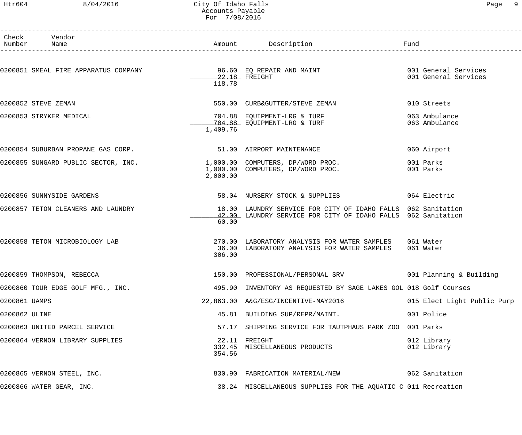#### Htr604 8/04/2016 City Of Idaho Falls Page 9 Accounts Payable For 7/08/2016

|               | Check Vendor<br>Number Name         |          | Amount Description Description Pund                                                                                          |                                              |
|---------------|-------------------------------------|----------|------------------------------------------------------------------------------------------------------------------------------|----------------------------------------------|
|               |                                     | 118.78   | $22.18$ FREIGHT                                                                                                              | 001 General Services<br>001 General Services |
|               | 0200852 STEVE ZEMAN                 |          | 550.00 CURB&GUTTER/STEVE ZEMAN                                                                                               | 010 Streets                                  |
|               | 0200853 STRYKER MEDICAL             | 1,409.76 | 704.88 EQUIPMENT-LRG & TURF<br>704.88 EQUIPMENT-LRG & TURF                                                                   | 063 Ambulance<br>063 Ambulance               |
|               | 0200854 SUBURBAN PROPANE GAS CORP.  |          | 51.00 AIRPORT MAINTENANCE                                                                                                    | 060 Airport                                  |
|               | 0200855 SUNGARD PUBLIC SECTOR, INC. | 2,000.00 | 1,000.00 COMPUTERS, DP/WORD PROC.<br>$1,000.00$ COMPUTERS, DP/WORD PROC.                                                     | 001 Parks<br>001 Parks                       |
|               | 0200856 SUNNYSIDE GARDENS           |          | 58.04 NURSERY STOCK & SUPPLIES 064 Electric                                                                                  |                                              |
|               | 0200857 TETON CLEANERS AND LAUNDRY  | 60.00    | 18.00 LAUNDRY SERVICE FOR CITY OF IDAHO FALLS 062 Sanitation<br>42.00 LAUNDRY SERVICE FOR CITY OF IDAHO FALLS 062 Sanitation |                                              |
|               | 0200858 TETON MICROBIOLOGY LAB      | 306.00   | 270.00 LABORATORY ANALYSIS FOR WATER SAMPLES 061 Water<br>36.00 LABORATORY ANALYSIS FOR WATER SAMPLES 061 Water              |                                              |
|               | 0200859 THOMPSON, REBECCA           |          | 150.00 PROFESSIONAL/PERSONAL SRV 6001 Planning & Building                                                                    |                                              |
|               | 0200860 TOUR EDGE GOLF MFG., INC.   |          | 495.90 INVENTORY AS REQUESTED BY SAGE LAKES GOL 018 Golf Courses                                                             |                                              |
| 0200861 UAMPS |                                     |          | 22,863.00 A&G/ESG/INCENTIVE-MAY2016                                                                                          | 015 Elect Light Public Purp                  |
| 0200862 ULINE |                                     |          | 45.81 BUILDING SUP/REPR/MAINT.                                                                                               | 001 Police                                   |
|               | 0200863 UNITED PARCEL SERVICE       |          | 57.17 SHIPPING SERVICE FOR TAUTPHAUS PARK ZOO 001 Parks                                                                      |                                              |
|               | 0200864 VERNON LIBRARY SUPPLIES     | 354.56   | 22.11 FREIGHT<br>332.45 MISCELLANEOUS PRODUCTS                                                                               | 012 Library<br>012 Library                   |
|               | 0200865 VERNON STEEL, INC.          |          | 830.90 FABRICATION MATERIAL/NEW 662 Sanitation                                                                               |                                              |
|               | 0200866 WATER GEAR, INC.            |          | 38.24 MISCELLANEOUS SUPPLIES FOR THE AQUATIC C 011 Recreation                                                                |                                              |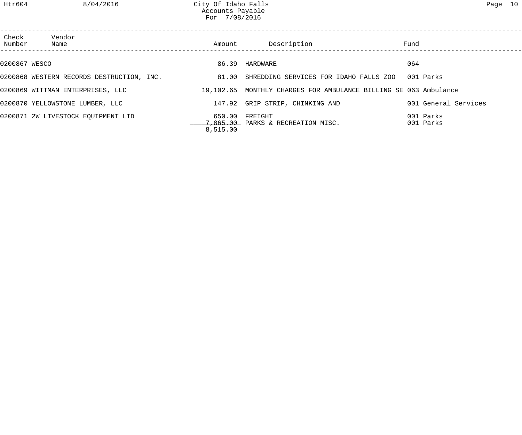| Check<br>Number | Vendor<br>Name                            | Amount   | Description                                                      | Fund                   |
|-----------------|-------------------------------------------|----------|------------------------------------------------------------------|------------------------|
| 0200867 WESCO   |                                           |          | 86.39 HARDWARE                                                   | 064                    |
|                 | 0200868 WESTERN RECORDS DESTRUCTION, INC. |          | 81.00 SHREDDING SERVICES FOR IDAHO FALLS ZOO                     | 001 Parks              |
|                 | 0200869 WITTMAN ENTERPRISES, LLC          |          | 19,102.65 MONTHLY CHARGES FOR AMBULANCE BILLING SE 063 Ambulance |                        |
|                 | 0200870 YELLOWSTONE LUMBER, LLC           |          | 147.92 GRIP STRIP, CHINKING AND                                  | 001 General Services   |
|                 | 0200871 2W LIVESTOCK EQUIPMENT LTD        | 8,515.00 | 650.00 FREIGHT<br>7,865.00 PARKS & RECREATION MISC.              | 001 Parks<br>001 Parks |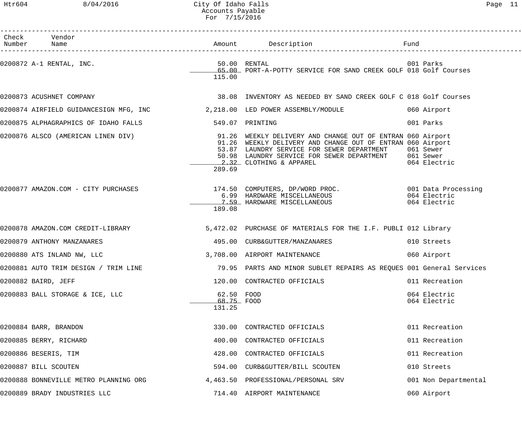| Htr604      | 8/04/2016                            | City Of Idaho Falls<br>Accounts Payable<br>For 7/15/2016 |                                                                                                                                                                                                                                                                                |      |                              | Page 11 |  |
|-------------|--------------------------------------|----------------------------------------------------------|--------------------------------------------------------------------------------------------------------------------------------------------------------------------------------------------------------------------------------------------------------------------------------|------|------------------------------|---------|--|
| Number Name | Check Vendor                         |                                                          |                                                                                                                                                                                                                                                                                | Fund |                              |         |  |
|             | 0200872 A-1 RENTAL, INC.             | 115.00                                                   | 50.00 RENTAL<br>65.00 PORT-A-POTTY SERVICE FOR SAND CREEK GOLF 018 Golf Courses                                                                                                                                                                                                |      |                              |         |  |
|             | 0200873 ACUSHNET COMPANY             |                                                          | 38.08 INVENTORY AS NEEDED BY SAND CREEK GOLF C 018 Golf Courses                                                                                                                                                                                                                |      |                              |         |  |
|             |                                      |                                                          | 0200874 AIRFIELD GUIDANCESIGN MFG, INC $2,218.00$ LED POWER ASSEMBLY/MODULE                                                                                                                                                                                                    |      | 060 Airport                  |         |  |
|             | 0200875 ALPHAGRAPHICS OF IDAHO FALLS |                                                          | 549.07 PRINTING                                                                                                                                                                                                                                                                |      | 001 Parks                    |         |  |
|             | 0200876 ALSCO (AMERICAN LINEN DIV)   | 289.69                                                   | 91.26 WEEKLY DELIVERY AND CHANGE OUT OF ENTRAN 060 Airport<br>91.26 WEEKLY DELIVERY AND CHANGE OUT OF ENTRAN 060 Airport<br>53.87 LAUNDRY SERVICE FOR SEWER DEPARTMENT 061 Sewer<br>50.98 LAUNDRY SERVICE FOR SEWER DEPARTMENT 061 Sewer<br>2.32 CLOTHING & APPAREL 064 Electr |      | 064 Electric                 |         |  |
|             | 0200877 AMAZON.COM - CITY PURCHASES  | 189.08                                                   | 174.50 COMPUTERS, DP/WORD PROC.                             001 Data Processing<br>6.99 HARDWARE MISCELLANEOUS                              064 Electric<br>7.59 HARDWARE MISCELLANEOUS                                                                                        |      | 064 Electric                 |         |  |
|             |                                      |                                                          | 0200878 AMAZON.COM CREDIT-LIBRARY 6.1 (1997) 5,472.02 PURCHASE OF MATERIALS FOR THE I.F. PUBLI 012 Library                                                                                                                                                                     |      |                              |         |  |
|             | 0200879 ANTHONY MANZANARES           | 495.00                                                   | CURB&GUTTER/MANZANARES                                                                                                                                                                                                                                                         |      | 010 Streets                  |         |  |
|             | 0200880 ATS INLAND NW, LLC           |                                                          | 3,708.00 AIRPORT MAINTENANCE                                                                                                                                                                                                                                                   |      | 060 Airport                  |         |  |
|             | 0200881 AUTO TRIM DESIGN / TRIM LINE |                                                          | 79.95 PARTS AND MINOR SUBLET REPAIRS AS REQUES 001 General Services                                                                                                                                                                                                            |      |                              |         |  |
|             | 0200882 BAIRD, JEFF                  |                                                          | 120.00 CONTRACTED OFFICIALS                                                                                                                                                                                                                                                    |      | 011 Recreation               |         |  |
|             | 0200883 BALL STORAGE & ICE, LLC      | 62.50 FOOD<br>68.75 FOOD<br>131.25                       |                                                                                                                                                                                                                                                                                |      | 064 Electric<br>064 Electric |         |  |
|             | 0200884 BARR, BRANDON                | 330.00                                                   | CONTRACTED OFFICIALS                                                                                                                                                                                                                                                           |      | 011 Recreation               |         |  |
|             | 0200885 BERRY, RICHARD               | 400.00                                                   | CONTRACTED OFFICIALS                                                                                                                                                                                                                                                           |      | 011 Recreation               |         |  |
|             | 0200886 BESERIS, TIM                 |                                                          | 428.00 CONTRACTED OFFICIALS                                                                                                                                                                                                                                                    |      | 011 Recreation               |         |  |
|             |                                      |                                                          |                                                                                                                                                                                                                                                                                |      |                              |         |  |

0200887 BILL SCOUTEN 594.00 CURB&GUTTER/BILL SCOUTEN 010 Streets 0200888 BONNEVILLE METRO PLANNING ORG 4,463.50 PROFESSIONAL/PERSONAL SRV 001 Non Departmental 0200889 BRADY INDUSTRIES LLC 714.40 AIRPORT MAINTENANCE 060 Airport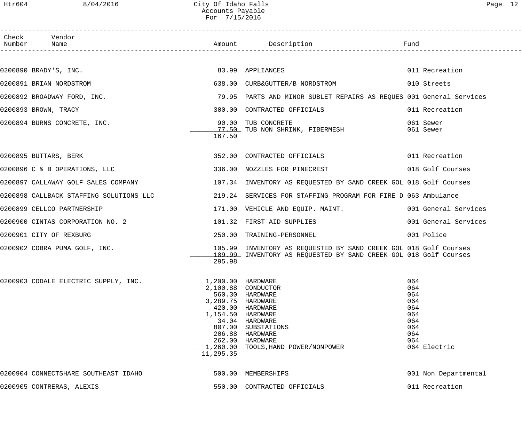# Htr604 8/04/2016 City Of Idaho Falls Page 12 Accounts Payable For 7/15/2016

| Check Vendor<br>Number Name<br>Amount Description<br>Fund<br>0200890 BRADY'S, INC. 2008 2010 12:30 12:40 12:40 12:40 12:40 12:40 12:40 12:40 12:40 12:40 12:40 12:40 12:40<br>011 Recreation<br>638.00 CURB&GUTTER/B NORDSTROM 638.00 Streets<br>0200891 BRIAN NORDSTROM<br>0200892 BROADWAY FORD, INC.<br>79.95 PARTS AND MINOR SUBLET REPAIRS AS REQUES 001 General Services<br>300.00 CONTRACTED OFFICIALS<br>0200893 BROWN, TRACY<br>011 Recreation<br>90.00 TUB CONCRETE<br>77.50 TUB NON SHRINK, FIBERMESH<br>0200894 BURNS CONCRETE, INC.<br>061 Sewer<br>061 Sewer<br>167.50<br>0200895 BUTTARS, BERK<br>352.00 CONTRACTED OFFICIALS 6011 Recreation<br>0200896 C & B OPERATIONS, LLC<br>336.00 NOZZLES FOR PINECREST 018 Golf Courses<br>0200897 CALLAWAY GOLF SALES COMPANY 107.34 INVENTORY AS REQUESTED BY SAND CREEK GOL 018 Golf Courses<br>0200898 CALLBACK STAFFING SOLUTIONS LLC<br>219.24 SERVICES FOR STAFFING PROGRAM FOR FIRE D 063 Ambulance<br>171.00 VEHICLE AND EQUIP. MAINT. 001 General Services<br>0200899 CELLCO PARTNERSHIP<br>0200900 CINTAS CORPORATION NO. 2<br>101.32 FIRST AID SUPPLIES<br>001 General Services<br>250.00 TRAINING-PERSONNEL<br>0200901 CITY OF REXBURG<br>001 Police<br>0200902 COBRA PUMA GOLF, INC.<br>105.99 INVENTORY AS REQUESTED BY SAND CREEK GOL 018 Golf Courses<br>189.99 INVENTORY AS REQUESTED BY SAND CREEK GOL 018 Golf Courses<br>295.98<br>0200903 CODALE ELECTRIC SUPPLY, INC.<br>064<br>1,200.00 HARDWARE<br>064<br>2,100.88 CONDUCTOR<br>560.30 HARDWARE<br>064<br>3,289.75 HARDWARE<br>064<br>420.00 HARDWARE<br>064<br>1,154.50 HARDWARE<br>064<br>34.04 HARDWARE<br>064<br>807.00 SUBSTATIONS<br>064<br>206.88 HARDWARE<br>064<br>262.00 HARDWARE<br>064<br>1,260.00 TOOLS, HAND POWER/NONPOWER<br>064 Electric<br>11,295.35<br>500.00 MEMBERSHIPS<br>0200904 CONNECTSHARE SOUTHEAST IDAHO<br>001 Non Departmental<br>011 Recreation<br>0200905 CONTRERAS, ALEXIS<br>550.00 CONTRACTED OFFICIALS |  |  |  |
|----------------------------------------------------------------------------------------------------------------------------------------------------------------------------------------------------------------------------------------------------------------------------------------------------------------------------------------------------------------------------------------------------------------------------------------------------------------------------------------------------------------------------------------------------------------------------------------------------------------------------------------------------------------------------------------------------------------------------------------------------------------------------------------------------------------------------------------------------------------------------------------------------------------------------------------------------------------------------------------------------------------------------------------------------------------------------------------------------------------------------------------------------------------------------------------------------------------------------------------------------------------------------------------------------------------------------------------------------------------------------------------------------------------------------------------------------------------------------------------------------------------------------------------------------------------------------------------------------------------------------------------------------------------------------------------------------------------------------------------------------------------------------------------------------------------------------------------------------------------------------------------------------------------------------------------------------------------------------|--|--|--|
|                                                                                                                                                                                                                                                                                                                                                                                                                                                                                                                                                                                                                                                                                                                                                                                                                                                                                                                                                                                                                                                                                                                                                                                                                                                                                                                                                                                                                                                                                                                                                                                                                                                                                                                                                                                                                                                                                                                                                                            |  |  |  |
|                                                                                                                                                                                                                                                                                                                                                                                                                                                                                                                                                                                                                                                                                                                                                                                                                                                                                                                                                                                                                                                                                                                                                                                                                                                                                                                                                                                                                                                                                                                                                                                                                                                                                                                                                                                                                                                                                                                                                                            |  |  |  |
|                                                                                                                                                                                                                                                                                                                                                                                                                                                                                                                                                                                                                                                                                                                                                                                                                                                                                                                                                                                                                                                                                                                                                                                                                                                                                                                                                                                                                                                                                                                                                                                                                                                                                                                                                                                                                                                                                                                                                                            |  |  |  |
|                                                                                                                                                                                                                                                                                                                                                                                                                                                                                                                                                                                                                                                                                                                                                                                                                                                                                                                                                                                                                                                                                                                                                                                                                                                                                                                                                                                                                                                                                                                                                                                                                                                                                                                                                                                                                                                                                                                                                                            |  |  |  |
|                                                                                                                                                                                                                                                                                                                                                                                                                                                                                                                                                                                                                                                                                                                                                                                                                                                                                                                                                                                                                                                                                                                                                                                                                                                                                                                                                                                                                                                                                                                                                                                                                                                                                                                                                                                                                                                                                                                                                                            |  |  |  |
|                                                                                                                                                                                                                                                                                                                                                                                                                                                                                                                                                                                                                                                                                                                                                                                                                                                                                                                                                                                                                                                                                                                                                                                                                                                                                                                                                                                                                                                                                                                                                                                                                                                                                                                                                                                                                                                                                                                                                                            |  |  |  |
|                                                                                                                                                                                                                                                                                                                                                                                                                                                                                                                                                                                                                                                                                                                                                                                                                                                                                                                                                                                                                                                                                                                                                                                                                                                                                                                                                                                                                                                                                                                                                                                                                                                                                                                                                                                                                                                                                                                                                                            |  |  |  |
|                                                                                                                                                                                                                                                                                                                                                                                                                                                                                                                                                                                                                                                                                                                                                                                                                                                                                                                                                                                                                                                                                                                                                                                                                                                                                                                                                                                                                                                                                                                                                                                                                                                                                                                                                                                                                                                                                                                                                                            |  |  |  |
|                                                                                                                                                                                                                                                                                                                                                                                                                                                                                                                                                                                                                                                                                                                                                                                                                                                                                                                                                                                                                                                                                                                                                                                                                                                                                                                                                                                                                                                                                                                                                                                                                                                                                                                                                                                                                                                                                                                                                                            |  |  |  |
|                                                                                                                                                                                                                                                                                                                                                                                                                                                                                                                                                                                                                                                                                                                                                                                                                                                                                                                                                                                                                                                                                                                                                                                                                                                                                                                                                                                                                                                                                                                                                                                                                                                                                                                                                                                                                                                                                                                                                                            |  |  |  |
|                                                                                                                                                                                                                                                                                                                                                                                                                                                                                                                                                                                                                                                                                                                                                                                                                                                                                                                                                                                                                                                                                                                                                                                                                                                                                                                                                                                                                                                                                                                                                                                                                                                                                                                                                                                                                                                                                                                                                                            |  |  |  |
|                                                                                                                                                                                                                                                                                                                                                                                                                                                                                                                                                                                                                                                                                                                                                                                                                                                                                                                                                                                                                                                                                                                                                                                                                                                                                                                                                                                                                                                                                                                                                                                                                                                                                                                                                                                                                                                                                                                                                                            |  |  |  |
|                                                                                                                                                                                                                                                                                                                                                                                                                                                                                                                                                                                                                                                                                                                                                                                                                                                                                                                                                                                                                                                                                                                                                                                                                                                                                                                                                                                                                                                                                                                                                                                                                                                                                                                                                                                                                                                                                                                                                                            |  |  |  |
|                                                                                                                                                                                                                                                                                                                                                                                                                                                                                                                                                                                                                                                                                                                                                                                                                                                                                                                                                                                                                                                                                                                                                                                                                                                                                                                                                                                                                                                                                                                                                                                                                                                                                                                                                                                                                                                                                                                                                                            |  |  |  |
|                                                                                                                                                                                                                                                                                                                                                                                                                                                                                                                                                                                                                                                                                                                                                                                                                                                                                                                                                                                                                                                                                                                                                                                                                                                                                                                                                                                                                                                                                                                                                                                                                                                                                                                                                                                                                                                                                                                                                                            |  |  |  |
|                                                                                                                                                                                                                                                                                                                                                                                                                                                                                                                                                                                                                                                                                                                                                                                                                                                                                                                                                                                                                                                                                                                                                                                                                                                                                                                                                                                                                                                                                                                                                                                                                                                                                                                                                                                                                                                                                                                                                                            |  |  |  |
|                                                                                                                                                                                                                                                                                                                                                                                                                                                                                                                                                                                                                                                                                                                                                                                                                                                                                                                                                                                                                                                                                                                                                                                                                                                                                                                                                                                                                                                                                                                                                                                                                                                                                                                                                                                                                                                                                                                                                                            |  |  |  |
|                                                                                                                                                                                                                                                                                                                                                                                                                                                                                                                                                                                                                                                                                                                                                                                                                                                                                                                                                                                                                                                                                                                                                                                                                                                                                                                                                                                                                                                                                                                                                                                                                                                                                                                                                                                                                                                                                                                                                                            |  |  |  |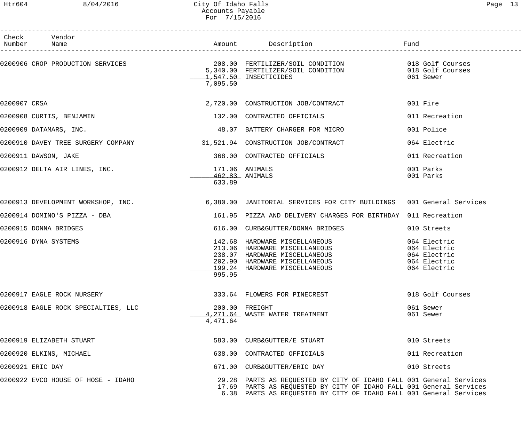------------------------------------------------------------------------------------------------------------------------------------

| Check<br>Number         | Vendor<br>Name                      |                            | Amount Description                                                                                                                                                                                               | Fund                                                                         |
|-------------------------|-------------------------------------|----------------------------|------------------------------------------------------------------------------------------------------------------------------------------------------------------------------------------------------------------|------------------------------------------------------------------------------|
|                         |                                     | 7,095.50                   | 0200906 CROP PRODUCTION SERVICES (208.00 FERTILIZER/SOIL CONDITION ) 018 Golf Courses<br>5,340.00 FERTILIZER/SOIL CONDITION (18 Golf Courses<br>1 E47 EQ INSECTICIDES<br>1,547.50 INSECTICIDES                   | 061 Sewer                                                                    |
| 0200907 CRSA            |                                     |                            | 2,720.00 CONSTRUCTION JOB/CONTRACT                                                                                                                                                                               | 001 Fire                                                                     |
|                         | 0200908 CURTIS, BENJAMIN            |                            | 132.00 CONTRACTED OFFICIALS                                                                                                                                                                                      | 011 Recreation                                                               |
| 0200909 DATAMARS, INC.  |                                     |                            | 48.07 BATTERY CHARGER FOR MICRO                                                                                                                                                                                  | 001 Police                                                                   |
|                         |                                     |                            | 0200910 DAVEY TREE SURGERY COMPANY 31,521.94 CONSTRUCTION JOB/CONTRACT                                                                                                                                           | 064 Electric                                                                 |
| 0200911 DAWSON, JAKE    |                                     |                            | 368.00 CONTRACTED OFFICIALS                                                                                                                                                                                      | 011 Recreation                                                               |
|                         | 0200912 DELTA AIR LINES, INC.       | $462.83$ ANIMALS<br>633.89 | 171.06 ANIMALS                                                                                                                                                                                                   | 001 Parks<br>001 Parks                                                       |
|                         |                                     |                            | 0200913 DEVELOPMENT WORKSHOP, INC. 6,380.00 JANITORIAL SERVICES FOR CITY BUILDINGS 001 General Services                                                                                                          |                                                                              |
|                         | 0200914 DOMINO'S PIZZA - DBA        |                            | 161.95 PIZZA AND DELIVERY CHARGES FOR BIRTHDAY 011 Recreation                                                                                                                                                    |                                                                              |
| 0200915 DONNA BRIDGES   |                                     | 616.00                     | CURB&GUTTER/DONNA BRIDGES                                                                                                                                                                                        | 010 Streets                                                                  |
| 0200916 DYNA SYSTEMS    |                                     | 995.95                     | 142.68 HARDWARE MISCELLANEOUS<br>213.06 HARDWARE MISCELLANEOUS<br>238.07 HARDWARE MISCELLANEOUS<br>202.90 HARDWARE MISCELLANEOUS<br>199.24 HARDWARE MISCELLANEOUS                                                | 064 Electric<br>064 Electric<br>064 Electric<br>064 Electric<br>064 Electric |
|                         | 0200917 EAGLE ROCK NURSERY          |                            | 333.64 FLOWERS FOR PINECREST                                                                                                                                                                                     | 018 Golf Courses                                                             |
|                         | 0200918 EAGLE ROCK SPECIALTIES, LLC | 4,471.64                   | 200.00 FREIGHT<br>4, 271, 64 WASTE WATER TREATMENT                                                                                                                                                               | 061 Sewer<br>061 Sewer                                                       |
|                         | 0200919 ELIZABETH STUART            |                            | 583.00 CURB&GUTTER/E STUART                                                                                                                                                                                      | 010 Streets                                                                  |
| 0200920 ELKINS, MICHAEL |                                     |                            | 638.00 CONTRACTED OFFICIALS                                                                                                                                                                                      | 011 Recreation                                                               |
| 0200921 ERIC DAY        |                                     |                            | 671.00 CURB&GUTTER/ERIC DAY                                                                                                                                                                                      | 010 Streets                                                                  |
|                         | 0200922 EVCO HOUSE OF HOSE - IDAHO  |                            | 29.28 PARTS AS REQUESTED BY CITY OF IDAHO FALL 001 General Services<br>17.69 PARTS AS REQUESTED BY CITY OF IDAHO FALL 001 General Services<br>6.38 PARTS AS REQUESTED BY CITY OF IDAHO FALL 001 General Services |                                                                              |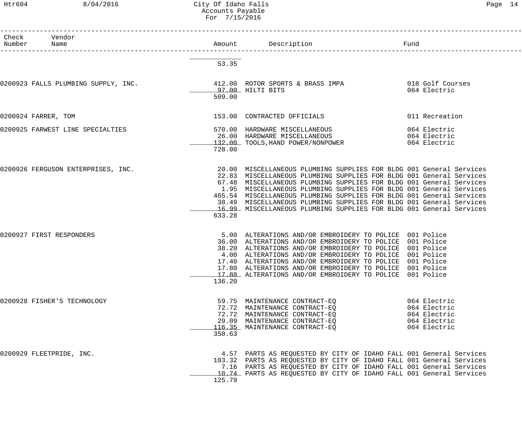### Htr604 8/04/2016 City Of Idaho Falls Page 14 Accounts Payable For 7/15/2016

| Number | Check Vendor<br>Name                                                                  |        | Amount Description                                                                                                                                                                                                                                                                                                                                                                                                                                                                                            | Fund                                                                         |
|--------|---------------------------------------------------------------------------------------|--------|---------------------------------------------------------------------------------------------------------------------------------------------------------------------------------------------------------------------------------------------------------------------------------------------------------------------------------------------------------------------------------------------------------------------------------------------------------------------------------------------------------------|------------------------------------------------------------------------------|
|        |                                                                                       | 53.35  |                                                                                                                                                                                                                                                                                                                                                                                                                                                                                                               |                                                                              |
|        | 0200923 FALLS PLUMBING SUPPLY, INC. 412.00 ROTOR SPORTS & BRASS IMPA 018 Golf Courses | 509.00 | 97.00 HILTI BITS                                                                                                                                                                                                                                                                                                                                                                                                                                                                                              | 064 Electric                                                                 |
|        | 0200924 FARRER, TOM                                                                   |        | 153.00 CONTRACTED OFFICIALS                                                                                                                                                                                                                                                                                                                                                                                                                                                                                   | 011 Recreation                                                               |
|        | 0200925 FARWEST LINE SPECIALTIES                                                      | 728.00 | 570.00 HARDWARE MISCELLANEOUS<br>26.00 HARDWARE MISCELLANEOUS<br>26.00 HARDWARE MISCELLANEOUS<br>132.00 TOOLS, HAND POWER/NONPOWER                                                                                                                                                                                                                                                                                                                                                                            | 064 Electric<br>064 Electric<br>064 Electric                                 |
|        | 0200926 FERGUSON ENTERPRISES, INC.                                                    | 633.28 | 20.00 MISCELLANEOUS PLUMBING SUPPLIES FOR BLDG 001 General Services<br>22.83 MISCELLANEOUS PLUMBING SUPPLIES FOR BLDG 001 General Services<br>67.48 MISCELLANEOUS PLUMBING SUPPLIES FOR BLDG 001 General Services<br>1.95 MISCELLANEOUS PLUMBING SUPPLIES FOR BLDG 001 General Services<br>465.54 MISCELLANEOUS PLUMBING SUPPLIES FOR BLDG 001 General Services<br>38.49 MISCELLANEOUS PLUMBING SUPPLIES FOR BLDG 001 General Services<br>16.99 MISCELLANEOUS PLUMBING SUPPLIES FOR BLDG 001 General Services |                                                                              |
|        | 0200927 FIRST RESPONDERS                                                              | 136.20 | 5.00 ALTERATIONS AND/OR EMBROIDERY TO POLICE 001 Police<br>36.00 ALTERATIONS AND/OR EMBROIDERY TO POLICE 001 Police<br>38.20 ALTERATIONS AND/OR EMBROIDERY TO POLICE 001 Police<br>4.00 ALTERATIONS AND/OR EMBROIDERY TO POLICE 001 Police<br>17.40 ALTERATIONS AND/OR EMBROIDERY TO POLICE 001 Police<br>17.80 ALTERATIONS AND/OR EMBROIDERY TO POLICE 001 Police<br>17.80 ALTERATIONS AND/OR EMBROIDERY TO POLICE 001 Police                                                                                |                                                                              |
|        | 0200928 FISHER'S TECHNOLOGY                                                           | 350.63 | 59.75 MAINTENANCE CONTRACT-EO<br>72.72 MAINTENANCE CONTRACT-EO<br>72.72 MAINTENANCE CONTRACT-EO<br>29.09 MAINTENANCE CONTRACT-EO<br>116.35 MAINTENANCE CONTRACT-EQ                                                                                                                                                                                                                                                                                                                                            | 064 Electric<br>064 Electric<br>064 Electric<br>064 Electric<br>064 Electric |
|        | 0200929 FLEETPRIDE, INC.                                                              | 125.79 | 4.57 PARTS AS REQUESTED BY CITY OF IDAHO FALL 001 General Services<br>103.32 PARTS AS REQUESTED BY CITY OF IDAHO FALL 001 General Services<br>7.16 PARTS AS REQUESTED BY CITY OF IDAHO FALL 001 General Services<br>10.74 PARTS AS REQUESTED BY CITY OF IDAHO FALL 001 General Services                                                                                                                                                                                                                       |                                                                              |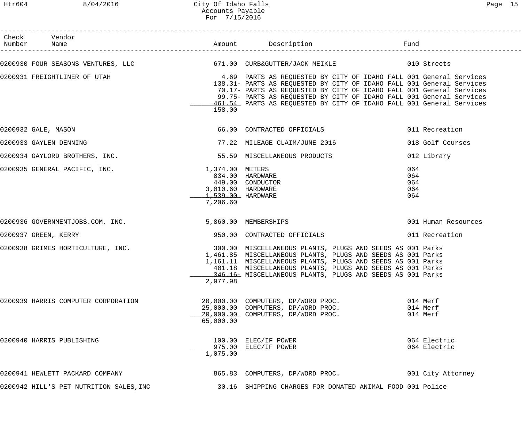# Htr604 8/04/2016 City Of Idaho Falls Page 15 Accounts Payable For 7/15/2016

| Check Vendor<br>Number Name                                                                           |                                                  |                                                                                                                                                                                                                                                                                               | Fund                            |                                  |
|-------------------------------------------------------------------------------------------------------|--------------------------------------------------|-----------------------------------------------------------------------------------------------------------------------------------------------------------------------------------------------------------------------------------------------------------------------------------------------|---------------------------------|----------------------------------|
| 0200930 FOUR SEASONS VENTURES, LLC 671.00 CURB&GUTTER/JACK MEIKLE 6010 Streets                        |                                                  |                                                                                                                                                                                                                                                                                               |                                 |                                  |
| 0200931 FREIGHTLINER OF UTAH THE SERIE SERIES AS REQUESTED BY CITY OF IDAHO FALL 001 General Services | 158.00                                           | 138.31- PARTS AS REQUESTED BY CITY OF IDAHO FALL 001 General Services<br>70.17- PARTS AS REQUESTED BY CITY OF IDAHO FALL 001 General Services<br>99.75- PARTS AS REQUESTED BY CITY OF IDAHO FALL 001 General Services<br>461.54 PARTS AS REQUESTED BY CITY OF IDAHO FALL 001 General Services |                                 |                                  |
| 0200932 GALE, MASON                                                                                   |                                                  | 66.00 CONTRACTED OFFICIALS                                                                                                                                                                                                                                                                    |                                 | 011 Recreation                   |
| 0200933 GAYLEN DENNING                                                                                |                                                  | 77.22 MILEAGE CLAIM/JUNE 2016                                                                                                                                                                                                                                                                 |                                 | 018 Golf Courses                 |
| 0200934 GAYLORD BROTHERS, INC.                                                                        |                                                  | 55.59 MISCELLANEOUS PRODUCTS                                                                                                                                                                                                                                                                  |                                 | 012 Library                      |
| 0200935 GENERAL PACIFIC, INC.                                                                         | 1,374.00 METERS<br>1,539.00 HARDWARE<br>7,206.60 | 834.00 HARDWARE<br>449.00 CONDUCTOR<br>3,010.60 HARDWARE                                                                                                                                                                                                                                      | 064<br>064<br>064<br>064<br>064 |                                  |
| 0200936 GOVERNMENTJOBS.COM, INC.                                                                      |                                                  | 5,860.00 MEMBERSHIPS                                                                                                                                                                                                                                                                          |                                 | 001 Human Resources              |
| 0200937 GREEN, KERRY                                                                                  |                                                  | 950.00 CONTRACTED OFFICIALS                                                                                                                                                                                                                                                                   |                                 | 011 Recreation                   |
| 0200938 GRIMES HORTICULTURE, INC. 2000 100 MISCELLANEOUS PLANTS, PLUGS AND SEEDS AS 001 Parks         | 2,977.98                                         | 1,461.85 MISCELLANEOUS PLANTS, PLUGS AND SEEDS AS 001 Parks<br>1,161.11 MISCELLANEOUS PLANTS, PLUGS AND SEEDS AS 001 Parks<br>401.18 MISCELLANEOUS PLANTS, PLUGS AND SEEDS AS 001 Parks<br>346.16- MISCELLANEOUS PLANTS, PLUGS AND SEEDS AS 001 Parks                                         |                                 |                                  |
| 0200939 HARRIS COMPUTER CORPORATION                                                                   | 65,000.00                                        | 20,000.00 COMPUTERS, DP/WORD PROC.<br>25,000.00 COMPUTERS, DP/WORD PROC.<br>20,000.00 COMPUTERS, DP/WORD PROC.                                                                                                                                                                                |                                 | 014 Merf<br>014 Merf<br>014 Merf |
| 0200940 HARRIS PUBLISHING                                                                             | 1,075.00                                         | 100.00 ELEC/IF POWER<br>975.00 ELEC/IF POWER                                                                                                                                                                                                                                                  |                                 | 064 Electric<br>064 Electric     |
| 0200941 HEWLETT PACKARD COMPANY                                                                       |                                                  | 865.83 COMPUTERS, DP/WORD PROC.                                                                                                                                                                                                                                                               |                                 | 001 City Attorney                |
| 0200942 HILL'S PET NUTRITION SALES, INC                                                               |                                                  | 30.16 SHIPPING CHARGES FOR DONATED ANIMAL FOOD 001 Police                                                                                                                                                                                                                                     |                                 |                                  |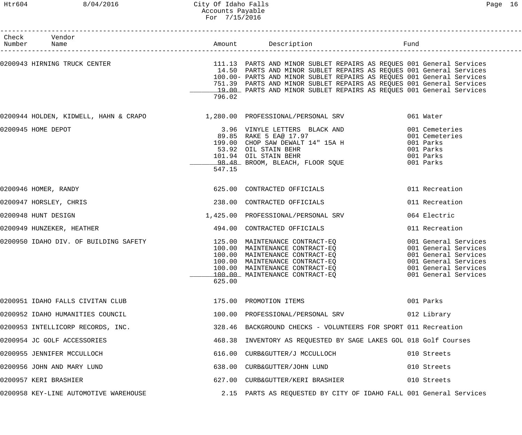# Htr604 8/04/2016 City Of Idaho Falls Page 16 Accounts Payable For 7/15/2016

| Check Vendor<br>Number Name                                          |        |                                                                                                                                                                                                                                                                                                                                                                                                        |                                                                                                                                              |
|----------------------------------------------------------------------|--------|--------------------------------------------------------------------------------------------------------------------------------------------------------------------------------------------------------------------------------------------------------------------------------------------------------------------------------------------------------------------------------------------------------|----------------------------------------------------------------------------------------------------------------------------------------------|
|                                                                      | 796.02 | 0200943 HIRNING TRUCK CENTER THE SERVICE STARTS AND MINOR SUBLET REPAIRS AS REQUES 001 General Services<br>14.50 PARTS AND MINOR SUBLET REPAIRS AS REQUES 001 General Services<br>100.00- PARTS AND MINOR SUBLET REPAIRS AS REQUES 001 General Services<br>751.39 PARTS AND MINOR SUBLET REPAIRS AS REQUES 001 General Services<br>19.00 PARTS AND MINOR SUBLET REPAIRS AS REQUES 001 General Services |                                                                                                                                              |
|                                                                      |        | 0200944 HOLDEN, KIDWELL, HAHN & CRAPO $1,280.00$ PROFESSIONAL/PERSONAL SRV 061 Water                                                                                                                                                                                                                                                                                                                   |                                                                                                                                              |
| 0200945 HOME DEPOT                                                   | 547.15 | 3.96 VINYLE LETTERS BLACK AND<br>89.85 RAKE 5 EA@ 17.97<br>199.00 CHOP SAW DEWALT 14" 15A H<br>53.92 OIL STAIN BEHR<br>101.94 OIL STAIN BEHR<br>98.48 BROOM, BLEACH, FLOOR SQUE                                                                                                                                                                                                                        | 001 Cemeteries<br>001 Cemeteries<br>001 Parks<br>001 Parks<br>001 Parks<br>001 Parks                                                         |
| 0200946 HOMER, RANDY                                                 |        | 625.00 CONTRACTED OFFICIALS                                                                                                                                                                                                                                                                                                                                                                            | 011 Recreation                                                                                                                               |
| 0200947 HORSLEY, CHRIS                                               |        | 238.00 CONTRACTED OFFICIALS                                                                                                                                                                                                                                                                                                                                                                            | 011 Recreation                                                                                                                               |
| 0200948 HUNT DESIGN                                                  |        | 1,425.00 PROFESSIONAL/PERSONAL SRV                                                                                                                                                                                                                                                                                                                                                                     | 064 Electric                                                                                                                                 |
| 0200949 HUNZEKER, HEATHER                                            |        | 494.00 CONTRACTED OFFICIALS                                                                                                                                                                                                                                                                                                                                                                            | 011 Recreation                                                                                                                               |
| 0200950 IDAHO DIV. OF BUILDING SAFETY 125.00 MAINTENANCE CONTRACT-EQ | 625.00 | 100.00 MAINTENANCE CONTRACT-EQ<br>100.00 MAINTENANCE CONTRACT-EQ<br>100.00 MAINTENANCE CONTRACT-EQ<br>100.00 MAINTENANCE CONTRACT-EQ<br>100.00 MAINTENANCE CONTRACT-EQ<br>100.00 MAINTENANCE CONTRACT-EQ                                                                                                                                                                                               | 001 General Services<br>001 General Services<br>001 General Services<br>001 General Services<br>001 General Services<br>001 General Services |
| 0200951 IDAHO FALLS CIVITAN CLUB                                     |        | 175.00 PROMOTION ITEMS                                                                                                                                                                                                                                                                                                                                                                                 | 001 Parks                                                                                                                                    |
| 0200952 IDAHO HUMANITIES COUNCIL                                     |        | 100.00 PROFESSIONAL/PERSONAL SRV                                                                                                                                                                                                                                                                                                                                                                       | 012 Library                                                                                                                                  |
| 0200953 INTELLICORP RECORDS, INC.                                    |        | 328.46 BACKGROUND CHECKS - VOLUNTEERS FOR SPORT 011 Recreation                                                                                                                                                                                                                                                                                                                                         |                                                                                                                                              |
| 0200954 JC GOLF ACCESSORIES                                          |        | 468.38 INVENTORY AS REQUESTED BY SAGE LAKES GOL 018 Golf Courses                                                                                                                                                                                                                                                                                                                                       |                                                                                                                                              |
| 0200955 JENNIFER MCCULLOCH                                           |        | 616.00 CURB&GUTTER/J MCCULLOCH                                                                                                                                                                                                                                                                                                                                                                         | 010 Streets                                                                                                                                  |
| 0200956 JOHN AND MARY LUND                                           |        | 638.00 CURB&GUTTER/JOHN LUND                                                                                                                                                                                                                                                                                                                                                                           | 010 Streets                                                                                                                                  |
| 0200957 KERI BRASHIER                                                |        | 627.00 CURB&GUTTER/KERI BRASHIER                                                                                                                                                                                                                                                                                                                                                                       | 010 Streets                                                                                                                                  |
| 0200958 KEY-LINE AUTOMOTIVE WAREHOUSE                                |        | 2.15 PARTS AS REQUESTED BY CITY OF IDAHO FALL 001 General Services                                                                                                                                                                                                                                                                                                                                     |                                                                                                                                              |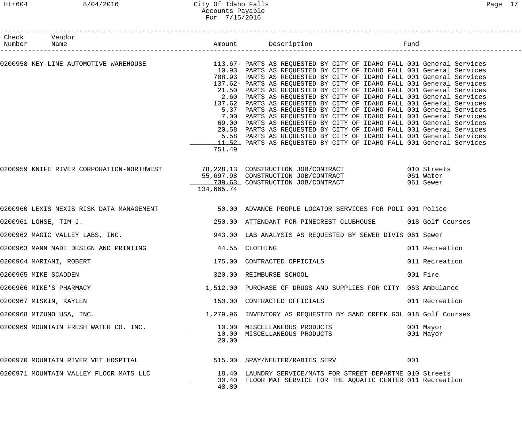# Htr604 8/04/2016 City Of Idaho Falls Page 17 Accounts Payable For 7/15/2016

| Check Vendor<br>Number Name                                                 |            |                                                                                                                                                                                                                                                                                                                                                                                                                                                                                                                                                                                                                                                                                                                                                                                                                                                                                  |                        |
|-----------------------------------------------------------------------------|------------|----------------------------------------------------------------------------------------------------------------------------------------------------------------------------------------------------------------------------------------------------------------------------------------------------------------------------------------------------------------------------------------------------------------------------------------------------------------------------------------------------------------------------------------------------------------------------------------------------------------------------------------------------------------------------------------------------------------------------------------------------------------------------------------------------------------------------------------------------------------------------------|------------------------|
|                                                                             | 751.49     | 10.93 PARTS AS REQUESTED BY CITY OF IDAHO FALL 001 General Services<br>708.93 PARTS AS REQUESTED BY CITY OF IDAHO FALL 001 General Services<br>137.62- PARTS AS REQUESTED BY CITY OF IDAHO FALL 001 General Services<br>21.50 PARTS AS REQUESTED BY CITY OF IDAHO FALL 001 General Services<br>2.60 PARTS AS REQUESTED BY CITY OF IDAHO FALL 001 General Services<br>137.62 PARTS AS REQUESTED BY CITY OF IDAHO FALL 001 General Services<br>5.37 PARTS AS REQUESTED BY CITY OF IDAHO FALL 001 General Services<br>7.00 PARTS AS REQUESTED BY CITY OF IDAHO FALL 001 General Services<br>69.00 PARTS AS REQUESTED BY CITY OF IDAHO FALL 001 General Services<br>20.58 PARTS AS REQUESTED BY CITY OF IDAHO FALL 001 General Services<br>5.58 PARTS AS REQUESTED BY CITY OF IDAHO FALL 001 General Services<br>11.52 PARTS AS REQUESTED BY CITY OF IDAHO FALL 001 General Services |                        |
|                                                                             | 134,665.74 | 0200959 KNIFE RIVER CORPORATION-NORTHWEST 78,228.13 CONSTRUCTION JOB/CONTRACT 610 Streets<br>55,697.98 CONSTRUCTION JOB/CONTRACT 65,697.98 CONSTRUCTION OF CONTRACT<br>139.63 CONSTRUCTION JOB/CONTRACT 061 Sewer                                                                                                                                                                                                                                                                                                                                                                                                                                                                                                                                                                                                                                                                |                        |
|                                                                             |            | 0200960 LEXIS NEXIS RISK DATA MANAGEMENT                    50.00  ADVANCE PEOPLE LOCATOR SERVICES FOR POLI 001 Police                                                                                                                                                                                                                                                                                                                                                                                                                                                                                                                                                                                                                                                                                                                                                           |                        |
| 0200961 LOHSE, TIM J.                                                       |            | 250.00 ATTENDANT FOR PINECREST CLUBHOUSE 018 Golf Courses                                                                                                                                                                                                                                                                                                                                                                                                                                                                                                                                                                                                                                                                                                                                                                                                                        |                        |
|                                                                             |            | 0200962 MAGIC VALLEY LABS, INC.                            943.00  LAB ANALYSIS AS REQUESTED BY SEWER DIVIS 061 Sewer                                                                                                                                                                                                                                                                                                                                                                                                                                                                                                                                                                                                                                                                                                                                                            |                        |
| 0200963 MANN MADE DESIGN AND PRINTING THE MANUSIC MANN MADE OF AND PRINTING |            |                                                                                                                                                                                                                                                                                                                                                                                                                                                                                                                                                                                                                                                                                                                                                                                                                                                                                  | 011 Recreation         |
| 0200964 MARIANI, ROBERT                                                     |            | 175.00 CONTRACTED OFFICIALS                                                                                                                                                                                                                                                                                                                                                                                                                                                                                                                                                                                                                                                                                                                                                                                                                                                      | 011 Recreation         |
| 0200965 MIKE SCADDEN                                                        |            | 320.00 REIMBURSE SCHOOL                                                                                                                                                                                                                                                                                                                                                                                                                                                                                                                                                                                                                                                                                                                                                                                                                                                          | 001 Fire               |
| 0200966 MIKE'S PHARMACY                                                     |            | 1,512.00 PURCHASE OF DRUGS AND SUPPLIES FOR CITY 063 Ambulance                                                                                                                                                                                                                                                                                                                                                                                                                                                                                                                                                                                                                                                                                                                                                                                                                   |                        |
| 0200967 MISKIN, KAYLEN                                                      |            | 150.00 CONTRACTED OFFICIALS                                                                                                                                                                                                                                                                                                                                                                                                                                                                                                                                                                                                                                                                                                                                                                                                                                                      | 011 Recreation         |
| 0200968 MIZUNO USA, INC.                                                    |            | 1,279.96 INVENTORY AS REQUESTED BY SAND CREEK GOL 018 Golf Courses                                                                                                                                                                                                                                                                                                                                                                                                                                                                                                                                                                                                                                                                                                                                                                                                               |                        |
| 0200969 MOUNTAIN FRESH WATER CO. INC.                                       | 20.00      | 10.00 MISCELLANEOUS PRODUCTS<br>10.00 MISCELLANEOUS PRODUCTS                                                                                                                                                                                                                                                                                                                                                                                                                                                                                                                                                                                                                                                                                                                                                                                                                     | 001 Mayor<br>001 Mayor |
| 0200970 MOUNTAIN RIVER VET HOSPITAL                                         |            | 515.00 SPAY/NEUTER/RABIES SERV                                                                                                                                                                                                                                                                                                                                                                                                                                                                                                                                                                                                                                                                                                                                                                                                                                                   | 001                    |
| 0200971 MOUNTAIN VALLEY FLOOR MATS LLC                                      | 48.80      | 18.40 LAUNDRY SERVICE/MATS FOR STREET DEPARTME 010 Streets<br>30.40 FLOOR MAT SERVICE FOR THE AQUATIC CENTER 011 Recreation                                                                                                                                                                                                                                                                                                                                                                                                                                                                                                                                                                                                                                                                                                                                                      |                        |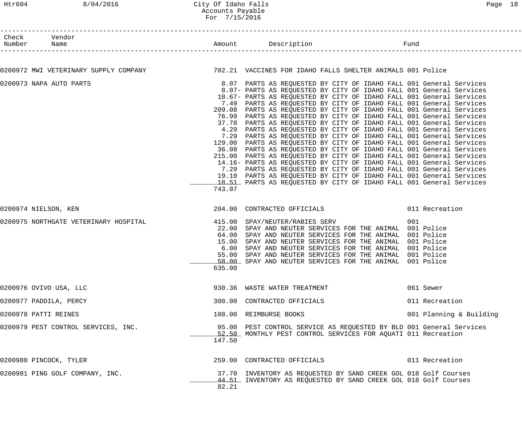### Htr604 8/04/2016 City Of Idaho Falls Page 18 Accounts Payable For 7/15/2016

| Check Vendor<br>Number Name |                                                                                                       |                                           |                                                                                                                                                                                                                                                                                                                                                                                                                                                                                                                                                                                                                                                                                                                                                                                                                                                                                                                                                                                                                                                                                                                                                                              |                         |  |
|-----------------------------|-------------------------------------------------------------------------------------------------------|-------------------------------------------|------------------------------------------------------------------------------------------------------------------------------------------------------------------------------------------------------------------------------------------------------------------------------------------------------------------------------------------------------------------------------------------------------------------------------------------------------------------------------------------------------------------------------------------------------------------------------------------------------------------------------------------------------------------------------------------------------------------------------------------------------------------------------------------------------------------------------------------------------------------------------------------------------------------------------------------------------------------------------------------------------------------------------------------------------------------------------------------------------------------------------------------------------------------------------|-------------------------|--|
|                             |                                                                                                       |                                           |                                                                                                                                                                                                                                                                                                                                                                                                                                                                                                                                                                                                                                                                                                                                                                                                                                                                                                                                                                                                                                                                                                                                                                              |                         |  |
|                             | 0200972 MWI VETERINARY SUPPLY COMPANY 1999 102.21 VACCINES FOR IDAHO FALLS SHELTER ANIMALS 001 Police |                                           |                                                                                                                                                                                                                                                                                                                                                                                                                                                                                                                                                                                                                                                                                                                                                                                                                                                                                                                                                                                                                                                                                                                                                                              |                         |  |
|                             | 0200973 NAPA AUTO PARTS                                                                               | 743.07                                    | 8.07 PARTS AS REQUESTED BY CITY OF IDAHO FALL 001 General Services<br>8.07- PARTS AS REQUESTED BY CITY OF IDAHO FALL 001 General Services<br>10.67- PARTS AS REQUESTED BY CITY OF IDAHO FALL 001 General Services<br>7.49 PARTS AS REQUESTED BY CITY OF IDAHO FALL 001 General Services<br>209.08 PARTS AS REQUESTED BY CITY OF IDAHO FALL 001 General Services<br>76.99 PARTS AS REQUESTED BY CITY OF IDAHO FALL 001 General Services<br>37.78 PARTS AS REQUESTED BY CITY OF IDAHO FALL 001 General Services<br>4.29 PARTS AS REQUESTED BY CITY OF IDAHO FALL 001 General Services<br>7.29 PARTS AS REQUESTED BY CITY OF IDAHO FALL 001 General Services<br>129.00 PARTS AS REQUESTED BY CITY OF IDAHO FALL 001 General Services<br>36.08 PARTS AS REQUESTED BY CITY OF IDAHO FALL 001 General Services<br>215.00 PARTS AS REQUESTED BY CITY OF IDAHO FALL 001 General Services<br>14.16- PARTS AS REQUESTED BY CITY OF IDAHO FALL 001 General Services<br>7.29 PARTS AS REQUESTED BY CITY OF IDAHO FALL 001 General Services<br>19.10 PARTS AS REQUESTED BY CITY OF IDAHO FALL 001 General Services<br>18.51 PARTS AS REQUESTED BY CITY OF IDAHO FALL 001 General Services |                         |  |
| 0200974 NIELSON, KEN        |                                                                                                       |                                           | 204.00 CONTRACTED OFFICIALS 6011 Recreation                                                                                                                                                                                                                                                                                                                                                                                                                                                                                                                                                                                                                                                                                                                                                                                                                                                                                                                                                                                                                                                                                                                                  |                         |  |
|                             | 0200975 NORTHGATE VETERINARY HOSPITAL                                                                 | 64.00<br>15.00<br>6.00<br>55.00<br>635.00 | 415.00 SPAY/NEUTER/RABIES SERV<br>22.00 SPAY AND NEUTER SERVICES FOR THE ANIMAL 001 Police<br>SPAY AND NEUTER SERVICES FOR THE ANIMAL 001 Police<br>SPAY AND NEUTER SERVICES FOR THE ANIMAL 001 Police<br>SPAY AND NEUTER SERVICES FOR THE ANIMAL 001 Police<br>SPAY AND NEUTER SERVICES FOR THE ANIMAL 001 Police<br>58.00 SPAY AND NEUTER SERVICES FOR THE ANIMAL 001 Police                                                                                                                                                                                                                                                                                                                                                                                                                                                                                                                                                                                                                                                                                                                                                                                               | 001                     |  |
|                             | 0200976 OVIVO USA, LLC                                                                                |                                           | 930.36 WASTE WATER TREATMENT                                                                                                                                                                                                                                                                                                                                                                                                                                                                                                                                                                                                                                                                                                                                                                                                                                                                                                                                                                                                                                                                                                                                                 | 061 Sewer               |  |
|                             | 0200977 PADDILA, PERCY                                                                                |                                           | 300.00 CONTRACTED OFFICIALS                                                                                                                                                                                                                                                                                                                                                                                                                                                                                                                                                                                                                                                                                                                                                                                                                                                                                                                                                                                                                                                                                                                                                  | 011 Recreation          |  |
| 0200978 PATTI REINES        |                                                                                                       |                                           | 108.00 REIMBURSE BOOKS                                                                                                                                                                                                                                                                                                                                                                                                                                                                                                                                                                                                                                                                                                                                                                                                                                                                                                                                                                                                                                                                                                                                                       | 001 Planning & Building |  |
|                             | 0200979 PEST CONTROL SERVICES, INC.                                                                   | 147.50                                    | 95.00 PEST CONTROL SERVICE AS REQUESTED BY BLD 001 General Services<br>52.50 MONTHLY PEST CONTROL SERVICES FOR AQUATI 011 Recreation                                                                                                                                                                                                                                                                                                                                                                                                                                                                                                                                                                                                                                                                                                                                                                                                                                                                                                                                                                                                                                         |                         |  |
|                             | 0200980 PINCOCK, TYLER                                                                                |                                           | 259.00 CONTRACTED OFFICIALS                                                                                                                                                                                                                                                                                                                                                                                                                                                                                                                                                                                                                                                                                                                                                                                                                                                                                                                                                                                                                                                                                                                                                  | 011 Recreation          |  |
|                             | 0200981 PING GOLF COMPANY, INC.                                                                       | 82.21                                     | 37.70 INVENTORY AS REQUESTED BY SAND CREEK GOL 018 Golf Courses<br>44.51 INVENTORY AS REQUESTED BY SAND CREEK GOL 018 Golf Courses                                                                                                                                                                                                                                                                                                                                                                                                                                                                                                                                                                                                                                                                                                                                                                                                                                                                                                                                                                                                                                           |                         |  |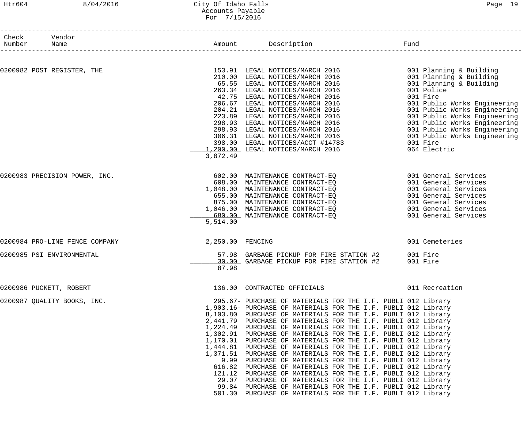### Htr604 8/04/2016 City Of Idaho Falls Page 19 Accounts Payable For 7/15/2016

| Check Vendor<br>Number | Name                           | Amount Description |                                                                                                                                                                                                                                                                                                                                                                                                                                                                                                                                                                                                                                                                                                                                                                                                                                                                                                                                                                                             | Fund                                                                                                                                                                                                                                                                                                                                |
|------------------------|--------------------------------|--------------------|---------------------------------------------------------------------------------------------------------------------------------------------------------------------------------------------------------------------------------------------------------------------------------------------------------------------------------------------------------------------------------------------------------------------------------------------------------------------------------------------------------------------------------------------------------------------------------------------------------------------------------------------------------------------------------------------------------------------------------------------------------------------------------------------------------------------------------------------------------------------------------------------------------------------------------------------------------------------------------------------|-------------------------------------------------------------------------------------------------------------------------------------------------------------------------------------------------------------------------------------------------------------------------------------------------------------------------------------|
|                        |                                |                    |                                                                                                                                                                                                                                                                                                                                                                                                                                                                                                                                                                                                                                                                                                                                                                                                                                                                                                                                                                                             |                                                                                                                                                                                                                                                                                                                                     |
|                        | 0200982 POST REGISTER, THE     | 3,872.49           | 153.91 LEGAL NOTICES/MARCH 2016<br>210.00 LEGAL NOTICES/MARCH 2016<br>210.00 LEGAL NOTICES/MARCH 2016<br>65.55 LEGAL NOTICES/MARCH 2016<br>263.34 LEGAL NOTICES/MARCH 2016<br>42.75 LEGAL NOTICES/MARCH 2016<br>206.67 LEGAL NOTICES/MARCH 2016<br>204.21 LEGAL NOTICES/MARCH 2016<br>223.89 LEGAL NOTICES/MARCH 2016<br><br>398.00 LEGAL NOTICES/ACCT #14783<br>1,200.00 LEGAL NOTICES/MARCH 2016                                                                                                                                                                                                                                                                                                                                                                                                                                                                                                                                                                                          | 001 Planning & Building<br>001 Planning & Building<br>001 Planning & Building<br>001 Police<br>001 Fire<br>001 Public Works Engineering<br>001 Public Works Engineering<br>001 Public Works Engineering<br>001 Public Works Engineering<br>001 Public Works Engineering<br>001 Public Works Engineering<br>001 Fire<br>064 Electric |
|                        | 0200983 PRECISION POWER, INC.  | 5,514.00           | 602.00 MAINTENANCE CONTRACT-EQ<br>608.00 MAINTENANCE CONTRACT-EQ<br>1,048.00 MAINTENANCE CONTRACT-EQ<br>655.00 MAINTENANCE CONTRACT-EQ<br>655.00 MAINTENANCE CONTRACT-EQ<br>875.00 MAINTENANCE CONTRACT-EQ<br>1,046.00 MAINTENANCE CONTRACT-EQ<br>680.00 MAINTENANCE CONTRACT-EQ                                                                                                                                                                                                                                                                                                                                                                                                                                                                                                                                                                                                                                                                                                            | 001 General Services<br>001 General Services<br>001 General Services<br>001 General Services<br>001 General Services<br>001 General Services<br>001 General Services                                                                                                                                                                |
|                        | 0200984 PRO-LINE FENCE COMPANY | 2,250.00 FENCING   |                                                                                                                                                                                                                                                                                                                                                                                                                                                                                                                                                                                                                                                                                                                                                                                                                                                                                                                                                                                             | 001 Cemeteries                                                                                                                                                                                                                                                                                                                      |
|                        | 0200985 PSI ENVIRONMENTAL      | 87.98              | 57.98 GARBAGE PICKUP FOR FIRE STATION #2<br>30.00 GARBAGE PICKUP FOR FIRE STATION #2                                                                                                                                                                                                                                                                                                                                                                                                                                                                                                                                                                                                                                                                                                                                                                                                                                                                                                        | 001 Fire<br>001 Fire                                                                                                                                                                                                                                                                                                                |
|                        | 0200986 PUCKETT, ROBERT        |                    | 136.00 CONTRACTED OFFICIALS                                                                                                                                                                                                                                                                                                                                                                                                                                                                                                                                                                                                                                                                                                                                                                                                                                                                                                                                                                 | 011 Recreation                                                                                                                                                                                                                                                                                                                      |
|                        | 0200987 QUALITY BOOKS, INC.    |                    | 295.67- PURCHASE OF MATERIALS FOR THE I.F. PUBLI 012 Library<br>1,903.16- PURCHASE OF MATERIALS FOR THE I.F. PUBLI 012 Library<br>8,103.80 PURCHASE OF MATERIALS FOR THE I.F. PUBLI 012 Library<br>2,441.79 PURCHASE OF MATERIALS FOR THE I.F. PUBLI 012 Library<br>1,224.49 PURCHASE OF MATERIALS FOR THE I.F. PUBLI 012 Library<br>1,302.91 PURCHASE OF MATERIALS FOR THE I.F. PUBLI 012 Library<br>1,170.01 PURCHASE OF MATERIALS FOR THE I.F. PUBLI 012 Library<br>1,444.81 PURCHASE OF MATERIALS FOR THE I.F. PUBLI 012 Library<br>1,371.51 PURCHASE OF MATERIALS FOR THE I.F. PUBLI 012 Library<br>9.99 PURCHASE OF MATERIALS FOR THE I.F. PUBLI 012 Library<br>616.82 PURCHASE OF MATERIALS FOR THE I.F. PUBLI 012 Library<br>121.12 PURCHASE OF MATERIALS FOR THE I.F. PUBLI 012 Library<br>29.07 PURCHASE OF MATERIALS FOR THE I.F. PUBLI 012 Library<br>99.84 PURCHASE OF MATERIALS FOR THE I.F. PUBLI 012 Library<br>501.30 PURCHASE OF MATERIALS FOR THE I.F. PUBLI 012 Library |                                                                                                                                                                                                                                                                                                                                     |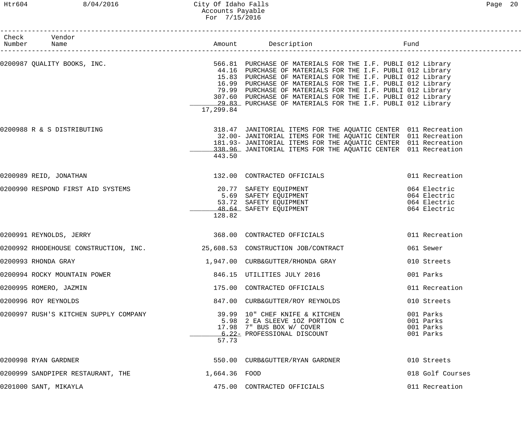# Htr604 8/04/2016 City Of Idaho Falls Page 20 Accounts Payable For 7/15/2016

| Check Vendor<br>Number Name                                               |               |                                                                                                                                                                                                                                                                                                                                                                                                                                                  |                                     |
|---------------------------------------------------------------------------|---------------|--------------------------------------------------------------------------------------------------------------------------------------------------------------------------------------------------------------------------------------------------------------------------------------------------------------------------------------------------------------------------------------------------------------------------------------------------|-------------------------------------|
| 0200987 QUALITY BOOKS, INC.                                               | 17,299.84     | 566.81 PURCHASE OF MATERIALS FOR THE I.F. PUBLI 012 Library<br>44.16 PURCHASE OF MATERIALS FOR THE I.F. PUBLI 012 Library<br>15.83 PURCHASE OF MATERIALS FOR THE I.F. PUBLI 012 Library<br>16.99 PURCHASE OF MATERIALS FOR THE I.F. PUBLI 012 Library<br>79.99 PURCHASE OF MATERIALS FOR THE I.F. PUBLI 012 Library<br>307.60 PURCHASE OF MATERIALS FOR THE I.F. PUBLI 012 Library<br>29.83 PURCHASE OF MATERIALS FOR THE I.F. PUBLI 012 Library |                                     |
| 0200988 R & S DISTRIBUTING                                                | 443.50        | 318.47 JANITORIAL ITEMS FOR THE AQUATIC CENTER 011 Recreation<br>32.00- JANITORIAL ITEMS FOR THE AQUATIC CENTER 011 Recreation<br>181.93- JANITORIAL ITEMS FOR THE AQUATIC CENTER 011 Recreation<br>338.96 JANITORIAL ITEMS FOR THE AQUATIC CENTER 011 Recreation                                                                                                                                                                                |                                     |
| 0200989 REID, JONATHAN                                                    |               | 132.00 CONTRACTED OFFICIALS                                                                                                                                                                                                                                                                                                                                                                                                                      | 011 Recreation                      |
| 0200990 RESPOND FIRST AID SYSTEMS                                         | 128.82        | 20.77 SAFETY EQUIPMENT<br>5.69 SAFETY EQUIPMENT<br>53.72 SAFETY EQUIPMENT<br>48.64 SAFETY EQUIPMENT<br>48.64 SAFETY EQUIPMENT<br>164 Electric                                                                                                                                                                                                                                                                                                    |                                     |
| 0200991 REYNOLDS, JERRY                                                   |               | 368.00 CONTRACTED OFFICIALS                                                                                                                                                                                                                                                                                                                                                                                                                      | 011 Recreation                      |
| 0200992 RHODEHOUSE CONSTRUCTION, INC. 25,608.53 CONSTRUCTION JOB/CONTRACT |               |                                                                                                                                                                                                                                                                                                                                                                                                                                                  | 061 Sewer                           |
| 0200993 RHONDA GRAY                                                       |               |                                                                                                                                                                                                                                                                                                                                                                                                                                                  | 010 Streets                         |
| 0200994 ROCKY MOUNTAIN POWER                                              |               | 846.15 UTILITIES JULY 2016                                                                                                                                                                                                                                                                                                                                                                                                                       | 001 Parks                           |
| 0200995 ROMERO, JAZMIN                                                    |               | 175.00 CONTRACTED OFFICIALS                                                                                                                                                                                                                                                                                                                                                                                                                      | 011 Recreation                      |
| 0200996 ROY REYNOLDS                                                      |               | 847.00 CURB&GUTTER/ROY REYNOLDS                                                                                                                                                                                                                                                                                                                                                                                                                  | 010 Streets                         |
| 0200997 RUSH'S KITCHEN SUPPLY COMPANY                                     | 57.73         | 39.99 10" CHEF KNIFE & KITCHEN<br>5.98 2 EA SLEEVE 10Z PORTION C 001 Parks<br>17.98 7" BUS BOX W/ COVER<br>6.22- PROFESSIONAL DISCOUNT                                                                                                                                                                                                                                                                                                           | 001 Parks<br>001 Parks<br>001 Parks |
| 0200998 RYAN GARDNER                                                      |               | 550.00 CURB&GUTTER/RYAN GARDNER                                                                                                                                                                                                                                                                                                                                                                                                                  | 010 Streets                         |
| 0200999 SANDPIPER RESTAURANT, THE                                         | 1,664.36 FOOD |                                                                                                                                                                                                                                                                                                                                                                                                                                                  | 018 Golf Courses                    |
| 0201000 SANT, MIKAYLA                                                     |               | 475.00 CONTRACTED OFFICIALS                                                                                                                                                                                                                                                                                                                                                                                                                      | 011 Recreation                      |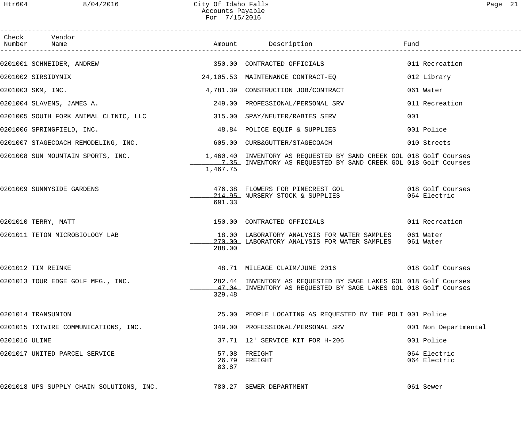|               | Check Vendor                                                         |          |                                                                                                                                                                           |                              |
|---------------|----------------------------------------------------------------------|----------|---------------------------------------------------------------------------------------------------------------------------------------------------------------------------|------------------------------|
|               | 0201001 SCHNEIDER, ANDREW                                            |          | 350.00 CONTRACTED OFFICIALS                                                                                                                                               | 011 Recreation               |
|               | 0201002 SIRSIDYNIX                                                   |          | 24,105.53 MAINTENANCE CONTRACT-EQ                                                                                                                                         | 012 Library                  |
|               | 0201003 SKM, INC.                                                    |          | 4,781.39 CONSTRUCTION JOB/CONTRACT                                                                                                                                        | 061 Water                    |
|               | 0201004 SLAVENS, JAMES A.                                            |          | 249.00 PROFESSIONAL/PERSONAL SRV                                                                                                                                          | 011 Recreation               |
|               | 0201005 SOUTH FORK ANIMAL CLINIC, LLC 315.00 SPAY/NEUTER/RABIES SERV |          |                                                                                                                                                                           | 001                          |
|               | 0201006 SPRINGFIELD, INC.                                            |          | 48.84 POLICE EQUIP & SUPPLIES                                                                                                                                             | 001 Police                   |
|               | 0201007 STAGECOACH REMODELING, INC. 605.00 CURB&GUTTER/STAGECOACH    |          |                                                                                                                                                                           | 010 Streets                  |
|               |                                                                      | 1,467.75 | 0201008 SUN MOUNTAIN SPORTS, INC.<br>1,460.40 INVENTORY AS REQUESTED BY SAND CREEK GOL 018 Golf Courses<br>1.35 INVENTORY AS REQUESTED BY SAND CREEK GOL 018 Golf Courses |                              |
|               | 0201009 SUNNYSIDE GARDENS                                            | 691.33   | 476.38 FLOWERS FOR PINECREST GOL 6018 Golf Courses<br>214.95 NURSERY STOCK & SUPPLIES                                                                                     | 064 Electric                 |
|               | 0201010 TERRY, MATT                                                  |          | 150.00 CONTRACTED OFFICIALS                                                                                                                                               | 011 Recreation               |
|               | 0201011 TETON MICROBIOLOGY LAB                                       | 288.00   | 18.00 LABORATORY ANALYSIS FOR WATER SAMPLES<br>270.00 LABORATORY ANALYSIS FOR WATER SAMPLES                                                                               | 061 Water<br>061 Water       |
|               | 0201012 TIM REINKE                                                   |          | 48.71 MILEAGE CLAIM/JUNE 2016 6018 Golf Courses                                                                                                                           |                              |
|               | 0201013 TOUR EDGE GOLF MFG., INC.                                    | 329.48   | 282.44 INVENTORY AS REQUESTED BY SAGE LAKES GOL 018 Golf Courses<br>47.04 INVENTORY AS REQUESTED BY SAGE LAKES GOL 018 Golf Courses                                       |                              |
|               | 0201014 TRANSUNION                                                   |          | 25.00 PEOPLE LOCATING AS REQUESTED BY THE POLI 001 Police                                                                                                                 |                              |
|               | 0201015 TXTWIRE COMMUNICATIONS, INC.                                 |          | 349.00 PROFESSIONAL/PERSONAL SRV                                                                                                                                          | 001 Non Departmental         |
| 0201016 ULINE |                                                                      |          | 37.71 12' SERVICE KIT FOR H-206                                                                                                                                           | 001 Police                   |
|               | 0201017 UNITED PARCEL SERVICE                                        | 83.87    | 57.08 FREIGHT<br>26.79 FREIGHT                                                                                                                                            | 064 Electric<br>064 Electric |
|               | 0201018 UPS SUPPLY CHAIN SOLUTIONS, INC.                             |          | 780.27 SEWER DEPARTMENT                                                                                                                                                   | 061 Sewer                    |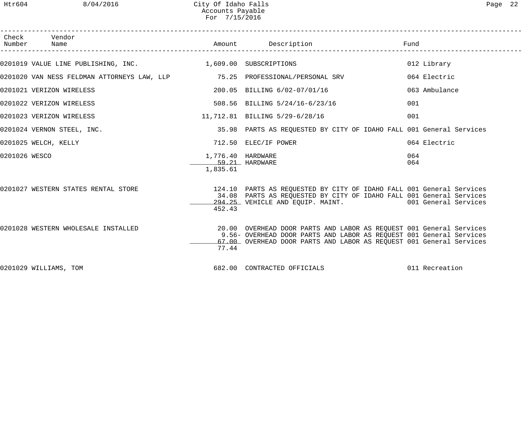| Check         | Vendor<br>Number Name                                                          |                                                 | Amount Description<br>1<br>----------------------                                                                                                                                                                 | Fund           |
|---------------|--------------------------------------------------------------------------------|-------------------------------------------------|-------------------------------------------------------------------------------------------------------------------------------------------------------------------------------------------------------------------|----------------|
|               | 0201019 VALUE LINE PUBLISHING, INC. 1,609.00 SUBSCRIPTIONS                     |                                                 |                                                                                                                                                                                                                   | 012 Library    |
|               | 0201020 VAN NESS FELDMAN ATTORNEYS LAW, LLP<br>75.25 PROFESSIONAL/PERSONAL SRV |                                                 |                                                                                                                                                                                                                   | 064 Electric   |
|               | 0201021 VERIZON WIRELESS                                                       |                                                 | 200.05 BILLING 6/02-07/01/16                                                                                                                                                                                      | 063 Ambulance  |
|               | 0201022 VERIZON WIRELESS                                                       |                                                 | 508.56 BILLING 5/24/16-6/23/16                                                                                                                                                                                    | 001            |
|               | 0201023 VERIZON WIRELESS                                                       |                                                 | 11,712.81 BILLING 5/29-6/28/16                                                                                                                                                                                    | 001            |
|               | 0201024 VERNON STEEL, INC.                                                     |                                                 | 35.98 PARTS AS REQUESTED BY CITY OF IDAHO FALL 001 General Services                                                                                                                                               |                |
|               | 0201025 WELCH, KELLY                                                           |                                                 | 712.50 ELEC/IF POWER                                                                                                                                                                                              | 064 Electric   |
| 0201026 WESCO |                                                                                | 1,776.40 HARDWARE<br>59.21 HARDWARE<br>1,835.61 |                                                                                                                                                                                                                   | 064<br>064     |
|               | 0201027 WESTERN STATES RENTAL STORE                                            | 452.43                                          | 124.10 PARTS AS REQUESTED BY CITY OF IDAHO FALL 001 General Services<br>34.08 PARTS AS REQUESTED BY CITY OF IDAHO FALL 001 General Services<br>294.25 VEHICLE AND EQUIP. MAINT. 1994.25 VEHICLE AND EQUIP. MAINT. |                |
|               | 0201028 WESTERN WHOLESALE INSTALLED                                            | 77.44                                           | 20.00 OVERHEAD DOOR PARTS AND LABOR AS REQUEST 001 General Services<br>9.56- OVERHEAD DOOR PARTS AND LABOR AS REQUEST 001 General Services<br>67.00 OVERHEAD DOOR PARTS AND LABOR AS REQUEST 001 General Services |                |
|               | 0201029 WILLIAMS, TOM                                                          |                                                 | 682.00 CONTRACTED OFFICIALS                                                                                                                                                                                       | 011 Recreation |

------------------------------------------------------------------------------------------------------------------------------------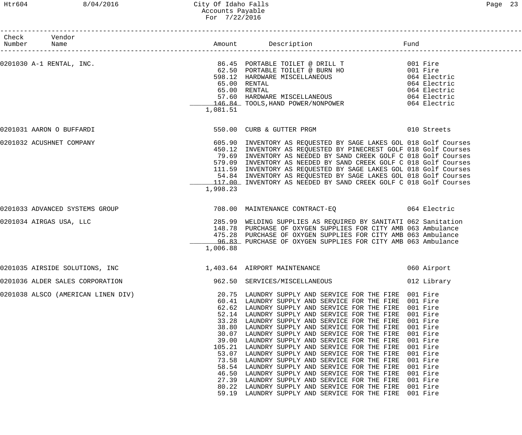### Htr604 8/04/2016 City Of Idaho Falls Page 23 Accounts Payable For 7/22/2016

|             | Check Vendor                    |          |                                                                                                                                                                                                                        |             |
|-------------|---------------------------------|----------|------------------------------------------------------------------------------------------------------------------------------------------------------------------------------------------------------------------------|-------------|
| Number Name |                                 |          |                                                                                                                                                                                                                        | Fund        |
|             | 0201030 A-1 RENTAL, INC.        |          |                                                                                                                                                                                                                        |             |
|             |                                 |          |                                                                                                                                                                                                                        |             |
|             |                                 |          | 598.12 HARDWARE MISCELLANEOUS 65.00 RENTAL 65.00 RENTAL 65.00 RENTAL 65.00 RENTAL 65.00 RENTAL 65.00 RENTAL 65.00 RENTAL 65.00 RENTAL 65.00 RENTAL 65.00 RENTAL 65.00 RENTAL 65.00 RENTAL 67.60 HARDWARE MISCELLANEOUS |             |
|             |                                 |          |                                                                                                                                                                                                                        |             |
|             |                                 |          |                                                                                                                                                                                                                        |             |
|             |                                 |          |                                                                                                                                                                                                                        |             |
|             |                                 |          | 146.84 TOOLS, HAND POWER/NONPOWER 064 Electric                                                                                                                                                                         |             |
|             |                                 | 1,081.51 |                                                                                                                                                                                                                        |             |
|             | 0201031 AARON O BUFFARDI        |          | 550.00 CURB & GUTTER PRGM 610 Streets                                                                                                                                                                                  |             |
|             | 0201032 ACUSHNET COMPANY        |          | 605.90 INVENTORY AS REQUESTED BY SAGE LAKES GOL 018 Golf Courses                                                                                                                                                       |             |
|             |                                 |          | 450.12 INVENTORY AS REQUESTED BY PINECREST GOLF 018 Golf Courses                                                                                                                                                       |             |
|             |                                 |          | 79.69 INVENTORY AS NEEDED BY SAND CREEK GOLF C 018 Golf Courses                                                                                                                                                        |             |
|             |                                 |          | 579.09 INVENTORY AS NEEDED BY SAND CREEK GOLF C 018 Golf Courses                                                                                                                                                       |             |
|             |                                 |          | 111.59 INVENTORY AS REQUESTED BY SAGE LAKES GOL 018 Golf Courses                                                                                                                                                       |             |
|             |                                 |          | 54.84 INVENTORY AS REQUESTED BY SAGE LAKES GOL 018 Golf Courses                                                                                                                                                        |             |
|             |                                 |          | 117.00 INVENTORY AS NEEDED BY SAND CREEK GOLF C 018 Golf Courses                                                                                                                                                       |             |
|             |                                 | 1,998.23 |                                                                                                                                                                                                                        |             |
|             | 0201033 ADVANCED SYSTEMS GROUP  |          | 708.00 MAINTENANCE CONTRACT-EQ 064 Electric                                                                                                                                                                            |             |
|             | 0201034 AIRGAS USA, LLC         |          | 285.99 WELDING SUPPLIES AS REQUIRED BY SANITATI 062 Sanitation                                                                                                                                                         |             |
|             |                                 |          | 148.78 PURCHASE OF OXYGEN SUPPLIES FOR CITY AMB 063 Ambulance                                                                                                                                                          |             |
|             |                                 |          | 475.28 PURCHASE OF OXYGEN SUPPLIES FOR CITY AMB 063 Ambulance                                                                                                                                                          |             |
|             |                                 |          | 96.83 PURCHASE OF OXYGEN SUPPLIES FOR CITY AMB 063 Ambulance                                                                                                                                                           |             |
|             |                                 | 1,006.88 |                                                                                                                                                                                                                        |             |
|             | 0201035 AIRSIDE SOLUTIONS, INC  |          | 1,403.64 AIRPORT MAINTENANCE                                                                                                                                                                                           | 060 Airport |
|             | 0201036 ALDER SALES CORPORATION |          | 962.50 SERVICES/MISCELLANEOUS                                                                                                                                                                                          | 012 Library |
|             |                                 |          | 0201038 ALSCO (AMERICAN LINEN DIV) 30.75 LAUNDRY SUPPLY AND SERVICE FOR THE FIRE 001 Fire                                                                                                                              |             |
|             |                                 |          | 60.41 LAUNDRY SUPPLY AND SERVICE FOR THE FIRE 001 Fire                                                                                                                                                                 |             |
|             |                                 |          | 62.62 LAUNDRY SUPPLY AND SERVICE FOR THE FIRE 001 Fire                                                                                                                                                                 |             |
|             |                                 |          | 52.14 LAUNDRY SUPPLY AND SERVICE FOR THE FIRE 001 Fire                                                                                                                                                                 |             |
|             |                                 |          | 33.28 LAUNDRY SUPPLY AND SERVICE FOR THE FIRE 001 Fire                                                                                                                                                                 |             |
|             |                                 |          | 38.80 LAUNDRY SUPPLY AND SERVICE FOR THE FIRE 001 Fire                                                                                                                                                                 |             |
|             |                                 |          | 30.07 LAUNDRY SUPPLY AND SERVICE FOR THE FIRE 001 Fire                                                                                                                                                                 |             |
|             |                                 |          | 39.00 LAUNDRY SUPPLY AND SERVICE FOR THE FIRE 001 Fire                                                                                                                                                                 |             |
|             |                                 |          | 105.21 LAUNDRY SUPPLY AND SERVICE FOR THE FIRE 001 Fire                                                                                                                                                                |             |
|             |                                 |          | 53.07 LAUNDRY SUPPLY AND SERVICE FOR THE FIRE 001 Fire                                                                                                                                                                 |             |
|             |                                 |          | 73.58 LAUNDRY SUPPLY AND SERVICE FOR THE FIRE 001 Fire                                                                                                                                                                 |             |
|             |                                 |          | 58.54 LAUNDRY SUPPLY AND SERVICE FOR THE FIRE 001 Fire                                                                                                                                                                 |             |
|             |                                 | 27.39    | 46.50 LAUNDRY SUPPLY AND SERVICE FOR THE FIRE 001 Fire<br>LAUNDRY SUPPLY AND SERVICE FOR THE FIRE 001 Fire                                                                                                             |             |
|             |                                 |          | 80.22 LAUNDRY SUPPLY AND SERVICE FOR THE FIRE 001 Fire                                                                                                                                                                 |             |
|             |                                 |          | 59.19 LAUNDRY SUPPLY AND SERVICE FOR THE FIRE 001 Fire                                                                                                                                                                 |             |
|             |                                 |          |                                                                                                                                                                                                                        |             |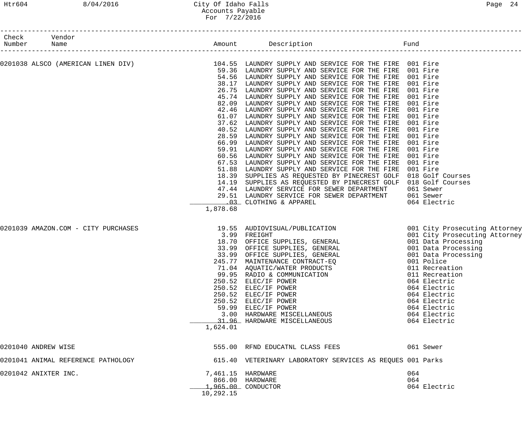# Htr604 8/04/2016 City Of Idaho Falls Page 24 Accounts Payable For 7/22/2016

| Check Vendor<br>Number Name                                                                |                                |                                                                                                                                                                                                                                                                                                                                                                                                                                                                                                                                                                                                                                                                                                                                                                                                                                                                                                                                                                                                                                                                                                                                                                                                                 |                                                                                                                                                                 |
|--------------------------------------------------------------------------------------------|--------------------------------|-----------------------------------------------------------------------------------------------------------------------------------------------------------------------------------------------------------------------------------------------------------------------------------------------------------------------------------------------------------------------------------------------------------------------------------------------------------------------------------------------------------------------------------------------------------------------------------------------------------------------------------------------------------------------------------------------------------------------------------------------------------------------------------------------------------------------------------------------------------------------------------------------------------------------------------------------------------------------------------------------------------------------------------------------------------------------------------------------------------------------------------------------------------------------------------------------------------------|-----------------------------------------------------------------------------------------------------------------------------------------------------------------|
| 0201038 ALSCO (AMERICAN LINEN DIV) 104.55 LAUNDRY SUPPLY AND SERVICE FOR THE FIRE 001 Fire | 1,878.68                       | 59.36 LAUNDRY SUPPLY AND SERVICE FOR THE FIRE 001 Fire<br>54.56 LAUNDRY SUPPLY AND SERVICE FOR THE FIRE 001 Fire<br>38.17 LAUNDRY SUPPLY AND SERVICE FOR THE FIRE 001 Fire<br>26.75 LAUNDRY SUPPLY AND SERVICE FOR THE FIRE 001 Fire<br>45.74 LAUNDRY SUPPLY AND SERVICE FOR THE FIRE 001 Fire<br>82.09 LAUNDRY SUPPLY AND SERVICE FOR THE FIRE 001 Fire<br>42.46 LAUNDRY SUPPLY AND SERVICE FOR THE FIRE 001 Fire<br>61.07 LAUNDRY SUPPLY AND SERVICE FOR THE FIRE 001 Fire<br>37.62 LAUNDRY SUPPLY AND SERVICE FOR THE FIRE 001 Fire<br>40.52 LAUNDRY SUPPLY AND SERVICE FOR THE FIRE<br>28.59 LAUNDRY SUPPLY AND SERVICE FOR THE FIRE<br>66.99 LAUNDRY SUPPLY AND SERVICE FOR THE FIRE<br>59.91 LAUNDRY SUPPLY AND SERVICE FOR THE FIRE 001 Fire<br>60.56 LAUNDRY SUPPLY AND SERVICE FOR THE FIRE 001 Fire<br>67.53 LAUNDRY SUPPLY AND SERVICE FOR THE FIRE 001 Fire<br>51.88 LAUNDRY SUPPLY AND SERVICE FOR THE FIRE 001 Fire<br>18.39 SUPPLIES AS REQUESTED BY PINECREST GOLF 018 Golf Courses<br>14.19 SUPPLIES AS REQUESTED BY PINECREST GOLF 018 Golf Courses<br>47.44 LAUNDRY SERVICE FOR SEWER DEPARTMENT 061 Sewer<br>29.51 LAUNDRY SERVICE FOR SEWER DEPARTMENT 061 Sewer<br>.03 CLOTHING & APPAREL | 001 Fire<br>001 Fire<br>001 Fire<br>064 Electric                                                                                                                |
| 0201039 AMAZON.COM - CITY PURCHASES                                                        | 1,624.01                       | 19.55 AUDIOVISUAL/PUBLICATION 6001 City Prosecuting Attorney<br>19.55 AUDIOVISUAL/PUBLICATION<br>3.99 FREIGHT<br>18.70 OFFICE SUPPLIES, GENERAL<br>33.99 OFFICE SUPPLIES, GENERAL<br>33.99 OFFICE SUPPLIES, GENERAL<br>33.99 OFFICE SUPPLIES, GENERAL<br>33.99 OFFICE SUPPLIES, GENERAL<br>215.77 MAINTENANC<br>245.77 MAINTENANCE CONTRACT-EQ<br>71.04 AQUATIC/WATER PRODUCTS<br>99.95 RADIO & COMMUNICATION<br>250.52 ELEC/IF POWER<br>250.52 ELEC/IF POWER<br>250.52 ELEC/IF POWER<br>250.52 ELEC/IF POWER<br>59.99 ELEC/IF POWER<br>3.00 HARDWARE MISCELLANEOUS<br>31.96 HARDWARE MISCELLANEOUS                                                                                                                                                                                                                                                                                                                                                                                                                                                                                                                                                                                                             | 001 City Prosecuting Attorney<br>011 Recreation<br>064 Electric<br>064 Electric<br>064 Electric<br>064 Electric<br>064 Electric<br>064 Electric<br>064 Electric |
| 0201040 ANDREW WISE                                                                        |                                | 555.00 RFND EDUCATNL CLASS FEES                                                                                                                                                                                                                                                                                                                                                                                                                                                                                                                                                                                                                                                                                                                                                                                                                                                                                                                                                                                                                                                                                                                                                                                 | 061 Sewer                                                                                                                                                       |
| 0201041 ANIMAL REFERENCE PATHOLOGY                                                         |                                | 615.40 VETERINARY LABORATORY SERVICES AS REQUES 001 Parks                                                                                                                                                                                                                                                                                                                                                                                                                                                                                                                                                                                                                                                                                                                                                                                                                                                                                                                                                                                                                                                                                                                                                       |                                                                                                                                                                 |
| 0201042 ANIXTER INC.                                                                       | 7,461.15 HARDWARE<br>10,292.15 | 866.00 HARDWARE<br>1,965.00 CONDUCTOR                                                                                                                                                                                                                                                                                                                                                                                                                                                                                                                                                                                                                                                                                                                                                                                                                                                                                                                                                                                                                                                                                                                                                                           | 064<br>064<br>064 Electric                                                                                                                                      |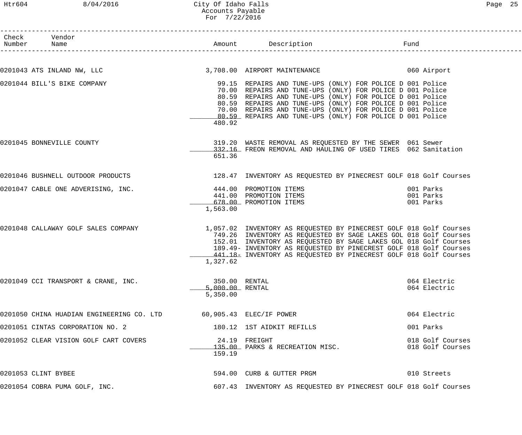# Htr604 8/04/2016 City Of Idaho Falls Page 25 Accounts Payable For 7/22/2016

| Check Vendor<br>Number Name                                                            |                                              |                                                                                                                                                                                                                                                                                                                                                                            |                                      |
|----------------------------------------------------------------------------------------|----------------------------------------------|----------------------------------------------------------------------------------------------------------------------------------------------------------------------------------------------------------------------------------------------------------------------------------------------------------------------------------------------------------------------------|--------------------------------------|
|                                                                                        |                                              | 0201043 ATS INLAND NW, LLC <b>1988 100 CONTROL 1200 ADD</b> 3,708.00 AIRPORT MAINTENANCE 1989 1999 1999 1999 1999 19                                                                                                                                                                                                                                                       |                                      |
|                                                                                        |                                              |                                                                                                                                                                                                                                                                                                                                                                            |                                      |
| 0201044 BILL'S BIKE COMPANY                                                            | 480.92                                       | 99.15 REPAIRS AND TUNE-UPS (ONLY) FOR POLICE D 001 Police<br>70.00 REPAIRS AND TUNE-UPS (ONLY) FOR POLICE D 001 Police<br>80.59 REPAIRS AND TUNE-UPS (ONLY) FOR POLICE D 001 Police<br>80.59 REPAIRS AND TUNE-UPS (ONLY) FOR POLICE D 001 Police<br>70.00 REPAIRS AND TUNE-UPS (ONLY) FOR POLICE D 001 Police<br>80.59 REPAIRS AND TUNE-UPS (ONLY) FOR POLICE D 001 Police |                                      |
| 0201045 BONNEVILLE COUNTY                                                              | 651.36                                       | 319.20 WASTE REMOVAL AS REQUESTED BY THE SEWER 061 Sewer<br>332.16 FREON REMOVAL AND HAULING OF USED TIRES 062 Sanitation                                                                                                                                                                                                                                                  |                                      |
|                                                                                        |                                              | 0201046 BUSHNELL OUTDOOR PRODUCTS 128.47 INVENTORY AS REQUESTED BY PINECREST GOLF 018 Golf Courses                                                                                                                                                                                                                                                                         |                                      |
| 0201047 CABLE ONE ADVERISING, INC.<br>441.00 PROMOTION ITEMS<br>678.00 PROMOTION ITEMS | 1,563.00                                     |                                                                                                                                                                                                                                                                                                                                                                            | 001 Parks<br>001 Parks<br>001 Parks  |
| 0201048 CALLAWAY GOLF SALES COMPANY                                                    | 1,327.62                                     | 1,057.02 INVENTORY AS REQUESTED BY PINECREST GOLF 018 Golf Courses<br>749.26 INVENTORY AS REQUESTED BY SAGE LAKES GOL 018 Golf Courses<br>152.01 INVENTORY AS REQUESTED BY SAGE LAKES GOL 018 Golf Courses<br>189.49- INVENTORY AS REQUESTED BY PINECREST GOLF 018 Golf Courses<br>441.18- INVENTORY AS REQUESTED BY PINECREST GOLF 018 Golf Courses                       |                                      |
| 0201049 CCI TRANSPORT & CRANE, INC.                                                    | 350.00 RENTAL<br>5,000.00 RENTAL<br>5,350.00 |                                                                                                                                                                                                                                                                                                                                                                            | 064 Electric<br>064 Electric         |
| 0201050 CHINA HUADIAN ENGINEERING CO. LTD 60,905.43 ELEC/IF POWER                      |                                              |                                                                                                                                                                                                                                                                                                                                                                            | 064 Electric                         |
| 0201051 CINTAS CORPORATION NO. 2                                                       |                                              | 180.12 1ST AIDKIT REFILLS                                                                                                                                                                                                                                                                                                                                                  | 001 Parks                            |
| 0201052 CLEAR VISION GOLF CART COVERS                                                  | 159.19                                       | 24.19 FREIGHT<br>135.00 PARKS & RECREATION MISC.                                                                                                                                                                                                                                                                                                                           | 018 Golf Courses<br>018 Golf Courses |
| 0201053 CLINT BYBEE                                                                    |                                              | 594.00 CURB & GUTTER PRGM                                                                                                                                                                                                                                                                                                                                                  | 010 Streets                          |
| 0201054 COBRA PUMA GOLF, INC.                                                          |                                              | 607.43 INVENTORY AS REQUESTED BY PINECREST GOLF 018 Golf Courses                                                                                                                                                                                                                                                                                                           |                                      |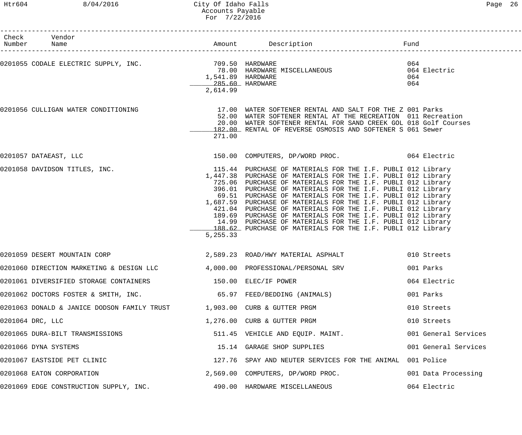| Check Vendor<br>Number Name         |          |                                                                                                                                                                                                                                                                                                                                                                                                                                                                                                                                                                                                                                                                                                                                                                                                                                                                                                                                                                                                                                                                                                                                                                                                                                                                                                                                                                                                                                                                                                                                                                                                                                                                                                                     |
|-------------------------------------|----------|---------------------------------------------------------------------------------------------------------------------------------------------------------------------------------------------------------------------------------------------------------------------------------------------------------------------------------------------------------------------------------------------------------------------------------------------------------------------------------------------------------------------------------------------------------------------------------------------------------------------------------------------------------------------------------------------------------------------------------------------------------------------------------------------------------------------------------------------------------------------------------------------------------------------------------------------------------------------------------------------------------------------------------------------------------------------------------------------------------------------------------------------------------------------------------------------------------------------------------------------------------------------------------------------------------------------------------------------------------------------------------------------------------------------------------------------------------------------------------------------------------------------------------------------------------------------------------------------------------------------------------------------------------------------------------------------------------------------|
|                                     | 2,614.99 | 064<br>064 Electric<br>064<br>064                                                                                                                                                                                                                                                                                                                                                                                                                                                                                                                                                                                                                                                                                                                                                                                                                                                                                                                                                                                                                                                                                                                                                                                                                                                                                                                                                                                                                                                                                                                                                                                                                                                                                   |
| 0201056 CULLIGAN WATER CONDITIONING | 271.00   |                                                                                                                                                                                                                                                                                                                                                                                                                                                                                                                                                                                                                                                                                                                                                                                                                                                                                                                                                                                                                                                                                                                                                                                                                                                                                                                                                                                                                                                                                                                                                                                                                                                                                                                     |
| 0201057 DATAEAST, LLC               |          |                                                                                                                                                                                                                                                                                                                                                                                                                                                                                                                                                                                                                                                                                                                                                                                                                                                                                                                                                                                                                                                                                                                                                                                                                                                                                                                                                                                                                                                                                                                                                                                                                                                                                                                     |
| 0201058 DAVIDSON TITLES, INC.       | 5,255.33 |                                                                                                                                                                                                                                                                                                                                                                                                                                                                                                                                                                                                                                                                                                                                                                                                                                                                                                                                                                                                                                                                                                                                                                                                                                                                                                                                                                                                                                                                                                                                                                                                                                                                                                                     |
| 0201059 DESERT MOUNTAIN CORP        |          | 010 Streets                                                                                                                                                                                                                                                                                                                                                                                                                                                                                                                                                                                                                                                                                                                                                                                                                                                                                                                                                                                                                                                                                                                                                                                                                                                                                                                                                                                                                                                                                                                                                                                                                                                                                                         |
|                                     |          | 001 Parks                                                                                                                                                                                                                                                                                                                                                                                                                                                                                                                                                                                                                                                                                                                                                                                                                                                                                                                                                                                                                                                                                                                                                                                                                                                                                                                                                                                                                                                                                                                                                                                                                                                                                                           |
|                                     |          | 064 Electric                                                                                                                                                                                                                                                                                                                                                                                                                                                                                                                                                                                                                                                                                                                                                                                                                                                                                                                                                                                                                                                                                                                                                                                                                                                                                                                                                                                                                                                                                                                                                                                                                                                                                                        |
|                                     |          | 001 Parks                                                                                                                                                                                                                                                                                                                                                                                                                                                                                                                                                                                                                                                                                                                                                                                                                                                                                                                                                                                                                                                                                                                                                                                                                                                                                                                                                                                                                                                                                                                                                                                                                                                                                                           |
|                                     |          | 010 Streets                                                                                                                                                                                                                                                                                                                                                                                                                                                                                                                                                                                                                                                                                                                                                                                                                                                                                                                                                                                                                                                                                                                                                                                                                                                                                                                                                                                                                                                                                                                                                                                                                                                                                                         |
| 0201064 DRC, LLC                    |          | 010 Streets                                                                                                                                                                                                                                                                                                                                                                                                                                                                                                                                                                                                                                                                                                                                                                                                                                                                                                                                                                                                                                                                                                                                                                                                                                                                                                                                                                                                                                                                                                                                                                                                                                                                                                         |
| 0201065 DURA-BILT TRANSMISSIONS     |          | 001 General Services                                                                                                                                                                                                                                                                                                                                                                                                                                                                                                                                                                                                                                                                                                                                                                                                                                                                                                                                                                                                                                                                                                                                                                                                                                                                                                                                                                                                                                                                                                                                                                                                                                                                                                |
| 0201066 DYNA SYSTEMS                |          | 001 General Services                                                                                                                                                                                                                                                                                                                                                                                                                                                                                                                                                                                                                                                                                                                                                                                                                                                                                                                                                                                                                                                                                                                                                                                                                                                                                                                                                                                                                                                                                                                                                                                                                                                                                                |
| 0201067 EASTSIDE PET CLINIC         |          |                                                                                                                                                                                                                                                                                                                                                                                                                                                                                                                                                                                                                                                                                                                                                                                                                                                                                                                                                                                                                                                                                                                                                                                                                                                                                                                                                                                                                                                                                                                                                                                                                                                                                                                     |
| 0201068 EATON CORPORATION           |          | 001 Data Processing                                                                                                                                                                                                                                                                                                                                                                                                                                                                                                                                                                                                                                                                                                                                                                                                                                                                                                                                                                                                                                                                                                                                                                                                                                                                                                                                                                                                                                                                                                                                                                                                                                                                                                 |
|                                     |          | 064 Electric                                                                                                                                                                                                                                                                                                                                                                                                                                                                                                                                                                                                                                                                                                                                                                                                                                                                                                                                                                                                                                                                                                                                                                                                                                                                                                                                                                                                                                                                                                                                                                                                                                                                                                        |
|                                     |          | 0201055 CODALE ELECTRIC SUPPLY, INC. 709.50 HARDWARE<br>78.00 HARDWARE MISCELLANEOUS<br>1,541.89 HARDWARE<br>285.60 HARDWARE<br>17.00 WATER SOFTENER RENTAL AND SALT FOR THE Z 001 Parks<br>52.00 WATER SOFTENER RENTAL AT THE RECREATION 011 Recreation<br>20.00 WATER SOFTENER RENTAL FOR SAND CREEK GOL 018 Golf Courses<br>182.00 RENTAL OF REVERSE OSMOSIS AND SOFTENER S 061 Sewer<br>150.00 COMPUTERS, DP/WORD PROC. 064 Electric<br>115.44 PURCHASE OF MATERIALS FOR THE I.F. PUBLI 012 Library<br>1,447.38 PURCHASE OF MATERIALS FOR THE I.F. PUBLI 012 Library<br>725.06 PURCHASE OF MATERIALS FOR THE I.F. PUBLI 012 Library<br>396.01 PURCHASE OF MATERIALS FOR THE I.F. PUBLI 012 Library<br>69.51 PURCHASE OF MATERIALS FOR THE I.F. PUBLI 012 Library<br>1,687.59 PURCHASE OF MATERIALS FOR THE I.F. PUBLI 012 Library<br>421.04 PURCHASE OF MATERIALS FOR THE I.F. PUBLI 012 Library<br>189.69 PURCHASE OF MATERIALS FOR THE I.F. PUBLI 012 Library<br>14.99 PURCHASE OF MATERIALS FOR THE I.F. PUBLI 012 Library<br>188.62 PURCHASE OF MATERIALS FOR THE I.F. PUBLI 012 Library<br>2,589.23 ROAD/HWY MATERIAL ASPHALT<br>0201060 DIRECTION MARKETING & DESIGN LLC 4,000.00 PROFESSIONAL/PERSONAL SRV<br>0201061 DIVERSIFIED STORAGE CONTAINERS 6 150.00 ELEC/IF POWER<br>0201062 DOCTORS FOSTER & SMITH, INC. 65.97 FEED/BEDDING (ANIMALS)<br>0201063 DONALD & JANICE DODSON FAMILY TRUST $1,903.00$ CURB & GUTTER PRGM<br>1,276.00 CURB & GUTTER PRGM<br>511.45 VEHICLE AND EQUIP. MAINT.<br>15.14 GARAGE SHOP SUPPLIES<br>127.76 SPAY AND NEUTER SERVICES FOR THE ANIMAL 001 Police<br>2,569.00 COMPUTERS, DP/WORD PROC.<br>0201069 EDGE CONSTRUCTION SUPPLY, INC. 490.00 HARDWARE MISCELLANEOUS |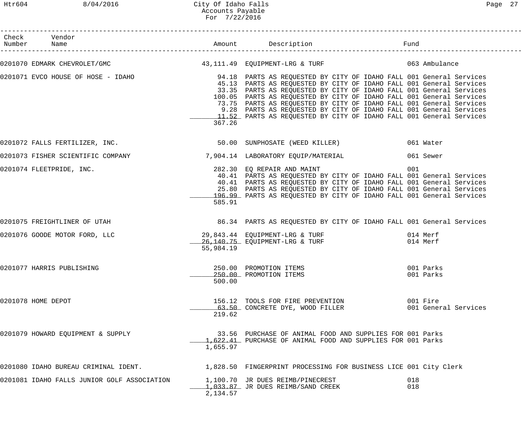Htr604 8/04/2016 City Of Idaho Falls Page 27 Accounts Payable For 7/22/2016

| Check Vendor<br>Number Name                                                                                          |           |                                                                                                                                                                                                                                                                                                                                                                                                                                        |            |                                  |
|----------------------------------------------------------------------------------------------------------------------|-----------|----------------------------------------------------------------------------------------------------------------------------------------------------------------------------------------------------------------------------------------------------------------------------------------------------------------------------------------------------------------------------------------------------------------------------------------|------------|----------------------------------|
| 0201070 EDMARK CHEVROLET/GMC                   43,111.49 EQUIPMENT-LRG & TURF               063 Ambulance            |           |                                                                                                                                                                                                                                                                                                                                                                                                                                        |            |                                  |
| 0201071 EVCO HOUSE OF HOSE - IDAHO               94.18 PARTS AS REQUESTED BY CITY OF IDAHO FALL 001 General Services | 367.26    | 45.13 PARTS AS REQUESTED BY CITY OF IDAHO FALL 001 General Services<br>33.35 PARTS AS REQUESTED BY CITY OF IDAHO FALL 001 General Services<br>100.05 PARTS AS REQUESTED BY CITY OF IDAHO FALL 001 General Services<br>73.75 PARTS AS REQUESTED BY CITY OF IDAHO FALL 001 General Services<br>9.28 PARTS AS REQUESTED BY CITY OF IDAHO FALL 001 General Services<br>11.52 PARTS AS REQUESTED BY CITY OF IDAHO FALL 001 General Services |            |                                  |
|                                                                                                                      |           |                                                                                                                                                                                                                                                                                                                                                                                                                                        |            |                                  |
| 0201073 FISHER SCIENTIFIC COMPANY 1904.14 LABORATORY EQUIP/MATERIAL 19961 Sewer                                      |           |                                                                                                                                                                                                                                                                                                                                                                                                                                        |            |                                  |
| 0201074 FLEETPRIDE, INC.                                                                                             | 585.91    | 282.30 EQ REPAIR AND MAINT<br>40.41 PARTS AS REQUESTED BY CITY OF IDAHO FALL 001 General Services<br>40.41 PARTS AS REQUESTED BY CITY OF IDAHO FALL 001 General Services<br>25.80 PARTS AS REQUESTED BY CITY OF IDAHO FALL 001 General Services<br>196.99 PARTS AS REQUESTED BY CITY OF IDAHO FALL 001 General Services                                                                                                                | 001        |                                  |
| 0201075 FREIGHTLINER OF UTAH                                                                                         |           | 86.34 PARTS AS REQUESTED BY CITY OF IDAHO FALL 001 General Services                                                                                                                                                                                                                                                                                                                                                                    |            |                                  |
| 0201076 GOODE MOTOR FORD, LLC                                                                                        | 55,984.19 | 29,843.44 EQUIPMENT-LRG & TURF<br>26,140.75 EQUIPMENT-LRG & TURF 6 (14 Merf                                                                                                                                                                                                                                                                                                                                                            |            |                                  |
| 0201077 HARRIS PUBLISHING                                                                                            | 500.00    | 250.00 PROMOTION ITEMS<br>250.00 PROMOTION ITEMS                                                                                                                                                                                                                                                                                                                                                                                       |            | 001 Parks<br>001 Parks           |
| 0201078 HOME DEPOT                                                                                                   | 219.62    | 156.12 TOOLS FOR FIRE PREVENTION<br>63.50 CONCRETE DYE, WOOD FILLER                                                                                                                                                                                                                                                                                                                                                                    |            | 001 Fire<br>001 General Services |
| 0201079 HOWARD EQUIPMENT & SUPPLY                                                                                    | 1,655.97  | 33.56 PURCHASE OF ANIMAL FOOD AND SUPPLIES FOR 001 Parks<br>1,622.41 PURCHASE OF ANIMAL FOOD AND SUPPLIES FOR 001 Parks                                                                                                                                                                                                                                                                                                                |            |                                  |
| 0201080 IDAHO BUREAU CRIMINAL IDENT. 1.828.50 FINGERPRINT PROCESSING FOR BUSINESS LICE 001 City Clerk                |           |                                                                                                                                                                                                                                                                                                                                                                                                                                        |            |                                  |
| 0201081 IDAHO FALLS JUNIOR GOLF ASSOCIATION                                                                          | 2,134.57  | 1,100.70 JR DUES REIMB/PINECREST<br>1,033.87 JR DUES REIMB/SAND CREEK                                                                                                                                                                                                                                                                                                                                                                  | 018<br>018 |                                  |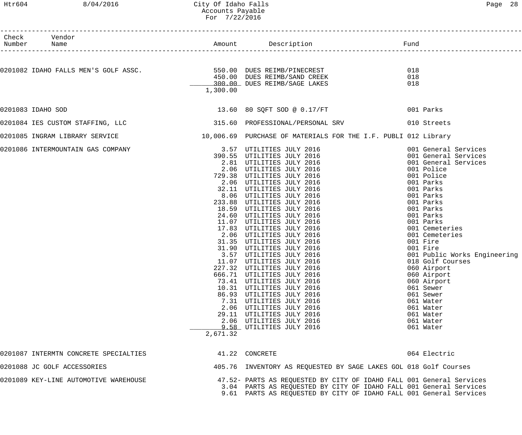## Htr604 8/04/2016 City Of Idaho Falls Page 28 Accounts Payable For 7/22/2016

| Check Vendor<br>Number Name                                                                                                     |          |                                                                                                                                              |     |                              |
|---------------------------------------------------------------------------------------------------------------------------------|----------|----------------------------------------------------------------------------------------------------------------------------------------------|-----|------------------------------|
|                                                                                                                                 |          |                                                                                                                                              |     |                              |
| 0201082 IDAHO FALLS MEN'S GOLF ASSC.                              550.00  DUES REIMB/PINECREST<br>450.00  DUES REIMB/SAND CREEK |          |                                                                                                                                              | 018 |                              |
|                                                                                                                                 |          |                                                                                                                                              | 018 |                              |
|                                                                                                                                 |          | 300.00 DUES REIMB/SAGE LAKES                                                                                                                 | 018 |                              |
|                                                                                                                                 | 1,300.00 |                                                                                                                                              |     |                              |
| 0201083 IDAHO SOD                                                                                                               |          | 13.60 80 SQFT SOD @ 0.17/FT                                                                                                                  |     | 001 Parks                    |
| 0201084 IES CUSTOM STAFFING, LLC 315.60 PROFESSIONAL/PERSONAL SRV 010 Streets                                                   |          |                                                                                                                                              |     |                              |
| 0201085 INGRAM LIBRARY SERVICE                                                                                                  |          | 10,006.69 PURCHASE OF MATERIALS FOR THE I.F. PUBLI 012 Library                                                                               |     |                              |
| 0201086 INTERMOUNTAIN GAS COMPANY                                                                                               |          | 3.57 UTILITIES JULY 2016<br>390.55 UTILITIES JULY 2016<br>2.81 UTILITIES JULY 2016<br>2.06 UTILITIES JULY 2016<br>729.38 UTILITIES JULY 2016 |     | 001 General Services         |
|                                                                                                                                 |          |                                                                                                                                              |     | 001 General Services         |
|                                                                                                                                 |          |                                                                                                                                              |     | 001 General Services         |
|                                                                                                                                 |          |                                                                                                                                              |     | 001 Police                   |
|                                                                                                                                 |          |                                                                                                                                              |     | 001 Police                   |
|                                                                                                                                 |          | 2.06 UTILITIES JULY 2016                                                                                                                     |     | 001 Parks                    |
|                                                                                                                                 |          | 32.11 UTILITIES JULY 2016                                                                                                                    |     | 001 Parks                    |
|                                                                                                                                 |          | 8.06 UTILITIES JULY 2016                                                                                                                     |     | 001 Parks                    |
|                                                                                                                                 |          | 233.88 UTILITIES JULY 2016                                                                                                                   |     | 001 Parks                    |
|                                                                                                                                 |          | 18.59 UTILITIES JULY 2016                                                                                                                    |     | 001 Parks                    |
|                                                                                                                                 |          | 24.60 UTILITIES JULY 2016                                                                                                                    |     | 001 Parks                    |
|                                                                                                                                 |          | 11.07 UTILITIES JULY 2016                                                                                                                    |     | 001 Parks                    |
|                                                                                                                                 |          | 17.83 UTILITIES JULY 2016                                                                                                                    |     | 001 Cemeteries               |
|                                                                                                                                 |          | 2.06 UTILITIES JULY 2016                                                                                                                     |     | 001 Cemeteries               |
|                                                                                                                                 |          | 31.35 UTILITIES JULY 2016                                                                                                                    |     | 001 Fire                     |
|                                                                                                                                 |          | 31.90 UTILITIES JULY 2016                                                                                                                    |     | 001 Fire                     |
|                                                                                                                                 |          | 3.57 UTILITIES JULY 2016                                                                                                                     |     | 001 Public Works Engineering |
|                                                                                                                                 |          | 11.07 UTILITIES JULY 2016                                                                                                                    |     | 018 Golf Courses             |
|                                                                                                                                 |          | 227.32 UTILITIES JULY 2016                                                                                                                   |     | 060 Airport                  |
|                                                                                                                                 |          | 666.71 UTILITIES JULY 2016                                                                                                                   |     | 060 Airport                  |
|                                                                                                                                 |          | 73.41 UTILITIES JULY 2016                                                                                                                    |     | 060 Airport                  |
|                                                                                                                                 |          | 10.31 UTILITIES JULY 2016                                                                                                                    |     | 061 Sewer                    |
|                                                                                                                                 |          | 86.93 UTILITIES JULY 2016                                                                                                                    |     | 061 Sewer                    |
|                                                                                                                                 |          | 7.31 UTILITIES JULY 2016                                                                                                                     |     | 061 Water                    |
|                                                                                                                                 |          | 2.06 UTILITIES JULY 2016                                                                                                                     |     | 061 Water                    |
|                                                                                                                                 |          | 29.11 UTILITIES JULY 2016                                                                                                                    |     | 061 Water                    |
|                                                                                                                                 |          | 2.06 UTILITIES JULY 2016                                                                                                                     |     | 061 Water                    |
|                                                                                                                                 |          | 9.58 UTILITIES JULY 2016                                                                                                                     |     | 061 Water                    |
|                                                                                                                                 | 2,671.32 |                                                                                                                                              |     |                              |
| 0201087 INTERMTN CONCRETE SPECIALTIES                                                                                           |          | 41.22 CONCRETE                                                                                                                               |     | 064 Electric                 |
| 0201088 JC GOLF ACCESSORIES                                                                                                     |          | 405.76 INVENTORY AS REQUESTED BY SAGE LAKES GOL 018 Golf Courses                                                                             |     |                              |
| 0201089 KEY-LINE AUTOMOTIVE WAREHOUSE                                                                                           |          | 47.52- PARTS AS REQUESTED BY CITY OF IDAHO FALL 001 General Services                                                                         |     |                              |
|                                                                                                                                 |          | 3.04 PARTS AS REQUESTED BY CITY OF IDAHO FALL 001 General Services                                                                           |     |                              |
|                                                                                                                                 |          | 9.61 PARTS AS REQUESTED BY CITY OF IDAHO FALL 001 General Services                                                                           |     |                              |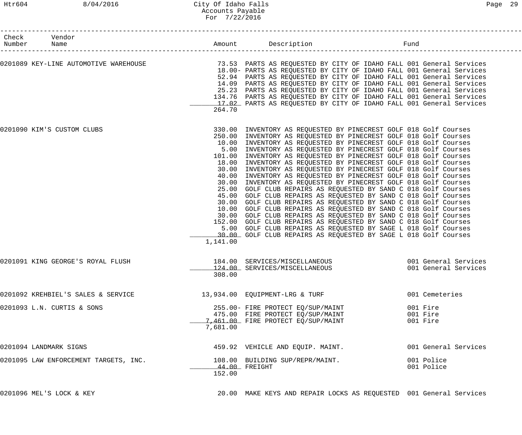| Check | Vendor<br>Number Name                 |          | Amount Description<br>--------------------------------                                                                                                                                                                                                                                                                                                                                                                                                                                                                                                                                                                                                                                                                                                                                                                                                                                                                                                                                                                                                                                                                                                                            | Fund |                                              |
|-------|---------------------------------------|----------|-----------------------------------------------------------------------------------------------------------------------------------------------------------------------------------------------------------------------------------------------------------------------------------------------------------------------------------------------------------------------------------------------------------------------------------------------------------------------------------------------------------------------------------------------------------------------------------------------------------------------------------------------------------------------------------------------------------------------------------------------------------------------------------------------------------------------------------------------------------------------------------------------------------------------------------------------------------------------------------------------------------------------------------------------------------------------------------------------------------------------------------------------------------------------------------|------|----------------------------------------------|
|       | 0201089 KEY-LINE AUTOMOTIVE WAREHOUSE | 264.70   | 73.53 PARTS AS REQUESTED BY CITY OF IDAHO FALL 001 General Services<br>18.00- PARTS AS REQUESTED BY CITY OF IDAHO FALL 001 General Services<br>52.94 PARTS AS REQUESTED BY CITY OF IDAHO FALL 001 General Services<br>14.09 PARTS AS REQUESTED BY CITY OF IDAHO FALL 001 General Services<br>25.23 PARTS AS REQUESTED BY CITY OF IDAHO FALL 001 General Services<br>134.76 PARTS AS REQUESTED BY CITY OF IDAHO FALL 001 General Services<br>17.02 PARTS AS REQUESTED BY CITY OF IDAHO FALL 001 General Services                                                                                                                                                                                                                                                                                                                                                                                                                                                                                                                                                                                                                                                                   |      |                                              |
|       | 0201090 KIM'S CUSTOM CLUBS            | 1,141.00 | 330.00 INVENTORY AS REQUESTED BY PINECREST GOLF 018 Golf Courses<br>250.00 INVENTORY AS REQUESTED BY PINECREST GOLF 018 Golf Courses<br>10.00 INVENTORY AS REQUESTED BY PINECREST GOLF 018 Golf Courses<br>5.00 INVENTORY AS REQUESTED BY PINECREST GOLF 018 Golf Courses<br>101.00 INVENTORY AS REQUESTED BY PINECREST GOLF 018 Golf Courses<br>18.00 INVENTORY AS REQUESTED BY PINECREST GOLF 018 Golf Courses<br>30.00 INVENTORY AS REQUESTED BY PINECREST GOLF 018 Golf Courses<br>40.00 INVENTORY AS REQUESTED BY PINECREST GOLF 018 Golf Courses<br>30.00 INVENTORY AS REQUESTED BY PINECREST GOLF 018 Golf Courses<br>25.00 GOLF CLUB REPAIRS AS REQUESTED BY SAND C 018 Golf Courses<br>45.00 GOLF CLUB REPAIRS AS REQUESTED BY SAND C 018 Golf Courses<br>30.00 GOLF CLUB REPAIRS AS REQUESTED BY SAND C 018 Golf Courses<br>10.00 GOLF CLUB REPAIRS AS REQUESTED BY SAND C 018 Golf Courses<br>30.00 GOLF CLUB REPAIRS AS REQUESTED BY SAND C 018 Golf Courses<br>152.00 GOLF CLUB REPAIRS AS REQUESTED BY SAND C 018 Golf Courses<br>5.00 GOLF CLUB REPAIRS AS REQUESTED BY SAGE L 018 Golf Courses<br>30.00 GOLF CLUB REPAIRS AS REQUESTED BY SAGE L 018 Golf Courses |      |                                              |
|       | 0201091 KING GEORGE'S ROYAL FLUSH     | 308.00   | 184.00 SERVICES/MISCELLANEOUS<br>124.00 SERVICES/MISCELLANEOUS                                                                                                                                                                                                                                                                                                                                                                                                                                                                                                                                                                                                                                                                                                                                                                                                                                                                                                                                                                                                                                                                                                                    |      | 001 General Services<br>001 General Services |
|       | 0201092 KREHBIEL'S SALES & SERVICE    |          | 13,934.00 EQUIPMENT-LRG & TURF                                                                                                                                                                                                                                                                                                                                                                                                                                                                                                                                                                                                                                                                                                                                                                                                                                                                                                                                                                                                                                                                                                                                                    |      | 001 Cemeteries                               |
|       | 0201093 L.N. CURTIS & SONS            | 7,681.00 | 255.00- FIRE PROTECT EQ/SUP/MAINT<br>475.00 FIRE PROTECT EQ/SUP/MAINT<br>7,461.00 FIRE PROTECT EQ/SUP/MAINT                                                                                                                                                                                                                                                                                                                                                                                                                                                                                                                                                                                                                                                                                                                                                                                                                                                                                                                                                                                                                                                                       |      | 001 Fire<br>001 Fire<br>001 Fire             |
|       | 0201094 LANDMARK SIGNS                |          | 459.92 VEHICLE AND EQUIP. MAINT.                                                                                                                                                                                                                                                                                                                                                                                                                                                                                                                                                                                                                                                                                                                                                                                                                                                                                                                                                                                                                                                                                                                                                  |      | 001 General Services                         |
|       | 0201095 LAW ENFORCEMENT TARGETS, INC. | 152.00   | 108.00 BUILDING SUP/REPR/MAINT.<br>44.00 FREIGHT                                                                                                                                                                                                                                                                                                                                                                                                                                                                                                                                                                                                                                                                                                                                                                                                                                                                                                                                                                                                                                                                                                                                  |      | 001 Police<br>001 Police                     |

0201096 MEL'S LOCK & KEY 20.00 MAKE KEYS AND REPAIR LOCKS AS REQUESTED 001 General Services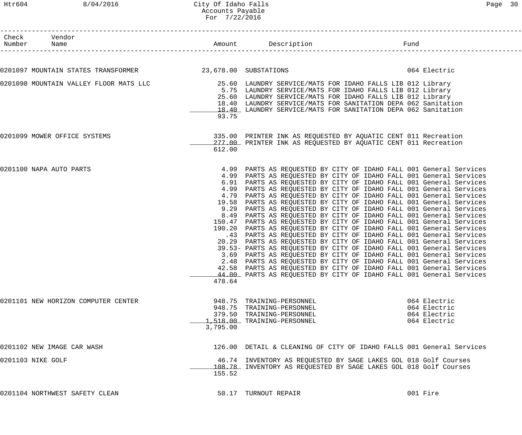| Check Vendor                        |                                                           |          | Number Name Fund                                                                                                                                                                                                                                                                                                                                                                                                                                                                                                                                                                                                                                                                                                                                                                                                                                                                                                                                                                                                                                                                                                                                                                                                                            |                                                              |
|-------------------------------------|-----------------------------------------------------------|----------|---------------------------------------------------------------------------------------------------------------------------------------------------------------------------------------------------------------------------------------------------------------------------------------------------------------------------------------------------------------------------------------------------------------------------------------------------------------------------------------------------------------------------------------------------------------------------------------------------------------------------------------------------------------------------------------------------------------------------------------------------------------------------------------------------------------------------------------------------------------------------------------------------------------------------------------------------------------------------------------------------------------------------------------------------------------------------------------------------------------------------------------------------------------------------------------------------------------------------------------------|--------------------------------------------------------------|
|                                     |                                                           |          |                                                                                                                                                                                                                                                                                                                                                                                                                                                                                                                                                                                                                                                                                                                                                                                                                                                                                                                                                                                                                                                                                                                                                                                                                                             |                                                              |
|                                     | 0201097 MOUNTAIN STATES TRANSFORMER 23,678.00 SUBSTATIONS |          |                                                                                                                                                                                                                                                                                                                                                                                                                                                                                                                                                                                                                                                                                                                                                                                                                                                                                                                                                                                                                                                                                                                                                                                                                                             | 064 Electric                                                 |
|                                     |                                                           | 93.75    | 0201098 MOUNTAIN VALLEY FLOOR MATS LLC 25.60 LAUNDRY SERVICE/MATS FOR IDAHO FALLS LIB 012 Library<br>5.75 LAUNDRY SERVICE/MATS FOR IDAHO FALLS LIB 012 Library<br>25.60 LAUNDRY SERVICE/MATS FOR IDAHO FALLS LIB 012 Library<br>18.40 LAUNDRY SERVICE/MATS FOR SANITATION DEPA 062 Sanitation<br>18.40 LAUNDRY SERVICE/MATS FOR SANITATION DEPA 062 Sanitation                                                                                                                                                                                                                                                                                                                                                                                                                                                                                                                                                                                                                                                                                                                                                                                                                                                                              |                                                              |
| 0201099 MOWER OFFICE SYSTEMS        |                                                           | 612.00   | 335.00 PRINTER INK AS REQUESTED BY AQUATIC CENT 011 Recreation<br>277.00 PRINTER INK AS REQUESTED BY AQUATIC CENT 011 Recreation                                                                                                                                                                                                                                                                                                                                                                                                                                                                                                                                                                                                                                                                                                                                                                                                                                                                                                                                                                                                                                                                                                            |                                                              |
| 0201100 NAPA AUTO PARTS             |                                                           | 478.64   | 4.99 PARTS AS REQUESTED BY CITY OF IDAHO FALL 001 General Services<br>4.99 PARTS AS REQUESTED BY CITY OF IDAHO FALL 001 General Services<br>6.91 PARTS AS REQUESTED BY CITY OF IDAHO FALL 001 General Services<br>4.99 PARTS AS REQUESTED BY CITY OF IDAHO FALL 001 General Services<br>4.79 PARTS AS REQUESTED BY CITY OF IDAHO FALL 001 General Services<br>19.58 PARTS AS REQUESTED BY CITY OF IDAHO FALL 001 General Services<br>9.29 PARTS AS REQUESTED BY CITY OF IDAHO FALL 001 General Services<br>8.49 PARTS AS REQUESTED BY CITY OF IDAHO FALL 001 General Services<br>150.47 PARTS AS REQUESTED BY CITY OF IDAHO FALL 001 General Services<br>190.20 PARTS AS REQUESTED BY CITY OF IDAHO FALL 001 General Services<br>.43 PARTS AS REQUESTED BY CITY OF IDAHO FALL 001 General Services<br>20.29 PARTS AS REQUESTED BY CITY OF IDAHO FALL 001 General Services<br>39.53- PARTS AS REQUESTED BY CITY OF IDAHO FALL 001 General Services<br>3.69 PARTS AS REQUESTED BY CITY OF IDAHO FALL 001 General Services<br>2.48 PARTS AS REQUESTED BY CITY OF IDAHO FALL 001 General Services<br>42.58 PARTS AS REQUESTED BY CITY OF IDAHO FALL 001 General Services<br>44.00 PARTS AS REQUESTED BY CITY OF IDAHO FALL 001 General Services |                                                              |
| 0201101 NEW HORIZON COMPUTER CENTER |                                                           | 3,795.00 | 948.75 TRAINING-PERSONNEL<br>948.75 TRAINING-PERSONNEL<br>379.50 TRAINING-PERSONNEL<br>1,518.00 TRAINING-PERSONNEL                                                                                                                                                                                                                                                                                                                                                                                                                                                                                                                                                                                                                                                                                                                                                                                                                                                                                                                                                                                                                                                                                                                          | 064 Electric<br>064 Electric<br>064 Electric<br>064 Electric |
| 0201102 NEW IMAGE CAR WASH          |                                                           |          | 126.00 DETAIL & CLEANING OF CITY OF IDAHO FALLS 001 General Services                                                                                                                                                                                                                                                                                                                                                                                                                                                                                                                                                                                                                                                                                                                                                                                                                                                                                                                                                                                                                                                                                                                                                                        |                                                              |
| 0201103 NIKE GOLF                   |                                                           | 155.52   | 46.74 INVENTORY AS REQUESTED BY SAGE LAKES GOL 018 Golf Courses<br>108.78 INVENTORY AS REQUESTED BY SAGE LAKES GOL 018 Golf Courses                                                                                                                                                                                                                                                                                                                                                                                                                                                                                                                                                                                                                                                                                                                                                                                                                                                                                                                                                                                                                                                                                                         |                                                              |
| 0201104 NORTHWEST SAFETY CLEAN      |                                                           |          | 50.17 TURNOUT REPAIR                                                                                                                                                                                                                                                                                                                                                                                                                                                                                                                                                                                                                                                                                                                                                                                                                                                                                                                                                                                                                                                                                                                                                                                                                        | 001 Fire                                                     |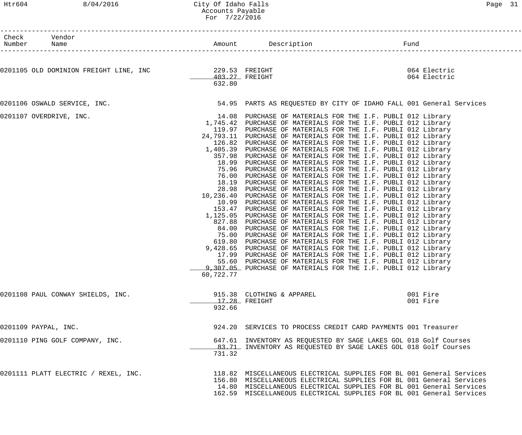### Htr604 8/04/2016 City Of Idaho Falls Page 31 Accounts Payable For 7/22/2016

| c<br><u>.</u> |  |
|---------------|--|
|---------------|--|

| Check Vendor<br>Number<br>Name                        |                          |                                                                                                                                                                                                                                                                                                                                                                                                                                                                                                                                                                                                                                                                                                                                                                                                                                                                                                                                                                                                                                                                                                                                                                                                                                                                                                                                                                                                                                                                                                                                                                           |                      |
|-------------------------------------------------------|--------------------------|---------------------------------------------------------------------------------------------------------------------------------------------------------------------------------------------------------------------------------------------------------------------------------------------------------------------------------------------------------------------------------------------------------------------------------------------------------------------------------------------------------------------------------------------------------------------------------------------------------------------------------------------------------------------------------------------------------------------------------------------------------------------------------------------------------------------------------------------------------------------------------------------------------------------------------------------------------------------------------------------------------------------------------------------------------------------------------------------------------------------------------------------------------------------------------------------------------------------------------------------------------------------------------------------------------------------------------------------------------------------------------------------------------------------------------------------------------------------------------------------------------------------------------------------------------------------------|----------------------|
|                                                       |                          |                                                                                                                                                                                                                                                                                                                                                                                                                                                                                                                                                                                                                                                                                                                                                                                                                                                                                                                                                                                                                                                                                                                                                                                                                                                                                                                                                                                                                                                                                                                                                                           | 064 Electric         |
| 0201105 OLD DOMINION FREIGHT LINE, INC 329.53 FREIGHT | 403.27 FREIGHT<br>632.80 |                                                                                                                                                                                                                                                                                                                                                                                                                                                                                                                                                                                                                                                                                                                                                                                                                                                                                                                                                                                                                                                                                                                                                                                                                                                                                                                                                                                                                                                                                                                                                                           | 064 Electric         |
| 0201106 OSWALD SERVICE, INC.                          |                          | 54.95 PARTS AS REQUESTED BY CITY OF IDAHO FALL 001 General Services                                                                                                                                                                                                                                                                                                                                                                                                                                                                                                                                                                                                                                                                                                                                                                                                                                                                                                                                                                                                                                                                                                                                                                                                                                                                                                                                                                                                                                                                                                       |                      |
| 0201107 OVERDRIVE, INC.                               | 60,722.77                | 14.08 PURCHASE OF MATERIALS FOR THE I.F. PUBLI 012 Library<br>1,745.42 PURCHASE OF MATERIALS FOR THE I.F. PUBLI 012 Library<br>119.97 PURCHASE OF MATERIALS FOR THE I.F. PUBLI 012 Library<br>24,793.11 PURCHASE OF MATERIALS FOR THE I.F. PUBLI 012 Library<br>126.82 PURCHASE OF MATERIALS FOR THE I.F. PUBLI 012 Library<br>1,405.39 PURCHASE OF MATERIALS FOR THE I.F. PUBLI 012 Library<br>357.98 PURCHASE OF MATERIALS FOR THE I.F. PUBLI 012 Library<br>18.99 PURCHASE OF MATERIALS FOR THE I.F. PUBLI 012 Library<br>75.96 PURCHASE OF MATERIALS FOR THE I.F. PUBLI 012 Library<br>76.00 PURCHASE OF MATERIALS FOR THE I.F. PUBLI 012 Library<br>18.19 PURCHASE OF MATERIALS FOR THE I.F. PUBLI 012 Library<br>28.98 PURCHASE OF MATERIALS FOR THE I.F. PUBLI 012 Library<br>10,236.40 PURCHASE OF MATERIALS FOR THE I.F. PUBLI 012 Library<br>10.99 PURCHASE OF MATERIALS FOR THE I.F. PUBLI 012 Library<br>153.47 PURCHASE OF MATERIALS FOR THE I.F. PUBLI 012 Library<br>1,125.05 PURCHASE OF MATERIALS FOR THE I.F. PUBLI 012 Library<br>827.88 PURCHASE OF MATERIALS FOR THE I.F. PUBLI 012 Library<br>84.00 PURCHASE OF MATERIALS FOR THE I.F. PUBLI 012 Library<br>75.00 PURCHASE OF MATERIALS FOR THE I.F. PUBLI 012 Library<br>619.80 PURCHASE OF MATERIALS FOR THE I.F. PUBLI 012 Library<br>9,428.65 PURCHASE OF MATERIALS FOR THE I.F. PUBLI 012 Library<br>17.99 PURCHASE OF MATERIALS FOR THE I.F. PUBLI 012 Library<br>55.60 PURCHASE OF MATERIALS FOR THE I.F. PUBLI 012 Library<br>9,307.05 PURCHASE OF MATERIALS FOR THE I.F. PUBLI 012 Library |                      |
| 0201108 PAUL CONWAY SHIELDS, INC.                     | 932.66                   | 915.38 CLOTHING & APPAREL<br>17.28 FREIGHT                                                                                                                                                                                                                                                                                                                                                                                                                                                                                                                                                                                                                                                                                                                                                                                                                                                                                                                                                                                                                                                                                                                                                                                                                                                                                                                                                                                                                                                                                                                                | 001 Fire<br>001 Fire |
| 0201109 PAYPAL, INC.                                  |                          | 924.20 SERVICES TO PROCESS CREDIT CARD PAYMENTS 001 Treasurer                                                                                                                                                                                                                                                                                                                                                                                                                                                                                                                                                                                                                                                                                                                                                                                                                                                                                                                                                                                                                                                                                                                                                                                                                                                                                                                                                                                                                                                                                                             |                      |
| 0201110 PING GOLF COMPANY, INC.                       | 731.32                   | 647.61 INVENTORY AS REQUESTED BY SAGE LAKES GOL 018 Golf Courses<br>83.71 INVENTORY AS REQUESTED BY SAGE LAKES GOL 018 Golf Courses                                                                                                                                                                                                                                                                                                                                                                                                                                                                                                                                                                                                                                                                                                                                                                                                                                                                                                                                                                                                                                                                                                                                                                                                                                                                                                                                                                                                                                       |                      |
| 0201111 PLATT ELECTRIC / REXEL, INC.                  |                          | 118.82 MISCELLANEOUS ELECTRICAL SUPPLIES FOR BL 001 General Services<br>156.80 MISCELLANEOUS ELECTRICAL SUPPLIES FOR BL 001 General Services<br>14.80 MISCELLANEOUS ELECTRICAL SUPPLIES FOR BL 001 General Services<br>162.59 MISCELLANEOUS ELECTRICAL SUPPLIES FOR BL 001 General Services                                                                                                                                                                                                                                                                                                                                                                                                                                                                                                                                                                                                                                                                                                                                                                                                                                                                                                                                                                                                                                                                                                                                                                                                                                                                               |                      |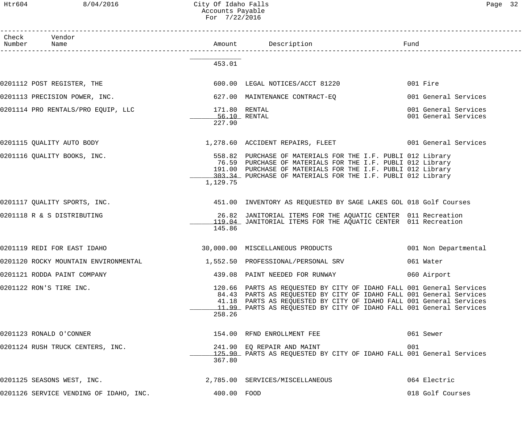Htr604 8/04/2016 City Of Idaho Falls Page 32 Accounts Payable For 7/22/2016

| Check Vendor<br>Number Name            |                                         |                                                                                                                                                                                                                                                                                           |                                              |
|----------------------------------------|-----------------------------------------|-------------------------------------------------------------------------------------------------------------------------------------------------------------------------------------------------------------------------------------------------------------------------------------------|----------------------------------------------|
|                                        | 453.01                                  |                                                                                                                                                                                                                                                                                           |                                              |
| 0201112 POST REGISTER, THE             |                                         | 600.00 LEGAL NOTICES/ACCT 81220                                                                                                                                                                                                                                                           | 001 Fire                                     |
| 0201113 PRECISION POWER, INC.          |                                         | 627.00 MAINTENANCE CONTRACT-EQ                                                                                                                                                                                                                                                            | 001 General Services                         |
| 0201114 PRO RENTALS/PRO EQUIP, LLC     | 171.80 RENTAL<br>56.10 RENTAL<br>227.90 |                                                                                                                                                                                                                                                                                           | 001 General Services<br>001 General Services |
| 0201115 QUALITY AUTO BODY              |                                         | 1,278.60 ACCIDENT REPAIRS, FLEET 6001 General Services                                                                                                                                                                                                                                    |                                              |
| 0201116 QUALITY BOOKS, INC.            | 1,129.75                                | 558.82 PURCHASE OF MATERIALS FOR THE I.F. PUBLI 012 Library<br>76.59 PURCHASE OF MATERIALS FOR THE I.F. PUBLI 012 Library<br>191.00 PURCHASE OF MATERIALS FOR THE I.F. PUBLI 012 Library<br>103.34 PURCHASE OF MATERIALS FOR THE I.F. PUBLI 012 Library                                   |                                              |
| 0201117 QUALITY SPORTS, INC.           |                                         | 451.00 INVENTORY AS REQUESTED BY SAGE LAKES GOL 018 Golf Courses                                                                                                                                                                                                                          |                                              |
| 0201118 R & S DISTRIBUTING             | 145.86                                  | 26.82 JANITORIAL ITEMS FOR THE AQUATIC CENTER 011 Recreation<br>119.04 JANITORIAL ITEMS FOR THE AQUATIC CENTER 011 Recreation                                                                                                                                                             |                                              |
| 0201119 REDI FOR EAST IDAHO            |                                         | 30,000.00 MISCELLANEOUS PRODUCTS                                                                                                                                                                                                                                                          | 001 Non Departmental                         |
| 0201120 ROCKY MOUNTAIN ENVIRONMENTAL   |                                         | 1,552.50 PROFESSIONAL/PERSONAL SRV                                                                                                                                                                                                                                                        | 061 Water                                    |
| 0201121 RODDA PAINT COMPANY            |                                         | 439.08 PAINT NEEDED FOR RUNWAY                                                                                                                                                                                                                                                            | 060 Airport                                  |
| 0201122 RON'S TIRE INC.                | 258.26                                  | 120.66 PARTS AS REQUESTED BY CITY OF IDAHO FALL 001 General Services<br>84.43 PARTS AS REQUESTED BY CITY OF IDAHO FALL 001 General Services<br>41.18 PARTS AS REQUESTED BY CITY OF IDAHO FALL 001 General Services<br>11.99 PARTS AS REQUESTED BY CITY OF IDAHO FALL 001 General Services |                                              |
| 0201123 RONALD O'CONNER                |                                         | 154.00 RFND ENROLLMENT FEE                                                                                                                                                                                                                                                                | 061 Sewer                                    |
| 0201124 RUSH TRUCK CENTERS, INC.       | 367.80                                  | 241.90 EQ REPAIR AND MAINT<br>125.90 PARTS AS REQUESTED BY CITY OF IDAHO FALL 001 General Services                                                                                                                                                                                        | 001                                          |
| 0201125 SEASONS WEST, INC.             |                                         | 2,785.00 SERVICES/MISCELLANEOUS                                                                                                                                                                                                                                                           | 064 Electric                                 |
| 0201126 SERVICE VENDING OF IDAHO, INC. | 400.00 FOOD                             |                                                                                                                                                                                                                                                                                           | 018 Golf Courses                             |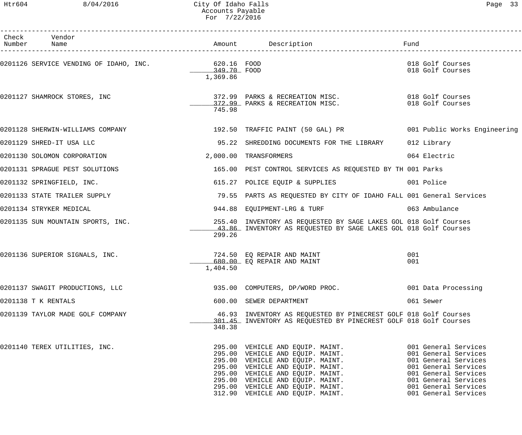### Htr604 8/04/2016 City Of Idaho Falls Page 33 Accounts Payable For 7/22/2016

| Check Vendor<br>Number Name                        |                         |                                                                                                                                                                                                                                        |                                      |
|----------------------------------------------------|-------------------------|----------------------------------------------------------------------------------------------------------------------------------------------------------------------------------------------------------------------------------------|--------------------------------------|
| 0201126 SERVICE VENDING OF IDAHO, INC. 620.16 FOOD | 349.70 FOOD<br>1,369.86 |                                                                                                                                                                                                                                        | 018 Golf Courses<br>018 Golf Courses |
| 0201127 SHAMROCK STORES, INC                       | 745.98                  |                                                                                                                                                                                                                                        |                                      |
|                                                    |                         | 0201128 SHERWIN-WILLIAMS COMPANY                     192.50  TRAFFIC PAINT (50 GAL) PR               001 Public Works Engineering                                                                                                      |                                      |
| 0201129 SHRED-IT USA LLC                           |                         | 95.22 SHREDDING DOCUMENTS FOR THE LIBRARY 012 Library                                                                                                                                                                                  |                                      |
| 0201130 SOLOMON CORPORATION                        |                         | 2,000.00 TRANSFORMERS                                                                                                                                                                                                                  | 064 Electric                         |
| 0201131 SPRAGUE PEST SOLUTIONS                     |                         | 165.00 PEST CONTROL SERVICES AS REQUESTED BY TH 001 Parks                                                                                                                                                                              |                                      |
| 0201132 SPRINGFIELD, INC.                          |                         | 615.27 POLICE EQUIP & SUPPLIES 001 Police                                                                                                                                                                                              |                                      |
| 0201133 STATE TRAILER SUPPLY                       |                         | 79.55 PARTS AS REQUESTED BY CITY OF IDAHO FALL 001 General Services                                                                                                                                                                    |                                      |
| 0201134 STRYKER MEDICAL                            |                         | 944.88 EQUIPMENT-LRG & TURF                                                                                                                                                                                                            | 063 Ambulance                        |
| 0201135 SUN MOUNTAIN SPORTS, INC.                  | 299.26                  | 255.40 INVENTORY AS REQUESTED BY SAGE LAKES GOL 018 Golf Courses<br>43.86 INVENTORY AS REQUESTED BY SAGE LAKES GOL 018 Golf Courses                                                                                                    |                                      |
| 0201136 SUPERIOR SIGNALS, INC.                     | 1,404.50                | 724.50 EQ REPAIR AND MAINT<br>680.00 EQ REPAIR AND MAINT                                                                                                                                                                               | 001<br>001                           |
| 0201137 SWAGIT PRODUCTIONS, LLC                    |                         | 935.00 COMPUTERS, DP/WORD PROC.                                                                                                                                                                                                        | 001 Data Processing                  |
| 0201138 T K RENTALS                                |                         | 600.00 SEWER DEPARTMENT                                                                                                                                                                                                                | 061 Sewer                            |
| 0201139 TAYLOR MADE GOLF COMPANY                   | 348.38                  | 46.93 INVENTORY AS REQUESTED BY PINECREST GOLF 018 Golf Courses<br>301.45 INVENTORY AS REQUESTED BY PINECREST GOLF 018 Golf Courses                                                                                                    |                                      |
| 0201140 TEREX UTILITIES, INC.                      |                         | 995.00 VEHICLE AND EQUIP. MAINT. 001 General Services<br>295.00 VEHICLE AND EQUIP. MAINT. 001 General Services<br>295.00 VEHICLE AND EQUIP. MAINT. 001 General Services<br>295.00 VEHICLE AND EQUIP. MAINT. 001 General Services<br>29 |                                      |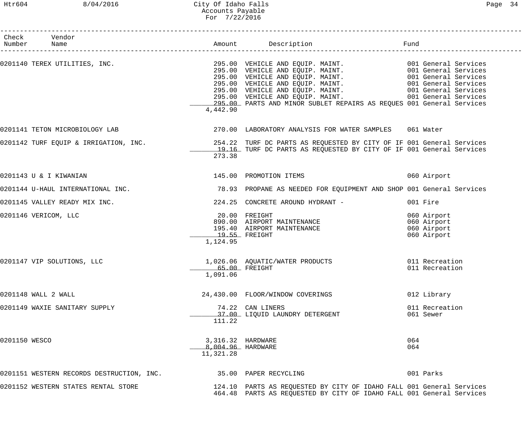### Htr604 8/04/2016 City Of Idaho Falls Page 34 Accounts Payable For 7/22/2016

|               | Check Vendor<br>Number Name               |                                                     |                                                                                                                                                                                                                                                                                                               |                                                          |
|---------------|-------------------------------------------|-----------------------------------------------------|---------------------------------------------------------------------------------------------------------------------------------------------------------------------------------------------------------------------------------------------------------------------------------------------------------------|----------------------------------------------------------|
|               |                                           | 4,442.90                                            | 0201140 TEREX UTILITIES, INC.<br>295.00 VEHICLE AND EQUIP. MAINT. 001 General Services<br>295.00 VEHICLE AND EQUIP. MAINT. 001 General Services<br>295.00 VEHICLE AND EQUIP. MAINT. 001 General Services<br>295.00 VEHICLE AND EQUIP.<br>295.00 PARTS AND MINOR SUBLET REPAIRS AS REQUES 001 General Services |                                                          |
|               |                                           |                                                     | 0201141 TETON MICROBIOLOGY LAB 370.00 LABORATORY ANALYSIS FOR WATER SAMPLES 061 Water                                                                                                                                                                                                                         |                                                          |
|               |                                           | 273.38                                              | 0201142 TURF EQUIP & IRRIGATION, INC. 4 . 254.22 TURF DC PARTS AS REQUESTED BY CITY OF IF 001 General Services<br>19.16 TURF DC PARTS AS REQUESTED BY CITY OF IF 001 General Services                                                                                                                         |                                                          |
|               | 0201143 U & I KIWANIAN                    |                                                     | 145.00 PROMOTION ITEMS                                                                                                                                                                                                                                                                                        | 060 Airport                                              |
|               |                                           |                                                     | 0201144 U-HAUL INTERNATIONAL INC. 2007 18.93 PROPANE AS NEEDED FOR EQUIPMENT AND SHOP 001 General Services                                                                                                                                                                                                    |                                                          |
|               | 0201145 VALLEY READY MIX INC.             |                                                     | 224.25 CONCRETE AROUND HYDRANT -                                                                                                                                                                                                                                                                              | 001 Fire                                                 |
|               | 0201146 VERICOM, LLC                      | $19.55$ FREIGHT<br>1,124.95                         | 20.00 FREIGHT<br>890.00 AIRPORT MAINTENANCE<br>195.40 AIRPORT MAINTENANCE<br>1955 EDELGUE                                                                                                                                                                                                                     | 060 Airport<br>060 Airport<br>060 Airport<br>060 Airport |
|               | 0201147 VIP SOLUTIONS, LLC                | 65.00 FREIGHT<br>1,091.06                           | 1,026.06 AQUATIC/WATER PRODUCTS                                                                                                                                                                                                                                                                               | 011 Recreation<br>011 Recreation                         |
|               | 0201148 WALL 2 WALL                       |                                                     | 24,430.00 FLOOR/WINDOW COVERINGS                                                                                                                                                                                                                                                                              | 012 Library                                              |
|               | 0201149 WAXIE SANITARY SUPPLY             | 111.22                                              | 74.22 CAN LINERS<br>37.00 LIQUID LAUNDRY DETERGENT                                                                                                                                                                                                                                                            | 011 Recreation<br>061 Sewer                              |
| 0201150 WESCO |                                           | 3,316.32 HARDWARE<br>8,004.96 HARDWARE<br>11,321.28 |                                                                                                                                                                                                                                                                                                               | 064<br>064                                               |
|               | 0201151 WESTERN RECORDS DESTRUCTION, INC. |                                                     | 35.00 PAPER RECYCLING                                                                                                                                                                                                                                                                                         | 001 Parks                                                |
|               | 0201152 WESTERN STATES RENTAL STORE       |                                                     | 124.10 PARTS AS REQUESTED BY CITY OF IDAHO FALL 001 General Services<br>464.48 PARTS AS REQUESTED BY CITY OF IDAHO FALL 001 General Services                                                                                                                                                                  |                                                          |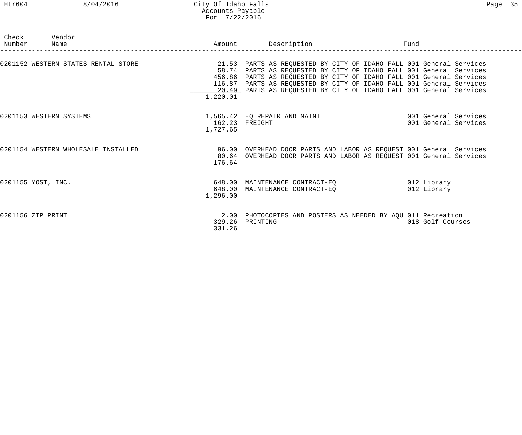|                   | Check Vendor<br>Number Name         |                            | Amount Description                                                                                                                                                                                                                                                                                                                                                 | Fund                                         |  |
|-------------------|-------------------------------------|----------------------------|--------------------------------------------------------------------------------------------------------------------------------------------------------------------------------------------------------------------------------------------------------------------------------------------------------------------------------------------------------------------|----------------------------------------------|--|
|                   | 0201152 WESTERN STATES RENTAL STORE | 1,220.01                   | 21.53- PARTS AS REQUESTED BY CITY OF IDAHO FALL 001 General Services<br>58.74 PARTS AS REQUESTED BY CITY OF IDAHO FALL 001 General Services<br>456.86 PARTS AS REQUESTED BY CITY OF IDAHO FALL 001 General Services<br>116.87 PARTS AS REQUESTED BY CITY OF IDAHO FALL 001 General Services<br>20.49 PARTS AS REQUESTED BY CITY OF IDAHO FALL 001 General Services |                                              |  |
|                   | 0201153 WESTERN SYSTEMS             | 162.23 FREIGHT<br>1,727.65 | 1,565.42 EQ REPAIR AND MAINT                                                                                                                                                                                                                                                                                                                                       | 001 General Services<br>001 General Services |  |
|                   | 0201154 WESTERN WHOLESALE INSTALLED | 176.64                     | 96.00 OVERHEAD DOOR PARTS AND LABOR AS REQUEST 001 General Services<br>80.64 OVERHEAD DOOR PARTS AND LABOR AS REQUEST 001 General Services                                                                                                                                                                                                                         |                                              |  |
|                   | 0201155 YOST, INC.                  | 1,296.00                   | 648.00 MAINTENANCE CONTRACT-EQ<br>648.00 MAINTENANCE CONTRACT-EO                                                                                                                                                                                                                                                                                                   | 012 Library<br>012 Library                   |  |
| 0201156 ZIP PRINT |                                     | 331.26                     | 2.00 PHOTOCOPIES AND POSTERS AS NEEDED BY AQU 011 Recreation<br>329.26 PRINTING                                                                                                                                                                                                                                                                                    | 018 Golf Courses                             |  |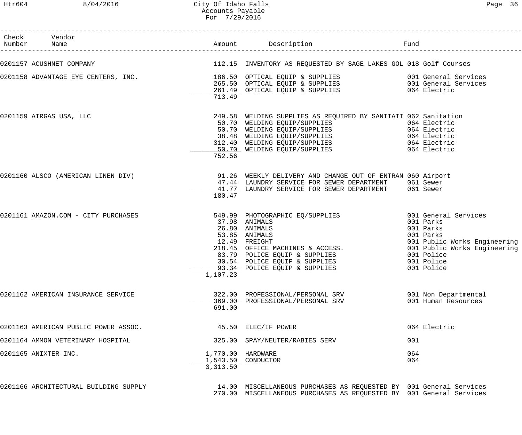### Htr604 8/04/2016 City Of Idaho Falls Page 36 Accounts Payable For 7/29/2016

| Check Vendor<br>Number Name           |          |                                                                                                                                                                                                                                                                                                                | Fund                                        |
|---------------------------------------|----------|----------------------------------------------------------------------------------------------------------------------------------------------------------------------------------------------------------------------------------------------------------------------------------------------------------------|---------------------------------------------|
|                                       |          | 0201157 ACUSHNET COMPANY COMPANY COMPANY COMPANY COMPANY AS REQUESTED BY SAGE LAKES GOL 018 Golf Courses                                                                                                                                                                                                       |                                             |
|                                       | 713.49   |                                                                                                                                                                                                                                                                                                                |                                             |
| 0201159 AIRGAS USA, LLC               | 752.56   | 249.58 WELDING SUPPLIES AS REQUIRED BY SANITATI 062 Sanitation<br>EXECUTE CONFIDENT CONTROLLER<br>SO.70 WELDING EQUIP/SUPPLIES<br>38.48 WELDING EQUIP/SUPPLIES<br>312.40 WELDING EQUIP/SUPPLIES<br>50.70 WELDING EQUIP/SUPPLIES<br>312.40 WELDING EQUIP/SUPPLIES<br>50.70 WELDING EQUIP/SUPPLIES<br>50.70 WELD |                                             |
|                                       | 180.47   | 0201160 ALSCO (AMERICAN LINEN DIV) 31.26 WEEKLY DELIVERY AND CHANGE OUT OF ENTRAN 060 Airport<br>47.44 LAUNDRY SERVICE FOR SEWER DEPARTMENT 061 Sewer<br>41.77 LAUNDRY SERVICE FOR SEWER DEPARTMENT 061 Sewer                                                                                                  |                                             |
| 0201161 AMAZON.COM - CITY PURCHASES   | 1,107.23 | 549.99 PHOTOGRAPHIC EQ/SUPPLIES 001 General Services<br>37.98 ANIMALS<br>26.80 ANIMALS<br>12.49 FREIGHT<br>218.45 OFFICE MACHINES & ACCESS.<br>83.79 POLICE EQUIP & SUPPLIES<br>30.54 POLICE EQUIP & SUPPLIES<br>93.34 POLICE EQUIP & SUPPLIES<br>107.23<br>30.54 POLICE EQUIP & SUPPLIES<br>107.23            | 001 Parks<br>001 Parks                      |
| 0201162 AMERICAN INSURANCE SERVICE    | 691.00   | 322.00 PROFESSIONAL/PERSONAL SRV<br>369.00 PROFESSIONAL/PERSONAL SRV                                                                                                                                                                                                                                           | 001 Non Departmental<br>001 Human Resources |
| 0201163 AMERICAN PUBLIC POWER ASSOC.  |          | 45.50 ELEC/IF POWER                                                                                                                                                                                                                                                                                            | 064 Electric                                |
| 0201164 AMMON VETERINARY HOSPITAL     |          | 325.00 SPAY/NEUTER/RABIES SERV                                                                                                                                                                                                                                                                                 | 001                                         |
| 0201165 ANIXTER INC.                  | 3,313.50 | 1,770.00 HARDWARE<br>1,543.50 CONDUCTOR                                                                                                                                                                                                                                                                        | 064<br>064                                  |
| 0201166 ARCHITECTURAL BUILDING SUPPLY |          | 14.00 MISCELLANEOUS PURCHASES AS REQUESTED BY 001 General Services<br>270.00 MISCELLANEOUS PURCHASES AS REQUESTED BY 001 General Services                                                                                                                                                                      |                                             |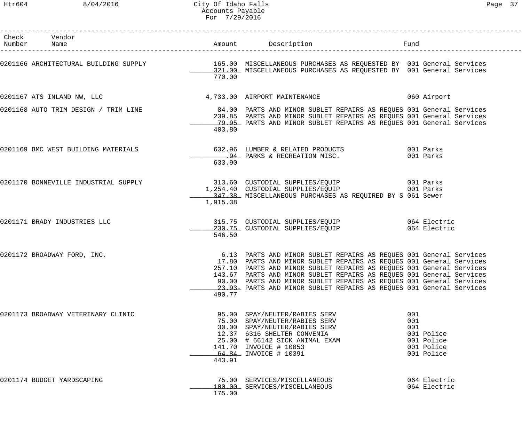## Htr604 8/04/2016 City Of Idaho Falls Page 37 Accounts Payable For 7/29/2016

| Check Vendor<br>Number Name |                                     |          |                                                                                                                                                                                                                                                                                                                                                                                                                                          | Fund                                                                      |
|-----------------------------|-------------------------------------|----------|------------------------------------------------------------------------------------------------------------------------------------------------------------------------------------------------------------------------------------------------------------------------------------------------------------------------------------------------------------------------------------------------------------------------------------------|---------------------------------------------------------------------------|
|                             |                                     | 770.00   | 0201166 ARCHITECTURAL BUILDING SUPPLY 165.00 MISCELLANEOUS PURCHASES AS REQUESTED BY 001 General Services<br>121.00 MISCELLANEOUS PURCHASES AS REQUESTED BY 001 General Services                                                                                                                                                                                                                                                         |                                                                           |
|                             |                                     |          | 0201167 ATS INLAND NW, LLC 30 CONTROLL 4, 733.00 AIRPORT MAINTENANCE 300 CONTROLL 060 Airport                                                                                                                                                                                                                                                                                                                                            |                                                                           |
|                             |                                     | 403.80   | 0201168 AUTO TRIM DESIGN / TRIM LINE 34.00 PARTS AND MINOR SUBLET REPAIRS AS REQUES 001 General Services<br>239.85 PARTS AND MINOR SUBLET REPAIRS AS REQUES 001 General Services<br>79.95 PARTS AND MINOR SUBLET REPAIRS AS REQUES 001 General Services                                                                                                                                                                                  |                                                                           |
|                             | 0201169 BMC WEST BUILDING MATERIALS | 633.90   | 632.96 LUMBER & RELATED PRODUCTS 632.96 LUMBER & RELATED PRODUCTS<br><u>_______94</u> PARKS & RECREATION MISC.                                     001 Parks                                                                                                                                                                                                                                                                             |                                                                           |
|                             |                                     | 1,915.38 | 0201170 BONNEVILLE INDUSTRIAL SUPPLY 313.60 CUSTODIAL SUPPLIES/EQUIP 001 Parks<br>1,254.40 CUSTODIAL SUPPLIES/EQUIP 001 Parks<br>347.38 MISCELLANEOUS PURCHASES AS REQUIRED BY S 061 Sewer                                                                                                                                                                                                                                               |                                                                           |
|                             | 0201171 BRADY INDUSTRIES LLC        | 546.50   | 315.75 CUSTODIAL SUPPLIES/EQUIP 664 Electric<br>230.75 CUSTODIAL SUPPLIES/EQUIP 064 Electric                                                                                                                                                                                                                                                                                                                                             |                                                                           |
|                             | 0201172 BROADWAY FORD, INC.         | 490.77   | 6.13 PARTS AND MINOR SUBLET REPAIRS AS REQUES 001 General Services<br>17.80 PARTS AND MINOR SUBLET REPAIRS AS REQUES 001 General Services<br>257.10 PARTS AND MINOR SUBLET REPAIRS AS REQUES 001 General Services<br>143.67 PARTS AND MINOR SUBLET REPAIRS AS REQUES 001 General Services<br>90.00 PARTS AND MINOR SUBLET REPAIRS AS REQUES 001 General Services<br>23.93- PARTS AND MINOR SUBLET REPAIRS AS REQUES 001 General Services |                                                                           |
|                             | 0201173 BROADWAY VETERINARY CLINIC  | 443.91   | 95.00 SPAY/NEUTER/RABIES SERV<br>75.00 SPAY/NEUTER/RABIES SERV<br>30.00 SPAY/NEUTER/RABIES SERV<br>12.37 6316 SHELTER CONVENIA<br>25.00 # 66142 SICK ANIMAL EXAM<br>141.70 INVOICE # 10053<br>64.84 INVOICE # 10391                                                                                                                                                                                                                      | 001<br>001<br>001<br>001 Police<br>001 Police<br>001 Police<br>001 Police |
| 0201174 BUDGET YARDSCAPING  |                                     | 175.00   | 75.00 SERVICES/MISCELLANEOUS<br>100.00 SERVICES/MISCELLANEOUS                                                                                                                                                                                                                                                                                                                                                                            | 064 Electric<br>064 Electric                                              |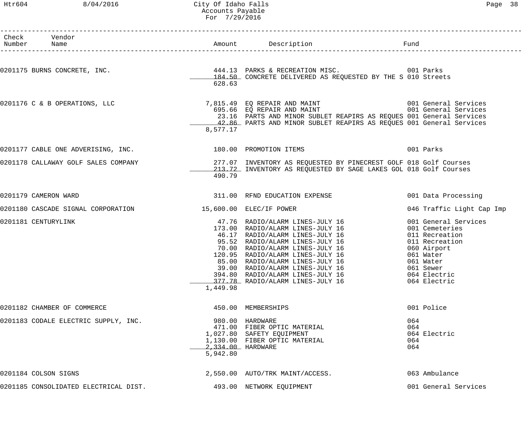# Htr604 8/04/2016 City Of Idaho Falls Page 38 Accounts Payable For 7/29/2016

| Check Vendor<br>Number Name |                                                               |                         | Amount Description <b>Example 1</b> Fund                                                                                                                                                                                                                                                                           |                                                                                                                           |
|-----------------------------|---------------------------------------------------------------|-------------------------|--------------------------------------------------------------------------------------------------------------------------------------------------------------------------------------------------------------------------------------------------------------------------------------------------------------------|---------------------------------------------------------------------------------------------------------------------------|
|                             |                                                               |                         |                                                                                                                                                                                                                                                                                                                    |                                                                                                                           |
|                             |                                                               | 628.63                  | 0201175 BURNS CONCRETE, INC. 444.13 PARKS & RECREATION MISC. 001 Parks 6 01 Parks<br>184.50 CONCRETE DELIVERED AS REQUESTED BY THE S 010 Streets                                                                                                                                                                   |                                                                                                                           |
|                             | 0201176 C & B OPERATIONS, LLC                                 | 8,577.17                | 23.16 PARTS AND MINOR SUBLET REAPIRS AS REQUES 001 General Services<br>42.86 PARTS AND MINOR SUBLET REAPIRS AS REQUES 001 General Services                                                                                                                                                                         |                                                                                                                           |
|                             | 0201177 CABLE ONE ADVERISING, INC. 480 180.00 PROMOTION ITEMS |                         |                                                                                                                                                                                                                                                                                                                    | 001 Parks                                                                                                                 |
|                             | 0201178 CALLAWAY GOLF SALES COMPANY                           | 490.79                  | 277.07 INVENTORY AS REQUESTED BY PINECREST GOLF 018 Golf Courses<br>213.72 INVENTORY AS REQUESTED BY SAGE LAKES GOL 018 Golf Courses                                                                                                                                                                               |                                                                                                                           |
| 0201179 CAMERON WARD        |                                                               |                         | 311.00 RFND EDUCATION EXPENSE                                                                                                                                                                                                                                                                                      | 001 Data Processing                                                                                                       |
|                             | 0201180 CASCADE SIGNAL CORPORATION                            | 15,600.00 ELEC/IF POWER |                                                                                                                                                                                                                                                                                                                    | 046 Traffic Light Cap Imp                                                                                                 |
| 0201181 CENTURYLINK         |                                                               | 1,449.98                | 47.76 RADIO/ALARM LINES-JULY 16<br>173.00 RADIO/ALARM LINES-JULY 16<br>46.17 RADIO/ALARM LINES-JULY 16<br>95.52 RADIO/ALARM LINES-JULY 16<br>70.00 RADIO/ALARM LINES-JULY 16<br>120.95 RADIO/ALARM LINES-JULY 16<br>85.00 RADIO/ALARM LINE<br>394.80 RADIO/ALARM LINES-JULY 16<br>377.78 RADIO/ALARM LINES-JULY 16 | 001 General Services<br>001 Cemeteries<br>011 Recreation<br>011 Recreation<br>060 Airport<br>064 Electric<br>064 Electric |
|                             | 0201182 CHAMBER OF COMMERCE                                   |                         | 450.00 MEMBERSHIPS                                                                                                                                                                                                                                                                                                 | 001 Police                                                                                                                |
|                             | 0201183 CODALE ELECTRIC SUPPLY, INC.                          | 5,942.80                | 980.00 HARDWARE<br>471.00 FIBER OPTIC MATERIAL<br>1,027.80 SAFETY EQUIPMENT<br>1,130.00 FIBER OPTIC MATERIAL<br>2,334.00 HARDWARE                                                                                                                                                                                  | 064<br>064<br>064 Electric<br>064<br>064                                                                                  |
| 0201184 COLSON SIGNS        |                                                               |                         | 2,550.00 AUTO/TRK MAINT/ACCESS.                                                                                                                                                                                                                                                                                    | 063 Ambulance                                                                                                             |
|                             | 0201185 CONSOLIDATED ELECTRICAL DIST.                         |                         | 493.00 NETWORK EQUIPMENT                                                                                                                                                                                                                                                                                           | 001 General Services                                                                                                      |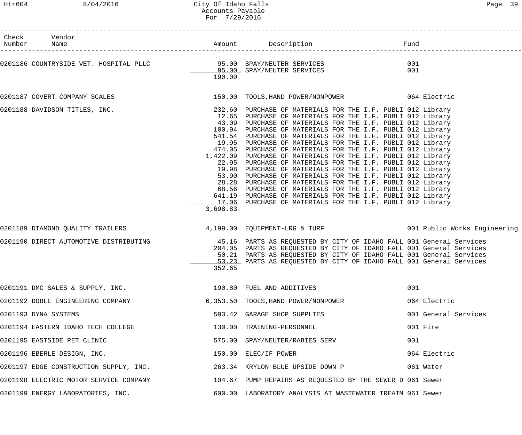# Htr604 8/04/2016 City Of Idaho Falls Page 39 Accounts Payable For 7/29/2016

------------------------------------------------------------------------------------------------------------------------------------

| Check<br>Number | Vendor<br>Name                                                                                           |          | Amount Description                                                                                                                                                                                                                                                                                                                                                                                                                                                                                                                                                                                                                                                                                                                                                                                                                                                                                                                                                     | Fund       |                      |
|-----------------|----------------------------------------------------------------------------------------------------------|----------|------------------------------------------------------------------------------------------------------------------------------------------------------------------------------------------------------------------------------------------------------------------------------------------------------------------------------------------------------------------------------------------------------------------------------------------------------------------------------------------------------------------------------------------------------------------------------------------------------------------------------------------------------------------------------------------------------------------------------------------------------------------------------------------------------------------------------------------------------------------------------------------------------------------------------------------------------------------------|------------|----------------------|
|                 | 0201186 COUNTRYSIDE VET. HOSPITAL PLLC          95.00 SPAY/NEUTER SERVICES<br>95.00 SPAY/NEUTER SERVICES | 190.00   |                                                                                                                                                                                                                                                                                                                                                                                                                                                                                                                                                                                                                                                                                                                                                                                                                                                                                                                                                                        | 001<br>001 |                      |
|                 | 0201187 COVERT COMPANY SCALES                                                                            |          | 150.00 TOOLS, HAND POWER/NONPOWER 064 Electric                                                                                                                                                                                                                                                                                                                                                                                                                                                                                                                                                                                                                                                                                                                                                                                                                                                                                                                         |            |                      |
|                 | 0201188 DAVIDSON TITLES, INC.                                                                            | 3,698.83 | 232.60 PURCHASE OF MATERIALS FOR THE I.F. PUBLI 012 Library<br>12.65 PURCHASE OF MATERIALS FOR THE I.F. PUBLI 012 Library<br>43.09 PURCHASE OF MATERIALS FOR THE I.F. PUBLI 012 Library<br>100.94 PURCHASE OF MATERIALS FOR THE I.F. PUBLI 012 Library<br>541.54 PURCHASE OF MATERIALS FOR THE I.F. PUBLI 012 Library<br>19.95 PURCHASE OF MATERIALS FOR THE I.F. PUBLI 012 Library<br>474.05 PURCHASE OF MATERIALS FOR THE I.F. PUBLI 012 Library<br>1,422.09 PURCHASE OF MATERIALS FOR THE I.F. PUBLI 012 Library<br>22.95 PURCHASE OF MATERIALS FOR THE I.F. PUBLI 012 Library<br>19.98 PURCHASE OF MATERIALS FOR THE I.F. PUBLI 012 Library<br>53.90 PURCHASE OF MATERIALS FOR THE I.F. PUBLI 012 Library<br>28.28 PURCHASE OF MATERIALS FOR THE I.F. PUBLI 012 Library<br>68.56 PURCHASE OF MATERIALS FOR THE I.F. PUBLI 012 Library<br>641.19 PURCHASE OF MATERIALS FOR THE I.F. PUBLI 012 Library<br>17.06 PURCHASE OF MATERIALS FOR THE I.F. PUBLI 012 Library |            |                      |
|                 | 0201189 DIAMOND QUALITY TRAILERS                                                                         |          | 4,199.00 EQUIPMENT-LRG & TURF 6 001 Public Works Engineering                                                                                                                                                                                                                                                                                                                                                                                                                                                                                                                                                                                                                                                                                                                                                                                                                                                                                                           |            |                      |
|                 | 0201190 DIRECT AUTOMOTIVE DISTRIBUTING                                                                   | 352.65   | 45.16 PARTS AS REQUESTED BY CITY OF IDAHO FALL 001 General Services<br>204.05 PARTS AS REQUESTED BY CITY OF IDAHO FALL 001 General Services<br>50.21 PARTS AS REQUESTED BY CITY OF IDAHO FALL 001 General Services<br>53.23 PARTS AS REQUESTED BY CITY OF IDAHO FALL 001 General Services                                                                                                                                                                                                                                                                                                                                                                                                                                                                                                                                                                                                                                                                              |            |                      |
|                 | 0201191 DMC SALES & SUPPLY, INC. 2001000 190.80 FUEL AND ADDITIVES                                       |          |                                                                                                                                                                                                                                                                                                                                                                                                                                                                                                                                                                                                                                                                                                                                                                                                                                                                                                                                                                        | 001        |                      |
|                 | 0201192 DOBLE ENGINEERING COMPANY                                                                        |          | 6,353.50 TOOLS, HAND POWER/NONPOWER                                                                                                                                                                                                                                                                                                                                                                                                                                                                                                                                                                                                                                                                                                                                                                                                                                                                                                                                    |            | 064 Electric         |
|                 | 0201193 DYNA SYSTEMS                                                                                     |          | 593.42 GARAGE SHOP SUPPLIES                                                                                                                                                                                                                                                                                                                                                                                                                                                                                                                                                                                                                                                                                                                                                                                                                                                                                                                                            |            | 001 General Services |
|                 | 0201194 EASTERN IDAHO TECH COLLEGE                                                                       |          | 130.00 TRAINING-PERSONNEL                                                                                                                                                                                                                                                                                                                                                                                                                                                                                                                                                                                                                                                                                                                                                                                                                                                                                                                                              |            | 001 Fire             |
|                 | 0201195 EASTSIDE PET CLINIC                                                                              |          | 575.00 SPAY/NEUTER/RABIES SERV                                                                                                                                                                                                                                                                                                                                                                                                                                                                                                                                                                                                                                                                                                                                                                                                                                                                                                                                         | 001        |                      |
|                 | 0201196 EBERLE DESIGN, INC.                                                                              |          | 150.00 ELEC/IF POWER                                                                                                                                                                                                                                                                                                                                                                                                                                                                                                                                                                                                                                                                                                                                                                                                                                                                                                                                                   |            | 064 Electric         |
|                 | 0201197 EDGE CONSTRUCTION SUPPLY, INC. 263.34 KRYLON BLUE UPSIDE DOWN P                                  |          |                                                                                                                                                                                                                                                                                                                                                                                                                                                                                                                                                                                                                                                                                                                                                                                                                                                                                                                                                                        |            | 061 Water            |
|                 | 0201198 ELECTRIC MOTOR SERVICE COMPANY 104.67 PUMP REPAIRS AS REQUESTED BY THE SEWER D 061 Sewer         |          |                                                                                                                                                                                                                                                                                                                                                                                                                                                                                                                                                                                                                                                                                                                                                                                                                                                                                                                                                                        |            |                      |
|                 | 0201199 ENERGY LABORATORIES, INC.                                                                        |          | 600.00 LABORATORY ANALYSIS AT WASTEWATER TREATM 061 Sewer                                                                                                                                                                                                                                                                                                                                                                                                                                                                                                                                                                                                                                                                                                                                                                                                                                                                                                              |            |                      |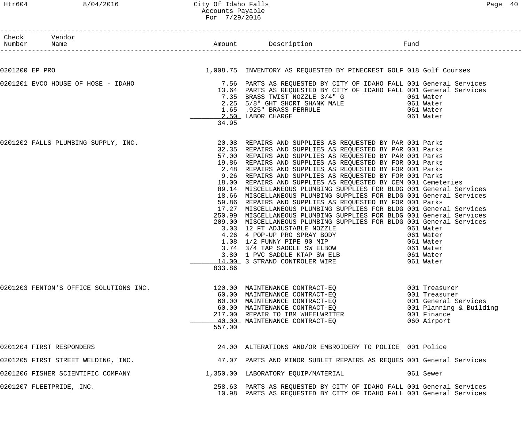| Check Vendor<br>Number Name<br>------------------- |        |                                                                                                                                                                                                                                                                                                                                                                                                                                                                                                                                                                                                                                                                                                                                                                                                                                                                                                                                                                                                                                                                                                                             |                                                                                                                 |
|----------------------------------------------------|--------|-----------------------------------------------------------------------------------------------------------------------------------------------------------------------------------------------------------------------------------------------------------------------------------------------------------------------------------------------------------------------------------------------------------------------------------------------------------------------------------------------------------------------------------------------------------------------------------------------------------------------------------------------------------------------------------------------------------------------------------------------------------------------------------------------------------------------------------------------------------------------------------------------------------------------------------------------------------------------------------------------------------------------------------------------------------------------------------------------------------------------------|-----------------------------------------------------------------------------------------------------------------|
|                                                    |        |                                                                                                                                                                                                                                                                                                                                                                                                                                                                                                                                                                                                                                                                                                                                                                                                                                                                                                                                                                                                                                                                                                                             |                                                                                                                 |
| 0201200 EP PRO                                     |        | 1,008.75 INVENTORY AS REQUESTED BY PINECREST GOLF 018 Golf Courses                                                                                                                                                                                                                                                                                                                                                                                                                                                                                                                                                                                                                                                                                                                                                                                                                                                                                                                                                                                                                                                          |                                                                                                                 |
|                                                    | 34.95  | 13.64 PARTS AS REQUESTED BY CITY OF IDAHO FALL 001 General Services<br>7.35 BRASS TWIST NOZZLE 3/4" G 061 Water<br>2.25 5/8" GHT SHORT SHANK MALE 061 Water<br>1.65 .925" BRASS FERRULE 061 Water<br>2.50 LABOR CHARGE 061 Water                                                                                                                                                                                                                                                                                                                                                                                                                                                                                                                                                                                                                                                                                                                                                                                                                                                                                            |                                                                                                                 |
| 0201202 FALLS PLUMBING SUPPLY, INC.                |        | 20.08 REPAIRS AND SUPPLIES AS REQUESTED BY PAR 001 Parks<br>32.35 REPAIRS AND SUPPLIES AS REQUESTED BY PAR 001 Parks<br>57.00 REPAIRS AND SUPPLIES AS REQUESTED BY PAR 001 Parks<br>19.86 REPAIRS AND SUPPLIES AS REQUESTED BY FOR 001 Parks<br>2.48 REPAIRS AND SUPPLIES AS REQUESTED BY FOR 001 Parks<br>9.26 REPAIRS AND SUPPLIES AS REQUESTED BY FOR 001 Parks<br>18.00 REPAIRS AND SUPPLIES AS REQUESTED BY CEM 001 Cemeteries<br>89.14 MISCELLANEOUS PLUMBING SUPPLIES FOR BLDG 001 General Services<br>18.66 MISCELLANEOUS PLUMBING SUPPLIES FOR BLDG 001 General Services<br>59.86 REPAIRS AND SUPPLIES AS REQUESTED BY FOR 001 Parks<br>17.27 MISCELLANEOUS PLUMBING SUPPLIES FOR BLDG 001 General Services<br>250.99 MISCELLANEOUS PLUMBING SUPPLIES FOR BLDG 001 General Services<br>209.00 MISCELLANEOUS PLUMBING SUPPLIES FOR BLDG 001 General Services<br>3.03 12 FT ADJUSTABLE NOZZLE<br>4.26 4 POP-UP PRO SPRAY BODY<br>1.08 1/2 FUNNY PIPE 90 MIP<br>4.26 4 POP-UP PRO SPRAY BODY<br>1.08 1/2 FUNNY PIPE 90 MIP<br>UPL Water<br>3.80 1 PVC SADDLE KTAP SW ELB<br>14.00 3 STRAND CONTROLER WIRE<br>333.86 6 | 061 Water<br>061 Water<br>061 Water                                                                             |
| 0201203 FENTON'S OFFICE SOLUTIONS INC.             | 557.00 | 120.00 MAINTENANCE CONTRACT-EQ<br>60.00 MAINTENANCE CONTRACT-EQ<br>60.00 MAINTENANCE CONTRACT-EQ<br>60.00 MAINTENANCE CONTRACT-EQ<br>217.00 REPAIR TO IBM WHEELWRITER<br>40.00 MAINTENANCE CONTRACT-EQ                                                                                                                                                                                                                                                                                                                                                                                                                                                                                                                                                                                                                                                                                                                                                                                                                                                                                                                      | 001 Treasurer<br>001 Treasurer<br>001 General Services<br>001 Planning & Building<br>001 Finance<br>060 Airport |
| 0201204 FIRST RESPONDERS                           |        | 24.00 ALTERATIONS AND/OR EMBROIDERY TO POLICE 001 Police                                                                                                                                                                                                                                                                                                                                                                                                                                                                                                                                                                                                                                                                                                                                                                                                                                                                                                                                                                                                                                                                    |                                                                                                                 |
| 0201205 FIRST STREET WELDING, INC.                 |        | 47.07 PARTS AND MINOR SUBLET REPAIRS AS REQUES 001 General Services                                                                                                                                                                                                                                                                                                                                                                                                                                                                                                                                                                                                                                                                                                                                                                                                                                                                                                                                                                                                                                                         |                                                                                                                 |
| 0201206 FISHER SCIENTIFIC COMPANY                  |        | 1,350.00 LABORATORY EQUIP/MATERIAL                                                                                                                                                                                                                                                                                                                                                                                                                                                                                                                                                                                                                                                                                                                                                                                                                                                                                                                                                                                                                                                                                          | 061 Sewer                                                                                                       |
| 0201207 FLEETPRIDE, INC.                           |        | 258.63 PARTS AS REQUESTED BY CITY OF IDAHO FALL 001 General Services<br>10.98 PARTS AS REQUESTED BY CITY OF IDAHO FALL 001 General Services                                                                                                                                                                                                                                                                                                                                                                                                                                                                                                                                                                                                                                                                                                                                                                                                                                                                                                                                                                                 |                                                                                                                 |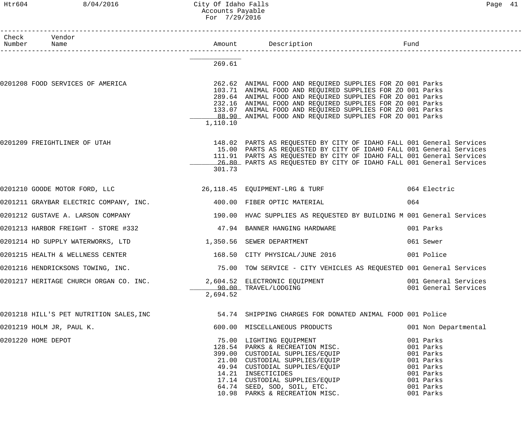# Htr604 8/04/2016 City Of Idaho Falls Page 41 Accounts Payable For 7/29/2016

| Check Vendor<br>Number Name                                          |          |                                                                                                                                                                                                                                                                                                                                                                                         |                                                                                                                   |
|----------------------------------------------------------------------|----------|-----------------------------------------------------------------------------------------------------------------------------------------------------------------------------------------------------------------------------------------------------------------------------------------------------------------------------------------------------------------------------------------|-------------------------------------------------------------------------------------------------------------------|
|                                                                      | 269.61   |                                                                                                                                                                                                                                                                                                                                                                                         |                                                                                                                   |
| 0201208 FOOD SERVICES OF AMERICA                                     | 1,110.10 | 262.62 ANIMAL FOOD AND REQUIRED SUPPLIES FOR ZO 001 Parks<br>103.71 ANIMAL FOOD AND REQUIRED SUPPLIES FOR ZO 001 Parks<br>289.64 ANIMAL FOOD AND REQUIRED SUPPLIES FOR ZO 001 Parks<br>232.16 ANIMAL FOOD AND REQUIRED SUPPLIES FOR ZO 001 Parks<br>133.07 ANIMAL FOOD AND REQUIRED SUPPLIES FOR ZO 001 Parks<br>88.90 ANIMAL FOOD AND REQUIRED SUPPLIES FOR ZO 001 Parks               |                                                                                                                   |
| 0201209 FREIGHTLINER OF UTAH                                         | 301.73   | 148.02 PARTS AS REQUESTED BY CITY OF IDAHO FALL 001 General Services<br>15.00 PARTS AS REQUESTED BY CITY OF IDAHO FALL 001 General Services<br>111.91 PARTS AS REQUESTED BY CITY OF IDAHO FALL 001 General Services<br>26.80 PARTS AS REQUESTED BY CITY OF IDAHO FALL 001 General Services                                                                                              |                                                                                                                   |
|                                                                      |          | 0201210 GOODE MOTOR FORD, LLC 36, 118.45 EQUIPMENT-LRG & TURF 6 COODE MOTOR Electric                                                                                                                                                                                                                                                                                                    |                                                                                                                   |
| 0201211 GRAYBAR ELECTRIC COMPANY, INC. 400.00 FIBER OPTIC MATERIAL   |          |                                                                                                                                                                                                                                                                                                                                                                                         | 064                                                                                                               |
|                                                                      |          | 0201212 GUSTAVE A. LARSON COMPANY (2008) 2008 190.00 HVAC SUPPLIES AS REQUESTED BY BUILDING M 001 General Services                                                                                                                                                                                                                                                                      |                                                                                                                   |
| 0201213 HARBOR FREIGHT - STORE #332                                  |          | 47.94 BANNER HANGING HARDWARE                                                                                                                                                                                                                                                                                                                                                           | 001 Parks                                                                                                         |
| 0201214 HD SUPPLY WATERWORKS, LTD 1,350.56 SEWER DEPARTMENT          |          |                                                                                                                                                                                                                                                                                                                                                                                         | 061 Sewer                                                                                                         |
|                                                                      |          | 0201215 HEALTH & WELLNESS CENTER 168.50 CITY PHYSICAL/JUNE 2016 001 Police                                                                                                                                                                                                                                                                                                              |                                                                                                                   |
| 0201216 HENDRICKSONS TOWING, INC.                                    |          | 75.00 TOW SERVICE - CITY VEHICLES AS REQUESTED 001 General Services                                                                                                                                                                                                                                                                                                                     |                                                                                                                   |
| 0201217 HERITAGE CHURCH ORGAN CO. INC. 2,604.52 ELECTRONIC EQUIPMENT | 2,694.52 | 90.00 TRAVEL/LODGING                                                                                                                                                                                                                                                                                                                                                                    | 001 General Services<br>001 General Services                                                                      |
|                                                                      |          | 0201218 HILL'S PET NUTRITION SALES, INC 54.74 SHIPPING CHARGES FOR DONATED ANIMAL FOOD 001 Police                                                                                                                                                                                                                                                                                       |                                                                                                                   |
| 0201219 HOLM JR, PAUL K.                                             |          | 600.00 MISCELLANEOUS PRODUCTS                                                                                                                                                                                                                                                                                                                                                           | 001 Non Departmental                                                                                              |
| 0201220 HOME DEPOT                                                   |          | 75.00 LIGHTING EQUIPMENT<br>128.54 PARKS & RECREATION MISC.<br>128.54 PARKS & RECREATION MISC.<br>399.00 CUSTODIAL SUPPLIES/EQUIP<br>21.00 CUSTODIAL SUPPLIES/EQUIP<br>49.94 CUSTODIAL SUPPLIES/EQUIP<br>14.21 TNSECTICIDES<br>399.00 CUSTODIAL SUPPLIES/EQUIP<br>14.21 INSECTICIDES<br>17.14 CUSTODIAL SUPPLIES/EQUIP<br>64.74 SEED, SOD, SOIL, ETC.<br>10.98 PARKS & RECREATION MISC. | 001 Parks<br>001 Parks<br>001 Parks<br>001 Parks<br>001 Parks<br>001 Parks<br>001 Parks<br>001 Parks<br>001 Parks |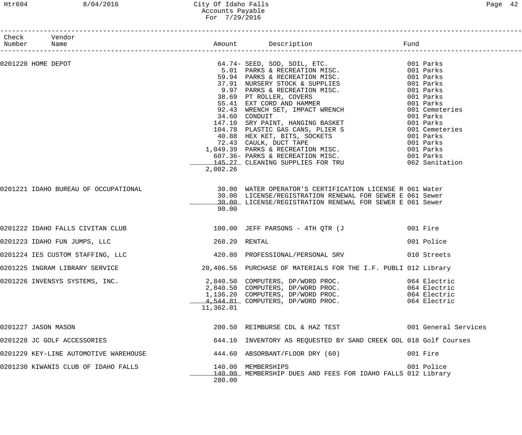# Htr604 8/04/2016 City Of Idaho Falls Page 42 Accounts Payable For 7/29/2016

| Check Vendor<br>Number Name<br>------------------- |                                       |                   |                                                                                                                                                                                  |                                                              |
|----------------------------------------------------|---------------------------------------|-------------------|----------------------------------------------------------------------------------------------------------------------------------------------------------------------------------|--------------------------------------------------------------|
| 0201220 HOME DEPOT                                 |                                       |                   |                                                                                                                                                                                  |                                                              |
|                                                    | 0201221 IDAHO BUREAU OF OCCUPATIONAL  | 2,002.26<br>90.00 | 30.00 WATER OPERATOR'S CERTIFICATION LICENSE R 061 Water<br>30.00 LICENSE/REGISTRATION RENEWAL FOR SEWER E 061 Sewer<br>30.00 LICENSE/REGISTRATION RENEWAL FOR SEWER E 061 Sewer |                                                              |
|                                                    | 0201222 IDAHO FALLS CIVITAN CLUB      |                   | 100.00 JEFF PARSONS - 4TH QTR (J 601 Fire                                                                                                                                        |                                                              |
|                                                    | 0201223 IDAHO FUN JUMPS, LLC          | 268.20 RENTAL     |                                                                                                                                                                                  | 001 Police                                                   |
|                                                    | 0201224 IES CUSTOM STAFFING, LLC      |                   | 420.80 PROFESSIONAL/PERSONAL SRV 010 Streets                                                                                                                                     |                                                              |
|                                                    | 0201225 INGRAM LIBRARY SERVICE        |                   | 20,406.56 PURCHASE OF MATERIALS FOR THE I.F. PUBLI 012 Library                                                                                                                   |                                                              |
|                                                    | 0201226 INVENSYS SYSTEMS, INC.        | 11,362.01         | 2,840.50 COMPUTERS, DP/WORD PROC.<br>2,840.50 COMPUTERS, DP/WORD PROC.<br>1,136.20 COMPUTERS, DP/WORD PROC.<br>4,544.81 COMPUTERS, DP/WORD PROC.                                 | 064 Electric<br>064 Electric<br>064 Electric<br>064 Electric |
| 0201227 JASON MASON                                |                                       |                   | 200.50 REIMBURSE CDL & HAZ TEST 6001 General Services                                                                                                                            |                                                              |
|                                                    | 0201228 JC GOLF ACCESSORIES           |                   | 644.10 INVENTORY AS REQUESTED BY SAND CREEK GOL 018 Golf Courses                                                                                                                 |                                                              |
|                                                    | 0201229 KEY-LINE AUTOMOTIVE WAREHOUSE |                   | 444.60 ABSORBANT/FLOOR DRY (60)                                                                                                                                                  | 001 Fire                                                     |
|                                                    | 0201230 KIWANIS CLUB OF IDAHO FALLS   | 280.00            | 140.00 MEMBERSHIPS<br>140.00 MEMBERSHIP DUES AND FEES FOR IDAHO FALLS 012 Library                                                                                                | 001 Police                                                   |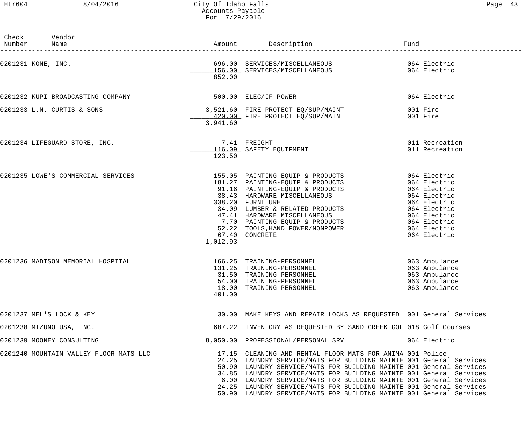------------------------------------------------------------------------------------------------------------------------------------

| Check<br>Number    | Vendor<br>Name                         |          | Amount Description                                                                                                                                                                                                                                                                                                                                                                                                                                                                                 | Fund                                                                              |
|--------------------|----------------------------------------|----------|----------------------------------------------------------------------------------------------------------------------------------------------------------------------------------------------------------------------------------------------------------------------------------------------------------------------------------------------------------------------------------------------------------------------------------------------------------------------------------------------------|-----------------------------------------------------------------------------------|
| 0201231 KONE, INC. |                                        | 852.00   | 696.00 SERVICES/MISCELLANEOUS 064 Electric<br>156.00 SERVICES/MISCELLANEOUS 064 Electric                                                                                                                                                                                                                                                                                                                                                                                                           |                                                                                   |
|                    | 0201232 KUPI BROADCASTING COMPANY      |          | 500.00 ELEC/IF POWER                                                                                                                                                                                                                                                                                                                                                                                                                                                                               | 064 Electric                                                                      |
|                    | 0201233 L.N. CURTIS & SONS             | 3,941.60 | 3,521.60 FIRE PROTECT EQ/SUP/MAINT<br>120.00 FIRE PROTECT EQ/SUP/MAINT 601 Fire                                                                                                                                                                                                                                                                                                                                                                                                                    | 001 Fire                                                                          |
|                    | 0201234 LIFEGUARD STORE, INC.          | 123.50   | 7.41 FREIGHT<br>116.09 SAFETY EQUIPMENT                                                                                                                                                                                                                                                                                                                                                                                                                                                            | 011 Recreation<br>011 Recreation                                                  |
|                    | 0201235 LOWE'S COMMERCIAL SERVICES     | 1,012.93 | 155.05 PAINTING-EQUIP & PRODUCTS 064 Electric<br>181.27 PAINTING-EQUIP & PRODUCTS 064 Electric<br>91.16 PAINTING-EQUIP & PRODUCTS 064 Electric<br>38.43 HARDWARE MISCELLANEOUS 064 Electric<br>338.20 FURNITURE<br>338.20 FURNITURE<br>34.09 LUMBER & RELATED PRODUCTS<br>47.41 HARDWARE MISCELLANEOUS<br>7.70 PAINTING-EQUIP & PRODUCTS<br>7.70 PAINTING-EQUIP & PRODUCTS<br>1064 Electric<br>52.22 TOOLS, HAND POWER/NONPOWER 064 Electric<br>67.40 CONCRETE                                     | 064 Electric<br>064 Electric                                                      |
|                    | 0201236 MADISON MEMORIAL HOSPITAL      | 401.00   | 166.25 TRAINING-PERSONNEL<br>131.25 TRAINING-PERSONNEL<br>31.50 TRAINING-PERSONNEL<br>54.00 TRAINING-PERSONNEL<br>18.00 TRAINING-PERSONNEL                                                                                                                                                                                                                                                                                                                                                         | 063 Ambulance<br>063 Ambulance<br>063 Ambulance<br>063 Ambulance<br>063 Ambulance |
|                    | 0201237 MEL'S LOCK & KEY               |          | 30.00 MAKE KEYS AND REPAIR LOCKS AS REQUESTED 001 General Services                                                                                                                                                                                                                                                                                                                                                                                                                                 |                                                                                   |
|                    | 0201238 MIZUNO USA, INC.               |          | 687.22 INVENTORY AS REQUESTED BY SAND CREEK GOL 018 Golf Courses                                                                                                                                                                                                                                                                                                                                                                                                                                   |                                                                                   |
|                    | 0201239 MOONEY CONSULTING              |          | 8,050.00 PROFESSIONAL/PERSONAL SRV                                                                                                                                                                                                                                                                                                                                                                                                                                                                 | 064 Electric                                                                      |
|                    | 0201240 MOUNTAIN VALLEY FLOOR MATS LLC |          | 17.15 CLEANING AND RENTAL FLOOR MATS FOR ANIMA 001 Police<br>24.25 LAUNDRY SERVICE/MATS FOR BUILDING MAINTE 001 General Services<br>50.90 LAUNDRY SERVICE/MATS FOR BUILDING MAINTE 001 General Services<br>34.85 LAUNDRY SERVICE/MATS FOR BUILDING MAINTE 001 General Services<br>6.00 LAUNDRY SERVICE/MATS FOR BUILDING MAINTE 001 General Services<br>24.25 LAUNDRY SERVICE/MATS FOR BUILDING MAINTE 001 General Services<br>50.90 LAUNDRY SERVICE/MATS FOR BUILDING MAINTE 001 General Services |                                                                                   |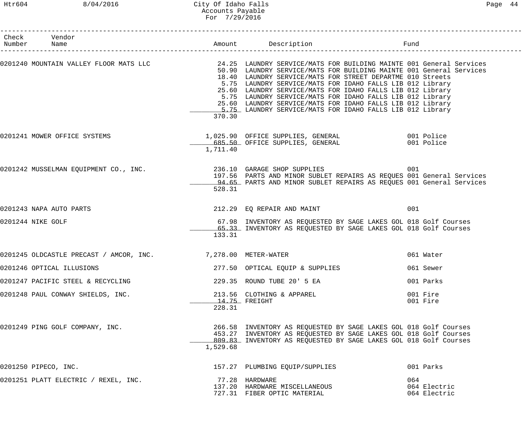# Htr604 8/04/2016 City Of Idaho Falls Page 44 Accounts Payable For 7/29/2016

| Check Vendor<br>Number Name                                  |          | Amount Description                                                                                                                                                                                                                                                                                                                                                                                                                                                                                                                                                 | Fund                                |
|--------------------------------------------------------------|----------|--------------------------------------------------------------------------------------------------------------------------------------------------------------------------------------------------------------------------------------------------------------------------------------------------------------------------------------------------------------------------------------------------------------------------------------------------------------------------------------------------------------------------------------------------------------------|-------------------------------------|
|                                                              | 370.30   | 0201240 MOUNTAIN VALLEY FLOOR MATS LLC 24.25 LAUNDRY SERVICE/MATS FOR BUILDING MAINTE 001 General Services<br>50.90 LAUNDRY SERVICE/MATS FOR BUILDING MAINTE 001 General Services<br>18.40 LAUNDRY SERVICE/MATS FOR STREET DEPARTME 010 Streets<br>5.75 LAUNDRY SERVICE/MATS FOR IDAHO FALLS LIB 012 Library<br>25.60 LAUNDRY SERVICE/MATS FOR IDAHO FALLS LIB 012 Library<br>5.75 LAUNDRY SERVICE/MATS FOR IDAHO FALLS LIB 012 Library<br>25.60 LAUNDRY SERVICE/MATS FOR IDAHO FALLS LIB 012 Library<br>5.75 LAUNDRY SERVICE/MATS FOR IDAHO FALLS LIB 012 Library |                                     |
| 0201241 MOWER OFFICE SYSTEMS                                 | 1,711.40 | 1,025.90 OFFICE SUPPLIES, GENERAL 601 Police<br>685.50 OFFICE SUPPLIES, GENERAL                                                                                                                                                                                                                                                                                                                                                                                                                                                                                    | 001 Police                          |
|                                                              | 528.31   | 0201242 MUSSELMAN EQUIPMENT CO., INC. 236.10 GARAGE SHOP SUPPLIES 001<br>197.56 PARTS AND MINOR SUBLET REPAIRS AS REQUES 001 General Services<br>94.65 PARTS AND MINOR SUBLET REPAIRS AS REQUES 001 General Services                                                                                                                                                                                                                                                                                                                                               |                                     |
| 0201243 NAPA AUTO PARTS                                      |          | 212.29 EQ REPAIR AND MAINT                                                                                                                                                                                                                                                                                                                                                                                                                                                                                                                                         | 001                                 |
| 0201244 NIKE GOLF                                            | 133.31   | 67.98 INVENTORY AS REQUESTED BY SAGE LAKES GOL 018 Golf Courses<br>65.33 INVENTORY AS REQUESTED BY SAGE LAKES GOL 018 Golf Courses                                                                                                                                                                                                                                                                                                                                                                                                                                 |                                     |
| 0201245 OLDCASTLE PRECAST / AMCOR, INC. 7,278.00 METER-WATER |          |                                                                                                                                                                                                                                                                                                                                                                                                                                                                                                                                                                    | 061 Water                           |
| 0201246 OPTICAL ILLUSIONS                                    |          | 277.50 OPTICAL EQUIP & SUPPLIES                                                                                                                                                                                                                                                                                                                                                                                                                                                                                                                                    | 061 Sewer                           |
| 0201247 PACIFIC STEEL & RECYCLING                            |          | 229.35 ROUND TUBE 20' 5 EA                                                                                                                                                                                                                                                                                                                                                                                                                                                                                                                                         | 001 Parks                           |
| 0201248 PAUL CONWAY SHIELDS, INC.                            | 228.31   | 213.56 CLOTHING & APPAREL<br>14.75 FREIGHT                                                                                                                                                                                                                                                                                                                                                                                                                                                                                                                         | 001 Fire<br>001 Fire                |
| 0201249 PING GOLF COMPANY, INC.                              | 1,529.68 | 266.58 INVENTORY AS REQUESTED BY SAGE LAKES GOL 018 Golf Courses<br>453.27 INVENTORY AS REQUESTED BY SAGE LAKES GOL 018 Golf Courses<br>809.83 INVENTORY AS REQUESTED BY SAGE LAKES GOL 018 Golf Courses                                                                                                                                                                                                                                                                                                                                                           |                                     |
| 0201250 PIPECO, INC.                                         |          | 157.27 PLUMBING EQUIP/SUPPLIES                                                                                                                                                                                                                                                                                                                                                                                                                                                                                                                                     | 001 Parks                           |
| 0201251 PLATT ELECTRIC / REXEL, INC.                         |          | 77.28 HARDWARE<br>137.20 HARDWARE MISCELLANEOUS<br>727.31 FIBER OPTIC MATERIAL                                                                                                                                                                                                                                                                                                                                                                                                                                                                                     | 064<br>064 Electric<br>064 Electric |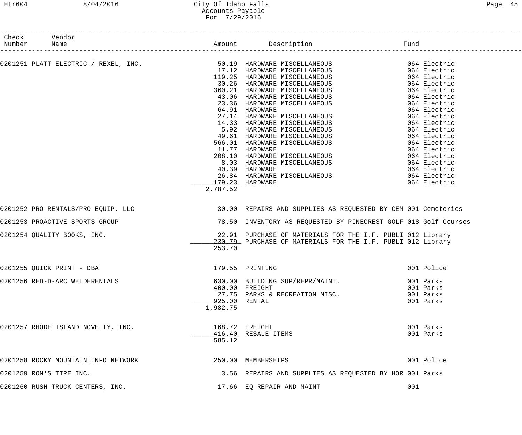# Htr604 8/04/2016 City Of Idaho Falls Page 45 Accounts Payable For 7/29/2016

| Check Vendor<br>Number Name                                                                                                                                                                                                              |          |                                                                 |            |
|------------------------------------------------------------------------------------------------------------------------------------------------------------------------------------------------------------------------------------------|----------|-----------------------------------------------------------------|------------|
|                                                                                                                                                                                                                                          |          |                                                                 |            |
|                                                                                                                                                                                                                                          |          |                                                                 |            |
|                                                                                                                                                                                                                                          |          |                                                                 |            |
| COURSI PLATT ELECTRIC / REXEL, INC.<br>19901251 PLATT ELECTRIC / REXEL, INC.<br>1990251 PLATT ELECTRIC / REXEL, INC.<br>1990261 RARUWARE MISCELLANEOUS<br>2000261 REACTRIC 360021 HARUWARE MISCELLANEOUS<br>2000261 REACTRIC 360021 HARU |          |                                                                 |            |
|                                                                                                                                                                                                                                          |          |                                                                 |            |
|                                                                                                                                                                                                                                          |          |                                                                 |            |
|                                                                                                                                                                                                                                          |          |                                                                 |            |
|                                                                                                                                                                                                                                          |          |                                                                 |            |
|                                                                                                                                                                                                                                          |          |                                                                 |            |
|                                                                                                                                                                                                                                          |          |                                                                 |            |
|                                                                                                                                                                                                                                          |          |                                                                 |            |
|                                                                                                                                                                                                                                          |          |                                                                 |            |
|                                                                                                                                                                                                                                          |          |                                                                 |            |
|                                                                                                                                                                                                                                          |          |                                                                 |            |
|                                                                                                                                                                                                                                          |          |                                                                 |            |
|                                                                                                                                                                                                                                          |          |                                                                 |            |
|                                                                                                                                                                                                                                          |          |                                                                 |            |
|                                                                                                                                                                                                                                          |          |                                                                 |            |
|                                                                                                                                                                                                                                          |          |                                                                 |            |
|                                                                                                                                                                                                                                          | 2,787.52 |                                                                 |            |
|                                                                                                                                                                                                                                          |          |                                                                 |            |
| 0201252 PRO RENTALS/PRO EQUIP, LLC                                                                                                                                                                                                       |          | 30.00 REPAIRS AND SUPPLIES AS REQUESTED BY CEM 001 Cemeteries   |            |
| 0201253 PROACTIVE SPORTS GROUP                                                                                                                                                                                                           |          | 78.50 INVENTORY AS REQUESTED BY PINECREST GOLF 018 Golf Courses |            |
| 0201254 QUALITY BOOKS, INC.                                                                                                                                                                                                              |          | 22.91 PURCHASE OF MATERIALS FOR THE I.F. PUBLI 012 Library      |            |
|                                                                                                                                                                                                                                          |          | 230.79 PURCHASE OF MATERIALS FOR THE I.F. PUBLI 012 Library     |            |
|                                                                                                                                                                                                                                          | 253.70   |                                                                 |            |
| 0201255 QUICK PRINT - DBA                                                                                                                                                                                                                |          | 179.55 PRINTING                                                 | 001 Police |
| 0201256 RED-D-ARC WELDERENTALS                                                                                                                                                                                                           |          | 630.00 BUILDING SUP/REPR/MAINT.                                 | 001 Parks  |
|                                                                                                                                                                                                                                          |          | 400.00 FREIGHT                                                  | 001 Parks  |
|                                                                                                                                                                                                                                          |          | 27.75 PARKS & RECREATION MISC.                                  | 001 Parks  |
|                                                                                                                                                                                                                                          |          | 925.00 RENTAL                                                   | 001 Parks  |
|                                                                                                                                                                                                                                          | 1,982.75 |                                                                 |            |
|                                                                                                                                                                                                                                          |          |                                                                 |            |
| 0201257 RHODE ISLAND NOVELTY, INC.                                                                                                                                                                                                       |          | 168.72 FREIGHT                                                  | 001 Parks  |
|                                                                                                                                                                                                                                          |          | 416.40 RESALE ITEMS                                             | 001 Parks  |
|                                                                                                                                                                                                                                          | 585.12   |                                                                 |            |
| 0201258 ROCKY MOUNTAIN INFO NETWORK 6 250.00 MEMBERSHIPS                                                                                                                                                                                 |          |                                                                 | 001 Police |
| 0201259 RON'S TIRE INC.                                                                                                                                                                                                                  |          | 3.56 REPAIRS AND SUPPLIES AS REQUESTED BY HOR 001 Parks         |            |
|                                                                                                                                                                                                                                          |          |                                                                 |            |
| 0201260 RUSH TRUCK CENTERS, INC.                                                                                                                                                                                                         |          | 17.66 EQ REPAIR AND MAINT                                       | 001        |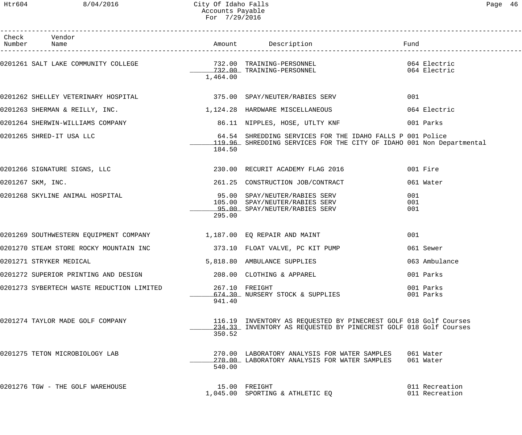------------------------------------------------------------------------------------------------------------------------------------

| Page | 46 |
|------|----|
|------|----|

| Check<br>Number | Vendor<br>Name                                                          |          |                                                                                                                                      | Fund                             |
|-----------------|-------------------------------------------------------------------------|----------|--------------------------------------------------------------------------------------------------------------------------------------|----------------------------------|
|                 |                                                                         | 1,464.00 |                                                                                                                                      |                                  |
|                 | 0201262 SHELLEY VETERINARY HOSPITAL 6275.00 SPAY/NEUTER/RABIES SERV     |          |                                                                                                                                      | 001                              |
|                 | 0201263 SHERMAN & REILLY, INC.<br>1,124.28 HARDWARE MISCELLANEOUS       |          |                                                                                                                                      | 064 Electric                     |
|                 | 0201264 SHERWIN-WILLIAMS COMPANY                                        |          |                                                                                                                                      |                                  |
|                 | 0201265 SHRED-IT USA LLC                                                | 184.50   | 64.54 SHREDDING SERVICES FOR THE IDAHO FALLS P 001 Police<br>119.96 SHREDDING SERVICES FOR THE CITY OF IDAHO 001 Non Departmental    |                                  |
|                 | 0201266 SIGNATURE SIGNS, LLC                                            |          | 230.00 RECURIT ACADEMY FLAG 2016                                                                                                     | 001 Fire                         |
|                 | 0201267 SKM, INC.                                                       |          | 261.25 CONSTRUCTION JOB/CONTRACT                                                                                                     | 061 Water                        |
|                 | 0201268 SKYLINE ANIMAL HOSPITAL                                         | 295.00   | 95.00 SPAY/NEUTER/RABIES SERV<br>105.00 SPAY/NEUTER/RABIES SERV<br>95.00 SPAY/NEUTER/RABIES SERV                                     | 001<br>001<br>001                |
|                 | 0201269 SOUTHWESTERN EQUIPMENT COMPANY 100 1,187.00 EQ REPAIR AND MAINT |          |                                                                                                                                      | 001                              |
|                 | 0201270 STEAM STORE ROCKY MOUNTAIN INC 373.10 FLOAT VALVE, PC KIT PUMP  |          |                                                                                                                                      | 061 Sewer                        |
|                 | 0201271 STRYKER MEDICAL                                                 |          | 5,818.80 AMBULANCE SUPPLIES                                                                                                          | 063 Ambulance                    |
|                 | 0201272 SUPERIOR PRINTING AND DESIGN                                    |          | 208.00 CLOTHING & APPAREL                                                                                                            | 001 Parks                        |
|                 | 0201273 SYBERTECH WASTE REDUCTION LIMITED                               | 941.40   | 267.10 FREIGHT<br>674.30 NURSERY STOCK & SUPPLIES                                                                                    | 001 Parks<br>001 Parks           |
|                 | 0201274 TAYLOR MADE GOLF COMPANY                                        | 350.52   | 116.19 INVENTORY AS REQUESTED BY PINECREST GOLF 018 Golf Courses<br>234.33 INVENTORY AS REQUESTED BY PINECREST GOLF 018 Golf Courses |                                  |
|                 | 0201275 TETON MICROBIOLOGY LAB                                          | 540.00   | 270.00 LABORATORY ANALYSIS FOR WATER SAMPLES<br>270.00 LABORATORY ANALYSIS FOR WATER SAMPLES                                         | 061 Water<br>061 Water           |
|                 | 0201276 TGW - THE GOLF WAREHOUSE                                        |          | 15.00 FREIGHT<br>1,045.00 SPORTING & ATHLETIC EQ                                                                                     | 011 Recreation<br>011 Recreation |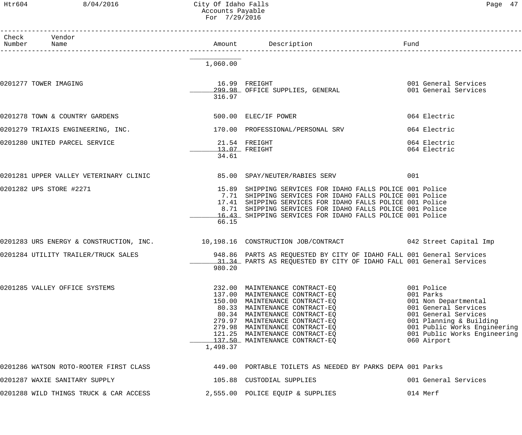Htr604 8/04/2016 City Of Idaho Falls Page 47 Accounts Payable For 7/29/2016

| $\neg$ $\bigcap$ $\bigcap$ |  |
|----------------------------|--|
|----------------------------|--|

| Check Vendor<br>Number Name                                          |          | Fund                                                                                                                                                                                                                                                                                                         |                                                                                                                                                                                                           |
|----------------------------------------------------------------------|----------|--------------------------------------------------------------------------------------------------------------------------------------------------------------------------------------------------------------------------------------------------------------------------------------------------------------|-----------------------------------------------------------------------------------------------------------------------------------------------------------------------------------------------------------|
|                                                                      | 1,060.00 |                                                                                                                                                                                                                                                                                                              |                                                                                                                                                                                                           |
| 0201277 TOWER IMAGING                                                | 316.97   | and the contract of the contract of the contract of the contract of the contract of the contract of the contract of the contract of the contract of the contract of the contract of the contract of the contract of the contra<br>16.99 FREIGHT<br>299.98 OFFICE SUPPLIES, GENERAL                           | 001 General Services                                                                                                                                                                                      |
| 0201278 TOWN & COUNTRY GARDENS                                       |          | 500.00 ELEC/IF POWER                                                                                                                                                                                                                                                                                         | 064 Electric                                                                                                                                                                                              |
| 0201279 TRIAXIS ENGINEERING, INC.                                    |          | 170.00 PROFESSIONAL/PERSONAL SRV                                                                                                                                                                                                                                                                             | 064 Electric                                                                                                                                                                                              |
| 0201280 UNITED PARCEL SERVICE                                        | 34.61    | 21.54 FREIGHT<br>$13.07$ FREIGHT                                                                                                                                                                                                                                                                             | 064 Electric<br>064 Electric                                                                                                                                                                              |
| 0201281 UPPER VALLEY VETERINARY CLINIC 65.00 SPAY/NEUTER/RABIES SERV |          |                                                                                                                                                                                                                                                                                                              | 001                                                                                                                                                                                                       |
| 0201282 UPS STORE #2271                                              | 66.15    | 15.89 SHIPPING SERVICES FOR IDAHO FALLS POLICE 001 Police<br>7.71 SHIPPING SERVICES FOR IDAHO FALLS POLICE 001 Police<br>17.41 SHIPPING SERVICES FOR IDAHO FALLS POLICE 001 Police<br>8.71 SHIPPING SERVICES FOR IDAHO FALLS POLICE 001 Police<br>16.43 SHIPPING SERVICES FOR IDAHO FALLS POLICE 001 Police  |                                                                                                                                                                                                           |
|                                                                      |          | 0201283 URS ENERGY & CONSTRUCTION, INC. 10,198.16 CONSTRUCTION JOB/CONTRACT 642 Street Capital Imp                                                                                                                                                                                                           |                                                                                                                                                                                                           |
|                                                                      | 980.20   | 0201284 UTILITY TRAILER/TRUCK SALES 6 1948.86 PARTS AS REQUESTED BY CITY OF IDAHO FALL 001 General Services<br>- 31.34 PARTS AS REOUESTED BY CITY OF IDAHO FALL 001 General Services                                                                                                                         |                                                                                                                                                                                                           |
| 0201285 VALLEY OFFICE SYSTEMS                                        | 1,498.37 | 232.00 MAINTENANCE CONTRACT-EQ<br>137.00 MAINTENANCE CONTRACT-EQ<br>150.00 MAINTENANCE CONTRACT-EQ<br>80.33 MAINTENANCE CONTRACT-EQ<br>80.34 MAINTENANCE CONTRACT-EQ<br>279.97 MAINTENANCE CONTRACT-EQ<br>279.98 MAINTENANCE CONTRACT-EQ<br>121.25 MAINTENANCE CONTRACT-EO<br>137.50 MAINTENANCE CONTRACT-EQ | 001 Police<br>001 Parks<br>001 Non Departmental<br>001 General Services<br>001 General Services<br>001 Planning & Building<br>001 Public Works Engineering<br>001 Public Works Engineering<br>060 Airport |
| 0201286 WATSON ROTO-ROOTER FIRST CLASS                               |          | 449.00 PORTABLE TOILETS AS NEEDED BY PARKS DEPA 001 Parks                                                                                                                                                                                                                                                    |                                                                                                                                                                                                           |
| 0201287 WAXIE SANITARY SUPPLY                                        |          | 105.88 CUSTODIAL SUPPLIES                                                                                                                                                                                                                                                                                    | 001 General Services                                                                                                                                                                                      |
| 0201288 WILD THINGS TRUCK & CAR ACCESS                               |          | 2,555.00 POLICE EQUIP & SUPPLIES                                                                                                                                                                                                                                                                             | 014 Merf                                                                                                                                                                                                  |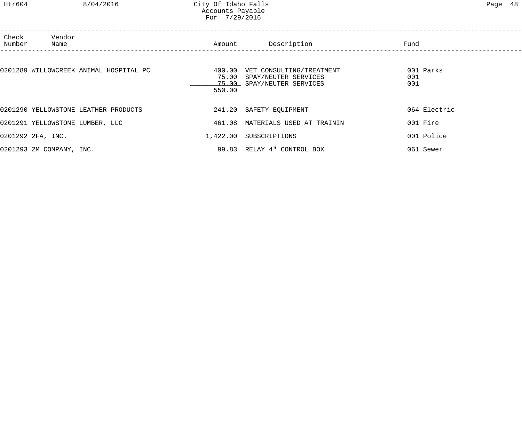| Check<br>Number | Vendor<br>Name                         | Amount                    | Description                                                                    | Fund                    |  |
|-----------------|----------------------------------------|---------------------------|--------------------------------------------------------------------------------|-------------------------|--|
|                 | 0201289 WILLOWCREEK ANIMAL HOSPITAL PC | 400.00<br>75.00<br>550.00 | VET CONSULTING/TREATMENT<br>SPAY/NEUTER SERVICES<br>75.00 SPAY/NEUTER SERVICES | 001 Parks<br>001<br>001 |  |
|                 | 0201290 YELLOWSTONE LEATHER PRODUCTS   |                           | 241.20 SAFETY EQUIPMENT                                                        | 064 Electric            |  |
|                 | 0201291 YELLOWSTONE LUMBER, LLC        | 461.08                    | MATERIALS USED AT TRAININ                                                      | 001 Fire                |  |
|                 | 0201292 2FA, INC.                      | 1,422.00                  | SUBSCRIPTIONS                                                                  | 001 Police              |  |
|                 | 0201293 2M COMPANY, INC.               |                           | 99.83 RELAY 4" CONTROL BOX                                                     | 061 Sewer               |  |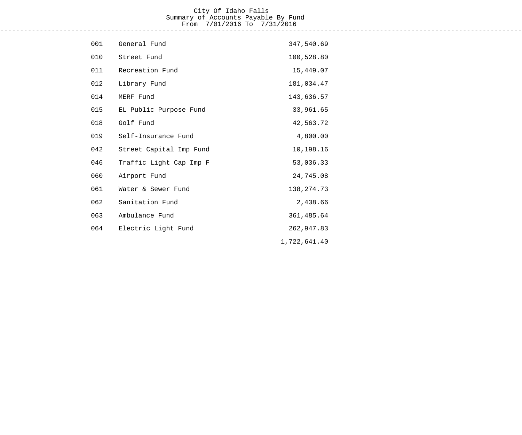## City Of Idaho Falls Summary of Accounts Payable By Fund From 7/01/2016 To 7/31/2016 ------------------------------------------------------------------------------------------------------------------------------------

| 001 | General Fund            | 347,540.69   |
|-----|-------------------------|--------------|
| 010 | Street Fund             | 100,528.80   |
| 011 | Recreation Fund         | 15,449.07    |
| 012 | Library Fund            | 181,034.47   |
| 014 | MERF Fund               | 143,636.57   |
| 015 | EL Public Purpose Fund  | 33,961.65    |
| 018 | Golf Fund               | 42,563.72    |
| 019 | Self-Insurance Fund     | 4,800.00     |
| 042 | Street Capital Imp Fund | 10,198.16    |
| 046 | Traffic Light Cap Imp F | 53,036.33    |
| 060 | Airport Fund            | 24,745.08    |
| 061 | Water & Sewer Fund      | 138, 274. 73 |
| 062 | Sanitation Fund         | 2,438.66     |
| 063 | Ambulance Fund          | 361,485.64   |
| 064 | Electric Light Fund     | 262,947.83   |
|     |                         | 1,722,641.40 |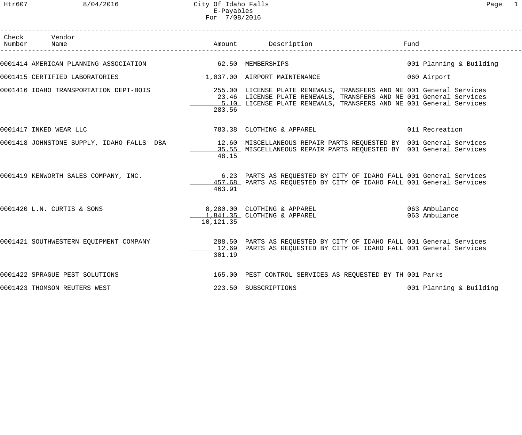| Check | Vendor<br>Number Name                                   |           |                                                                                                                                                                                                                   | Fund                    |
|-------|---------------------------------------------------------|-----------|-------------------------------------------------------------------------------------------------------------------------------------------------------------------------------------------------------------------|-------------------------|
|       | 0001414 AMERICAN PLANNING ASSOCIATION 62.50 MEMBERSHIPS |           |                                                                                                                                                                                                                   | 001 Planning & Building |
|       | 0001415 CERTIFIED LABORATORIES                          |           | 1,037.00 AIRPORT MAINTENANCE                                                                                                                                                                                      | 060 Airport             |
|       | 0001416 IDAHO TRANSPORTATION DEPT-BOIS                  | 283.56    | 255.00 LICENSE PLATE RENEWALS, TRANSFERS AND NE 001 General Services<br>23.46 LICENSE PLATE RENEWALS, TRANSFERS AND NE 001 General Services<br>5.10 LICENSE PLATE RENEWALS, TRANSFERS AND NE 001 General Services |                         |
|       | 0001417 INKED WEAR LLC                                  |           | 783.38 CLOTHING & APPAREL 2011 Recreation                                                                                                                                                                         |                         |
|       | 0001418 JOHNSTONE SUPPLY, IDAHO FALLS DBA               | 48.15     | 12.60 MISCELLANEOUS REPAIR PARTS REQUESTED BY 001 General Services<br>35.55 MISCELLANEOUS REPAIR PARTS REQUESTED BY 001 General Services                                                                          |                         |
|       | 0001419 KENWORTH SALES COMPANY, INC.                    | 463.91    | 6.23 PARTS AS REQUESTED BY CITY OF IDAHO FALL 001 General Services<br>457.68 PARTS AS REQUESTED BY CITY OF IDAHO FALL 001 General Services                                                                        |                         |
|       | 0001420 L.N. CURTIS & SONS                              | 10,121.35 | 8,280.00 CLOTHING & APPAREL 063 Ambulance<br>1,841.35 CLOTHING & APPAREL 063 Ambulance                                                                                                                            |                         |
|       |                                                         | 301.19    | 0001421 SOUTHWESTERN EQUIPMENT COMPANY 288.50 PARTS AS REQUESTED BY CITY OF IDAHO FALL 001 General Services<br>12.69 PARTS AS REQUESTED BY CITY OF IDAHO FALL 001 General Services                                |                         |
|       | 0001422 SPRAGUE PEST SOLUTIONS                          |           | 165.00 PEST CONTROL SERVICES AS REQUESTED BY TH 001 Parks                                                                                                                                                         |                         |
|       | 0001423 THOMSON REUTERS WEST                            |           | 223.50 SUBSCRIPTIONS                                                                                                                                                                                              | 001 Planning & Building |

------------------------------------------------------------------------------------------------------------------------------------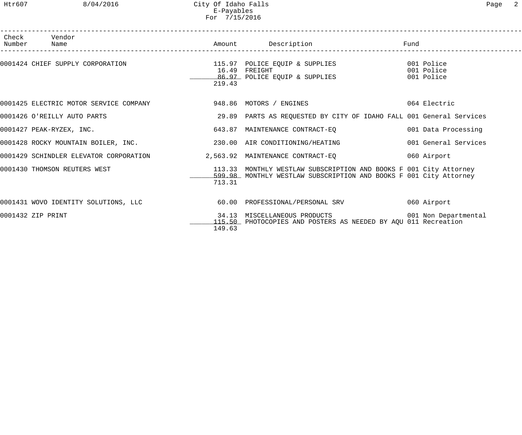Htr607 8/04/2016 City Of Idaho Falls Page 2 E-Payables For 7/15/2016

| Check Vendor<br>Number Name                                             |        |                                                                                                                                                    | Fund                     |
|-------------------------------------------------------------------------|--------|----------------------------------------------------------------------------------------------------------------------------------------------------|--------------------------|
|                                                                         | 219.43 | 0001424 CHIEF SUPPLY CORPORATION 601 CORPORATION 115.97 POLICE EQUIP & SUPPLIES<br>16.49 FREIGHT<br>10.49 FREIGHI<br>86.97 POLICE EQUIP & SUPPLIES | 001 Police<br>001 Police |
|                                                                         |        |                                                                                                                                                    | 064 Electric             |
| 0001426 O'REILLY AUTO PARTS                                             |        | 29.89 PARTS AS REQUESTED BY CITY OF IDAHO FALL 001 General Services                                                                                |                          |
| 0001427 PEAK-RYZEX, INC.                                                |        | 643.87 MAINTENANCE CONTRACT-EQ 001 Data Processing                                                                                                 |                          |
| 0001428 ROCKY MOUNTAIN BOILER, INC.                                     |        | 230.00 AIR CONDITIONING/HEATING                                                                                                                    | 001 General Services     |
| 0001429 SCHINDLER ELEVATOR CORPORATION 2,563.92 MAINTENANCE CONTRACT-EQ |        |                                                                                                                                                    | 060 Airport              |
| 0001430 THOMSON REUTERS WEST                                            | 713.31 | 113.33 MONTHLY WESTLAW SUBSCRIPTION AND BOOKS F 001 City Attorney<br>599.98 MONTHLY WESTLAW SUBSCRIPTION AND BOOKS F 001 City Attorney             |                          |
| 0001431 WOVO IDENTITY SOLUTIONS, LLC 60.00 PROFESSIONAL/PERSONAL SRV    |        |                                                                                                                                                    | 060 Airport              |
| 0001432 ZIP PRINT                                                       | 149.63 | 34.13 MISCELLANEOUS PRODUCTS 001 Non Departmental<br>115.50 PHOTOCOPIES AND POSTERS AS NEEDED BY AQU 011 Recreation                                |                          |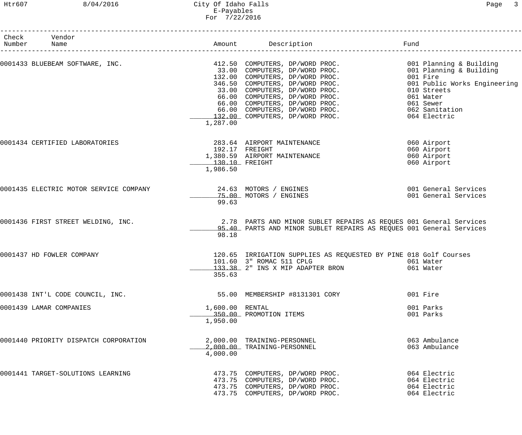## Htr607 8/04/2016 City Of Idaho Falls Page 3 E-Payables For 7/22/2016

| Check Vendor<br>Number Name            |                             | Amount Description                                                                                                                        | Fund                                                         |
|----------------------------------------|-----------------------------|-------------------------------------------------------------------------------------------------------------------------------------------|--------------------------------------------------------------|
|                                        | 1,287.00                    | 132.00 COMPUTERS, DP/WORD PROC.                                                                                                           | 001 Public Works Engineering                                 |
| 0001434 CERTIFIED LABORATORIES         | 130.10 FREIGHT<br>1,986.50  | 283.64 AIRPORT MAINTENANCE<br>192.17 FREIGHT<br>1,380.59 AIRPORT MAINTENANCE                                                              | 060 Airport<br>060 Airport<br>060 Airport<br>060 Airport     |
| 0001435 ELECTRIC MOTOR SERVICE COMPANY | 99.63                       | 24.63 MOTORS / ENGINES<br>75.00 MOTORS / ENGINES                                                                                          | 001 General Services<br>001 General Services                 |
| 0001436 FIRST STREET WELDING, INC.     | 98.18                       | 2.78 PARTS AND MINOR SUBLET REPAIRS AS REQUES 001 General Services<br>95.40 PARTS AND MINOR SUBLET REPAIRS AS REQUES 001 General Services |                                                              |
| 0001437 HD FOWLER COMPANY              | 355.63                      | 120.65 IRRIGATION SUPPLIES AS REQUESTED BY PINE 018 Golf Courses<br>101.60 3" ROMAC 511 CPLG<br>133.38 2" INS X MIP ADAPTER BRON          | 061 Water<br>061 Water                                       |
| 0001438 INT'L CODE COUNCIL, INC.       |                             | 55.00 MEMBERSHIP #8131301 CORY                                                                                                            | 001 Fire                                                     |
| 0001439 LAMAR COMPANIES                | 1,600.00 RENTAL<br>1,950.00 | 350.00 PROMOTION ITEMS                                                                                                                    | 001 Parks<br>001 Parks                                       |
| 0001440 PRIORITY DISPATCH CORPORATION  | 4,000.00                    | 2,000.00 TRAINING-PERSONNEL<br>2,000.00 TRAINING-PERSONNEL                                                                                | 063 Ambulance<br>063 Ambulance                               |
| 0001441 TARGET-SOLUTIONS LEARNING      |                             | 473.75 COMPUTERS, DP/WORD PROC.<br>473.75 COMPUTERS, DP/WORD PROC.<br>473.75 COMPUTERS, DP/WORD PROC.<br>473.75 COMPUTERS, DP/WORD PROC.  | 064 Electric<br>064 Electric<br>064 Electric<br>064 Electric |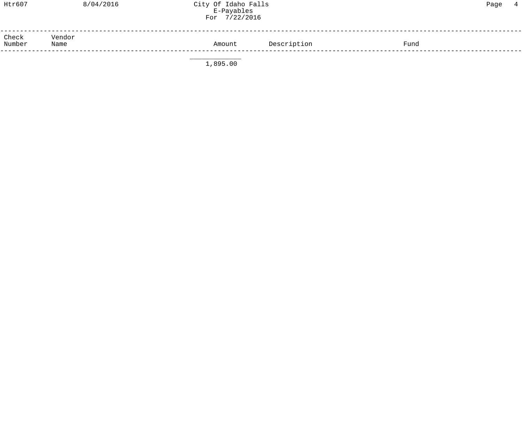| Htr607          | 8/04/2016      | City Of Idaho Falls<br>E-Payables<br>For 7/22/2016 |             |      | Page | $\overline{4}$ |
|-----------------|----------------|----------------------------------------------------|-------------|------|------|----------------|
| Check<br>Number | Vendor<br>Name | Amount                                             | Description | Fund |      |                |

 $1,895.00$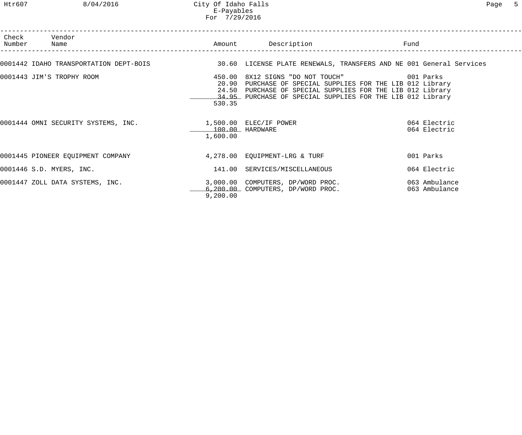| Check<br>Number | Vendor<br>Name                                                                         |                             | Amount Description                                                                                                                                                                                                            | Fund                           |
|-----------------|----------------------------------------------------------------------------------------|-----------------------------|-------------------------------------------------------------------------------------------------------------------------------------------------------------------------------------------------------------------------------|--------------------------------|
|                 |                                                                                        |                             | 0001442 IDAHO TRANSPORTATION DEPT-BOIS 30.60 LICENSE PLATE RENEWALS, TRANSFERS AND NE 001 General Services                                                                                                                    |                                |
|                 | 0001443 JIM'S TROPHY ROOM                                                              | 450.00<br>530.35            | 8X12 SIGNS "DO NOT TOUCH" 001 Parks<br>20.90 PURCHASE OF SPECIAL SUPPLIES FOR THE LIB 012 Library<br>24.50 PURCHASE OF SPECIAL SUPPLIES FOR THE LIB 012 Library<br>34.95 PURCHASE OF SPECIAL SUPPLIES FOR THE LIB 012 Library |                                |
|                 | 0001444 OMNI SECURITY SYSTEMS, INC.                            1,500.00  ELEC/IF POWER | 100.00 HARDWARE<br>1,600.00 |                                                                                                                                                                                                                               | 064 Electric<br>064 Electric   |
|                 | 0001445 PIONEER EQUIPMENT COMPANY                                                      |                             | 4,278.00 EQUIPMENT-LRG & TURF                                                                                                                                                                                                 | 001 Parks                      |
|                 | 0001446 S.D. MYERS, INC.                                                               |                             | 141.00 SERVICES/MISCELLANEOUS                                                                                                                                                                                                 | 064 Electric                   |
|                 | 0001447 ZOLL DATA SYSTEMS, INC.                                                        | 9,200.00                    | 3,000.00 COMPUTERS, DP/WORD PROC.<br>6,200.00 COMPUTERS, DP/WORD PROC.                                                                                                                                                        | 063 Ambulance<br>063 Ambulance |

------------------------------------------------------------------------------------------------------------------------------------